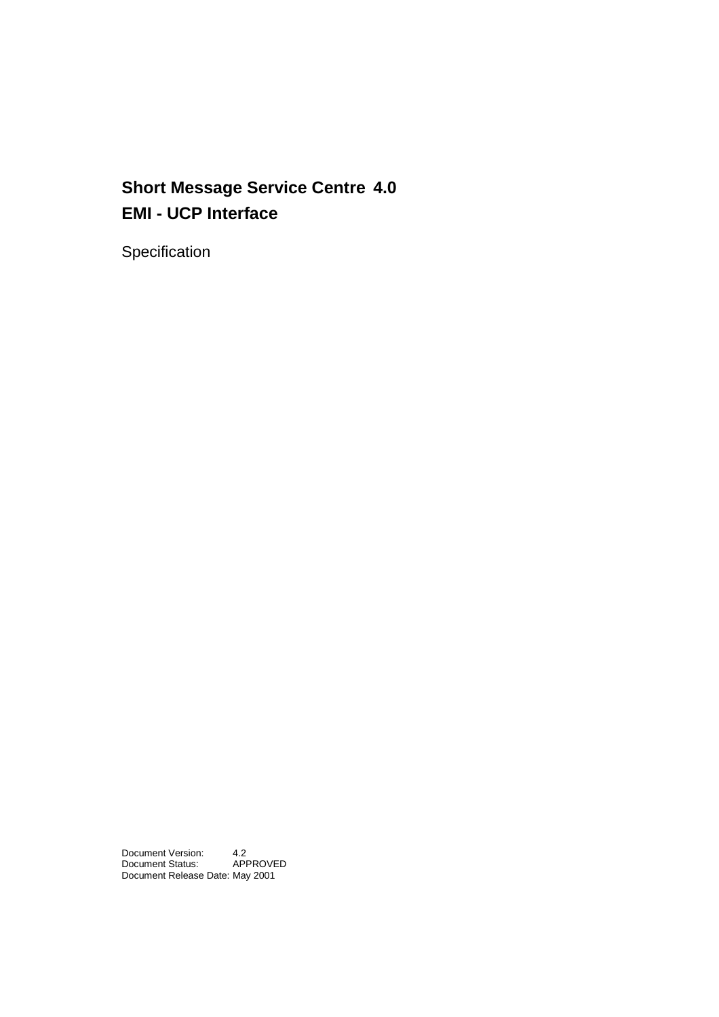## **Short Message Service Centre 4.0 EMI - UCP Interface**

Specification

Document Version: 4.2<br>Document Status: APPROVED Document Status: Document Release Date: May 2001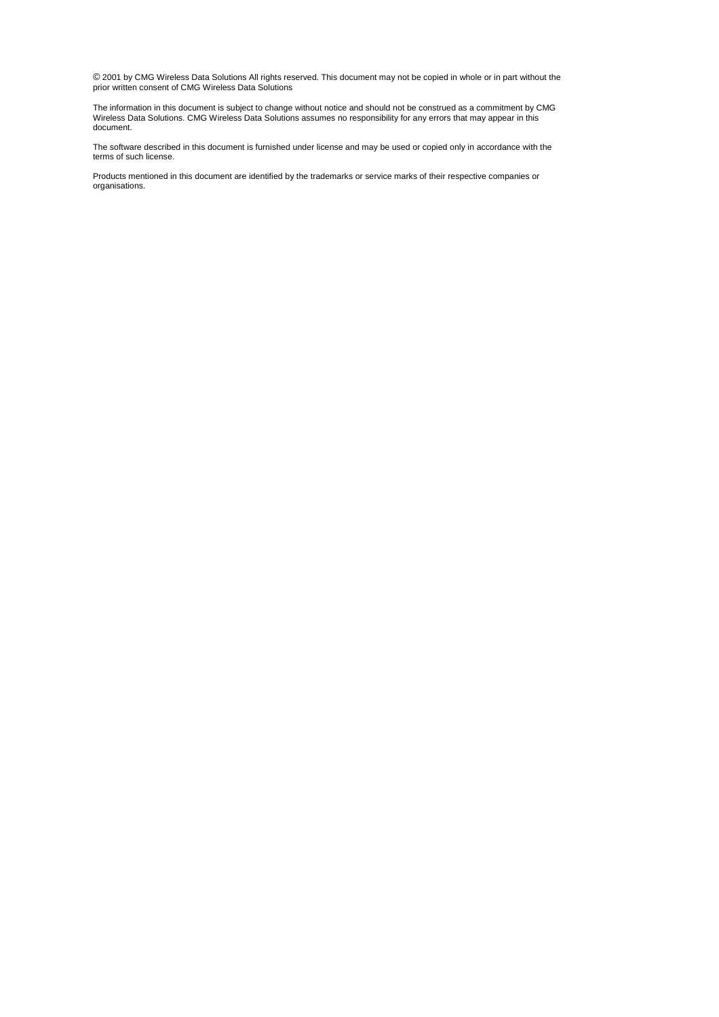© 2001 by CMG Wireless Data Solutions All rights reserved. This document may not be copied in whole or in part without the prior written consent of CMG Wireless Data Solutions

The information in this document is subject to change without notice and should not be construed as a commitment by CMG Wireless Data Solutions. CMG Wireless Data Solutions assumes no responsibility for any errors that may appear in this document.

The software described in this document is furnished under license and may be used or copied only in accordance with the terms of such license.

Products mentioned in this document are identified by the trademarks or service marks of their respective companies or organisations.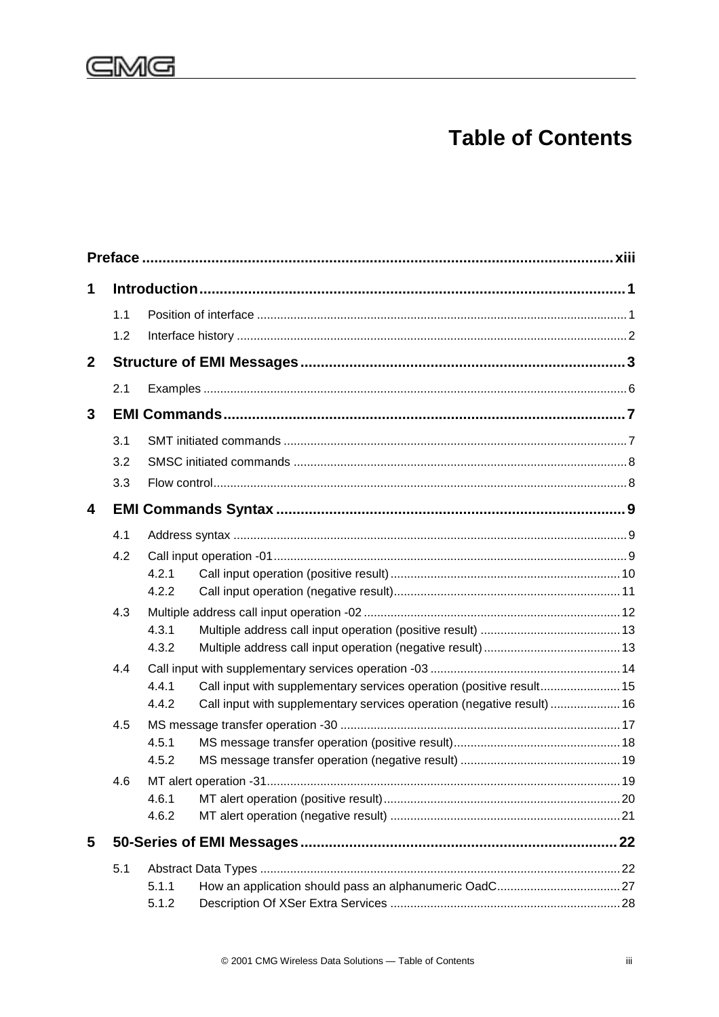

## **Table of Contents**

| 1            |     |                |                                                                        |  |
|--------------|-----|----------------|------------------------------------------------------------------------|--|
|              | 1.1 |                |                                                                        |  |
|              | 1.2 |                |                                                                        |  |
| $\mathbf{2}$ |     |                |                                                                        |  |
|              | 2.1 |                |                                                                        |  |
| 3            |     |                |                                                                        |  |
|              | 3.1 |                |                                                                        |  |
|              | 3.2 |                |                                                                        |  |
|              | 3.3 |                |                                                                        |  |
| 4            |     |                |                                                                        |  |
|              | 4.1 |                |                                                                        |  |
|              | 4.2 |                |                                                                        |  |
|              |     | 4.2.1          |                                                                        |  |
|              |     | 4.2.2          |                                                                        |  |
|              | 4.3 |                |                                                                        |  |
|              |     | 4.3.1<br>4.3.2 |                                                                        |  |
|              | 4.4 |                |                                                                        |  |
|              |     | 4.4.1          | Call input with supplementary services operation (positive result 15   |  |
|              |     | 4.4.2          | Call input with supplementary services operation (negative result)  16 |  |
|              | 4.5 |                |                                                                        |  |
|              |     | 4.5.1          |                                                                        |  |
|              |     | 4.5.2          |                                                                        |  |
|              | 4.6 |                |                                                                        |  |
|              |     | 4.6.1<br>4.6.2 |                                                                        |  |
|              |     |                |                                                                        |  |
| 5            |     |                |                                                                        |  |
|              | 5.1 |                |                                                                        |  |
|              |     | 5.1.1          |                                                                        |  |
|              |     | 5.1.2          |                                                                        |  |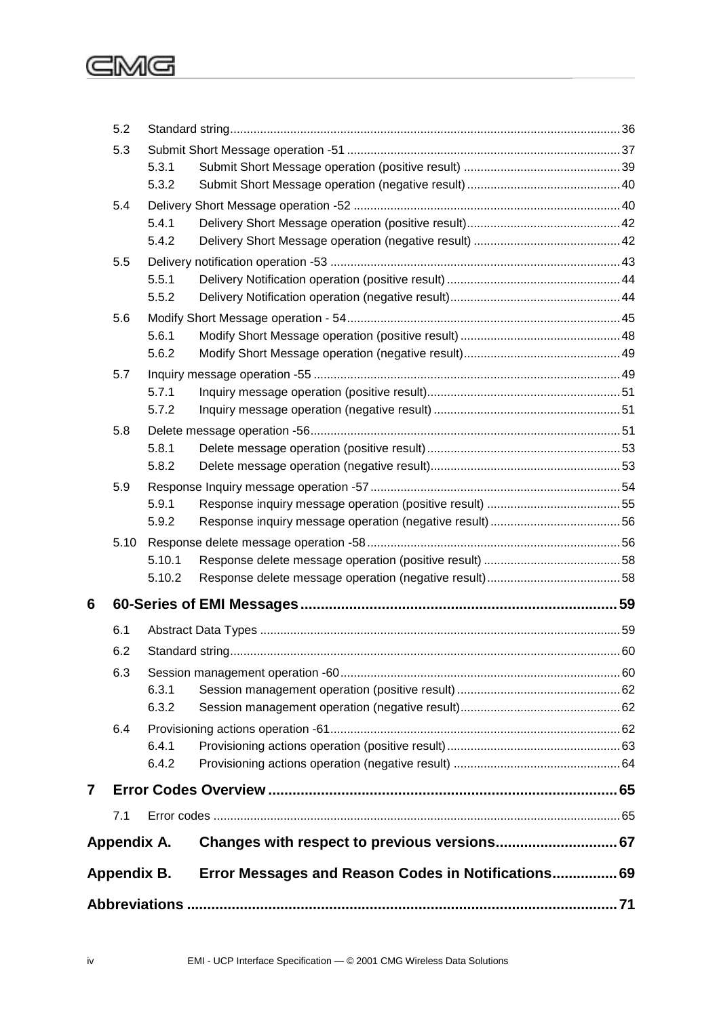## GMG

|   |             |                |                                                     | 71 |  |  |  |  |  |
|---|-------------|----------------|-----------------------------------------------------|----|--|--|--|--|--|
|   | Appendix B. |                | Error Messages and Reason Codes in Notifications 69 |    |  |  |  |  |  |
|   | Appendix A. |                | Changes with respect to previous versions 67        |    |  |  |  |  |  |
|   | 7.1         |                |                                                     |    |  |  |  |  |  |
| 7 |             |                |                                                     |    |  |  |  |  |  |
|   |             | 6.4.2          |                                                     |    |  |  |  |  |  |
|   | 6.4         | 6.4.1          |                                                     |    |  |  |  |  |  |
|   |             | 6.3.2          |                                                     |    |  |  |  |  |  |
|   | 6.3         | 6.3.1          |                                                     |    |  |  |  |  |  |
|   | 6.2         |                |                                                     |    |  |  |  |  |  |
|   | 6.1         |                |                                                     |    |  |  |  |  |  |
| 6 |             |                |                                                     |    |  |  |  |  |  |
|   |             | 5.10.2         |                                                     |    |  |  |  |  |  |
|   |             | 5.10.1         |                                                     |    |  |  |  |  |  |
|   | 5.10        |                |                                                     |    |  |  |  |  |  |
|   |             | 5.9.1<br>5.9.2 |                                                     |    |  |  |  |  |  |
|   | 5.9         |                |                                                     |    |  |  |  |  |  |
|   |             | 5.8.2          |                                                     |    |  |  |  |  |  |
|   |             | 5.8.1          |                                                     |    |  |  |  |  |  |
|   | 5.8         |                |                                                     |    |  |  |  |  |  |
|   |             | 5.7.1<br>5.7.2 |                                                     |    |  |  |  |  |  |
|   | 5.7         |                |                                                     |    |  |  |  |  |  |
|   |             | 5.6.2          |                                                     |    |  |  |  |  |  |
|   |             | 5.6.1          |                                                     |    |  |  |  |  |  |
|   | 5.6         |                |                                                     |    |  |  |  |  |  |
|   |             | 5.5.1<br>5.5.2 |                                                     |    |  |  |  |  |  |
|   | 5.5         |                |                                                     |    |  |  |  |  |  |
|   |             | 5.4.1<br>5.4.2 |                                                     |    |  |  |  |  |  |
|   | 5.4         |                |                                                     |    |  |  |  |  |  |
|   |             | 5.3.1<br>5.3.2 |                                                     |    |  |  |  |  |  |
|   | 5.3         |                |                                                     |    |  |  |  |  |  |
|   | 5.2         |                |                                                     |    |  |  |  |  |  |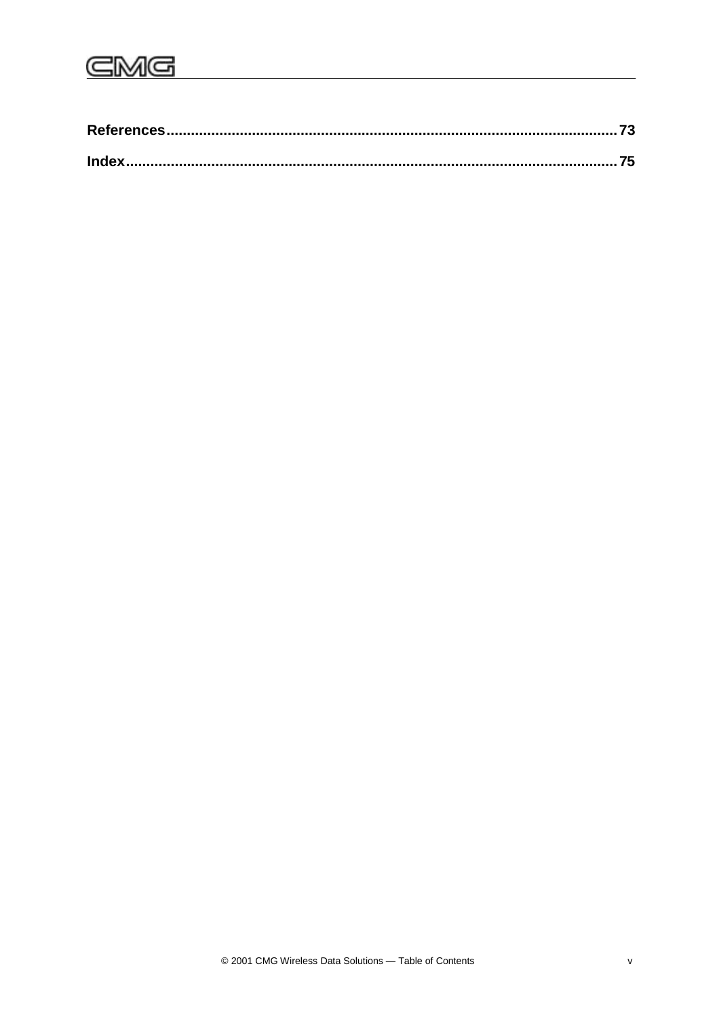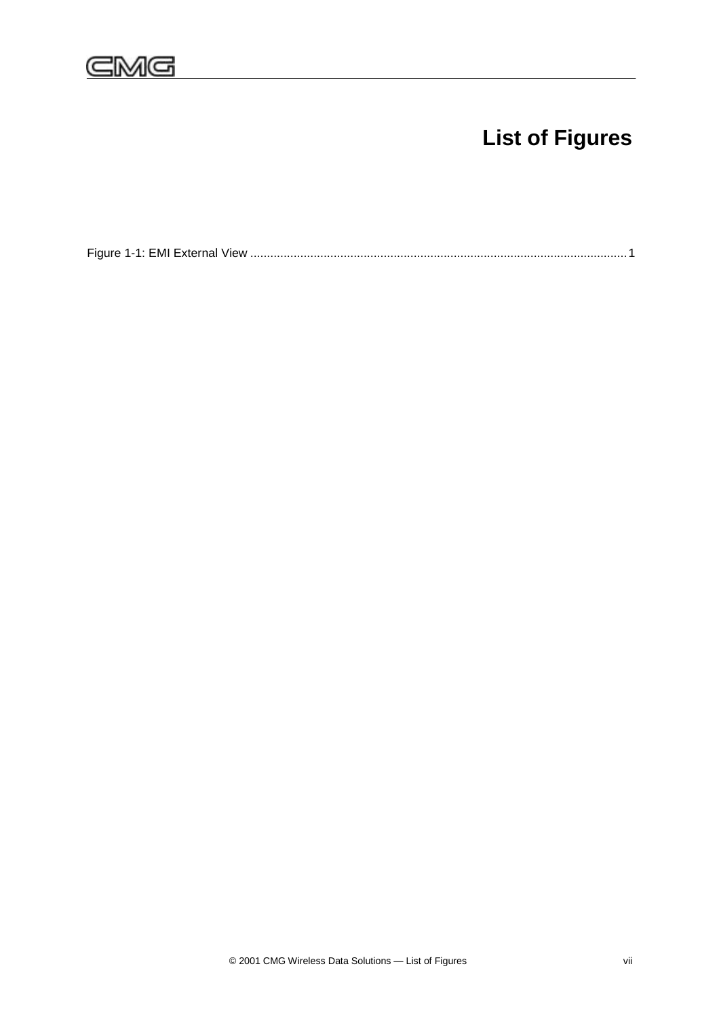# **List of Figures**

[Figure 1-1: EMI External View .................................................................................................................1](#page-14-0)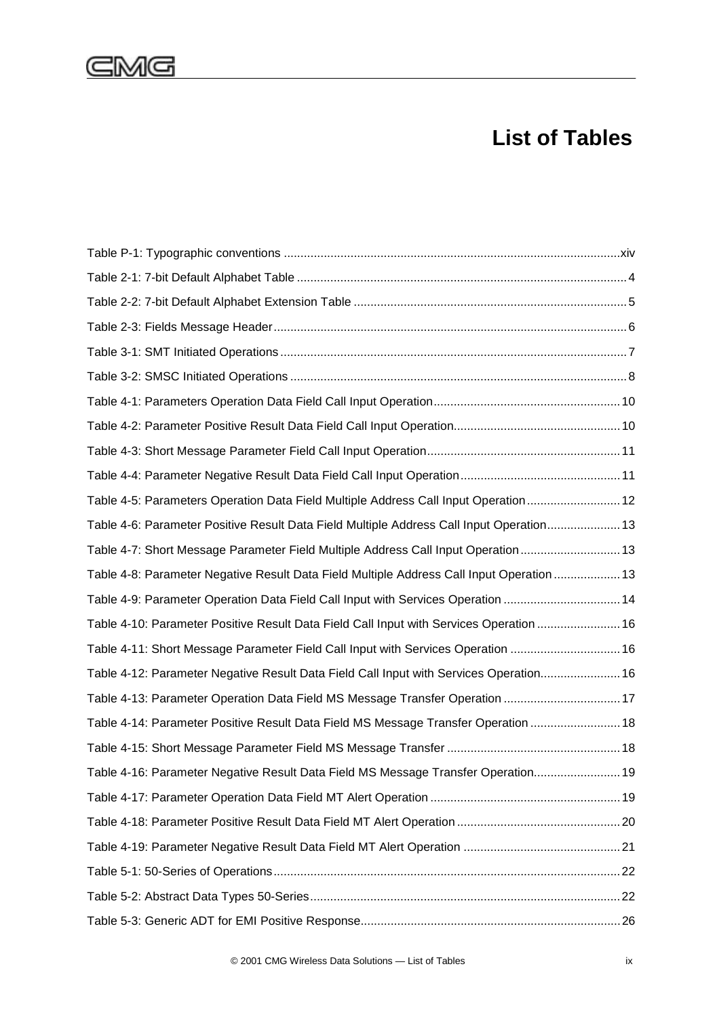## GMG

## **List of Tables**

| 12 Table 4-5: Parameters Operation Data Field Multiple Address Call Input Operation  12      |  |
|----------------------------------------------------------------------------------------------|--|
| 13. Table 4-6: Parameter Positive Result Data Field Multiple Address Call Input Operation 13 |  |
| Table 4-7: Short Message Parameter Field Multiple Address Call Input Operation 13            |  |
| Table 4-8: Parameter Negative Result Data Field Multiple Address Call Input Operation  13    |  |
| Table 4-9: Parameter Operation Data Field Call Input with Services Operation  14             |  |
| 16. Table 4-10: Parameter Positive Result Data Field Call Input with Services Operation  16  |  |
| Table 4-11: Short Message Parameter Field Call Input with Services Operation  16             |  |
| Table 4-12: Parameter Negative Result Data Field Call Input with Services Operation 16       |  |
| Table 4-13: Parameter Operation Data Field MS Message Transfer Operation  17                 |  |
| Table 4-14: Parameter Positive Result Data Field MS Message Transfer Operation  18           |  |
|                                                                                              |  |
| Table 4-16: Parameter Negative Result Data Field MS Message Transfer Operation 19            |  |
|                                                                                              |  |
|                                                                                              |  |
|                                                                                              |  |
|                                                                                              |  |
|                                                                                              |  |
|                                                                                              |  |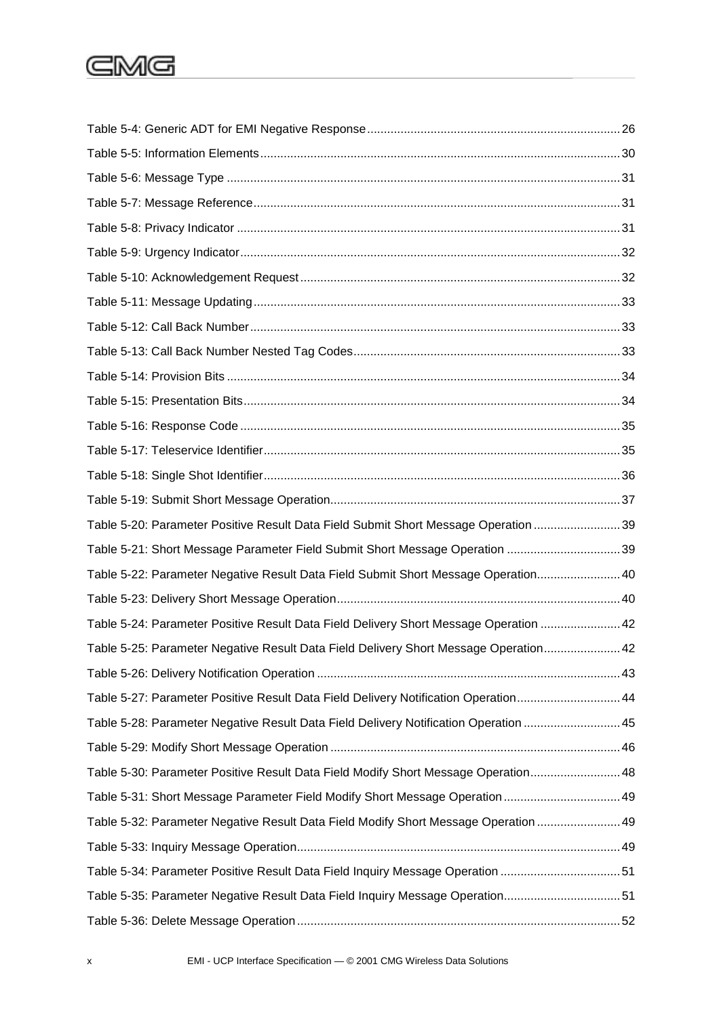# **GMG**

| Table 5-20: Parameter Positive Result Data Field Submit Short Message Operation 39    |  |
|---------------------------------------------------------------------------------------|--|
| Table 5-21: Short Message Parameter Field Submit Short Message Operation 39           |  |
| Table 5-22: Parameter Negative Result Data Field Submit Short Message Operation 40    |  |
|                                                                                       |  |
| Table 5-24: Parameter Positive Result Data Field Delivery Short Message Operation  42 |  |
| Table 5-25: Parameter Negative Result Data Field Delivery Short Message Operation 42  |  |
|                                                                                       |  |
| Table 5-27: Parameter Positive Result Data Field Delivery Notification Operation44    |  |
| Table 5-28: Parameter Negative Result Data Field Delivery Notification Operation 45   |  |
|                                                                                       |  |
| Table 5-30: Parameter Positive Result Data Field Modify Short Message Operation 48    |  |
| 49. Table 5-31: Short Message Parameter Field Modify Short Message Operation 49       |  |
| Table 5-32: Parameter Negative Result Data Field Modify Short Message Operation  49   |  |
|                                                                                       |  |
| Table 5-34: Parameter Positive Result Data Field Inquiry Message Operation 51         |  |
| Table 5-35: Parameter Negative Result Data Field Inquiry Message Operation51          |  |
|                                                                                       |  |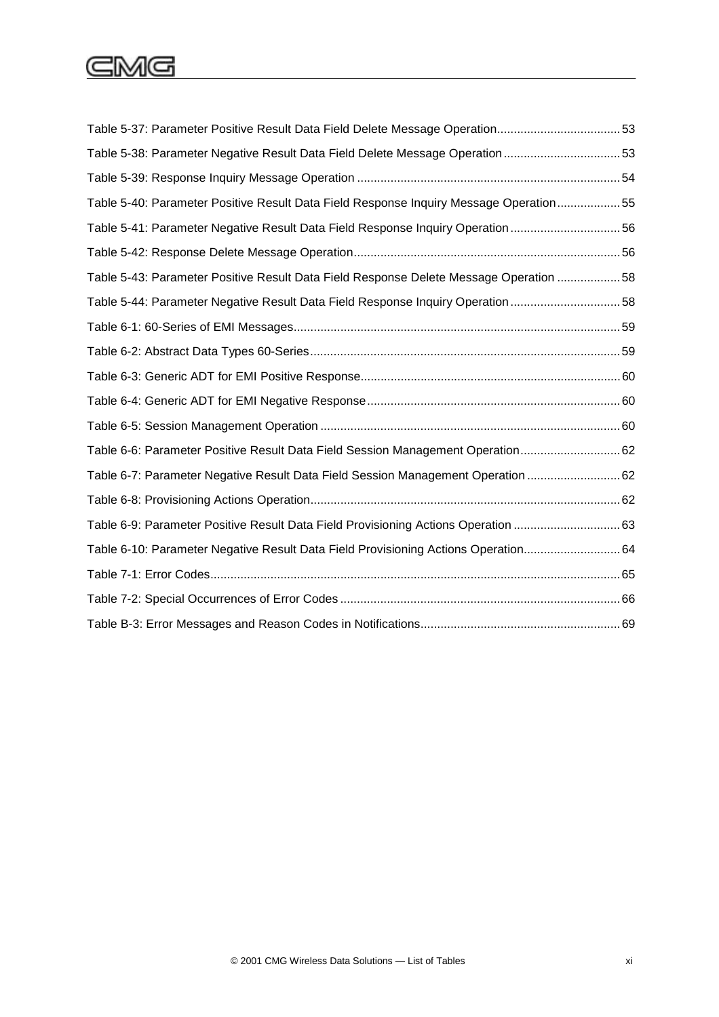# CMG

| Table 5-37: Parameter Positive Result Data Field Delete Message Operation53            |  |
|----------------------------------------------------------------------------------------|--|
| Table 5-38: Parameter Negative Result Data Field Delete Message Operation 53           |  |
|                                                                                        |  |
| Table 5-40: Parameter Positive Result Data Field Response Inquiry Message Operation 55 |  |
| Table 5-41: Parameter Negative Result Data Field Response Inquiry Operation 56         |  |
|                                                                                        |  |
| Table 5-43: Parameter Positive Result Data Field Response Delete Message Operation  58 |  |
| Table 5-44: Parameter Negative Result Data Field Response Inquiry Operation 58         |  |
|                                                                                        |  |
|                                                                                        |  |
|                                                                                        |  |
|                                                                                        |  |
|                                                                                        |  |
| Table 6-6: Parameter Positive Result Data Field Session Management Operation 62        |  |
| Table 6-7: Parameter Negative Result Data Field Session Management Operation 62        |  |
|                                                                                        |  |
| Table 6-9: Parameter Positive Result Data Field Provisioning Actions Operation 63      |  |
| Table 6-10: Parameter Negative Result Data Field Provisioning Actions Operation 64     |  |
|                                                                                        |  |
|                                                                                        |  |
|                                                                                        |  |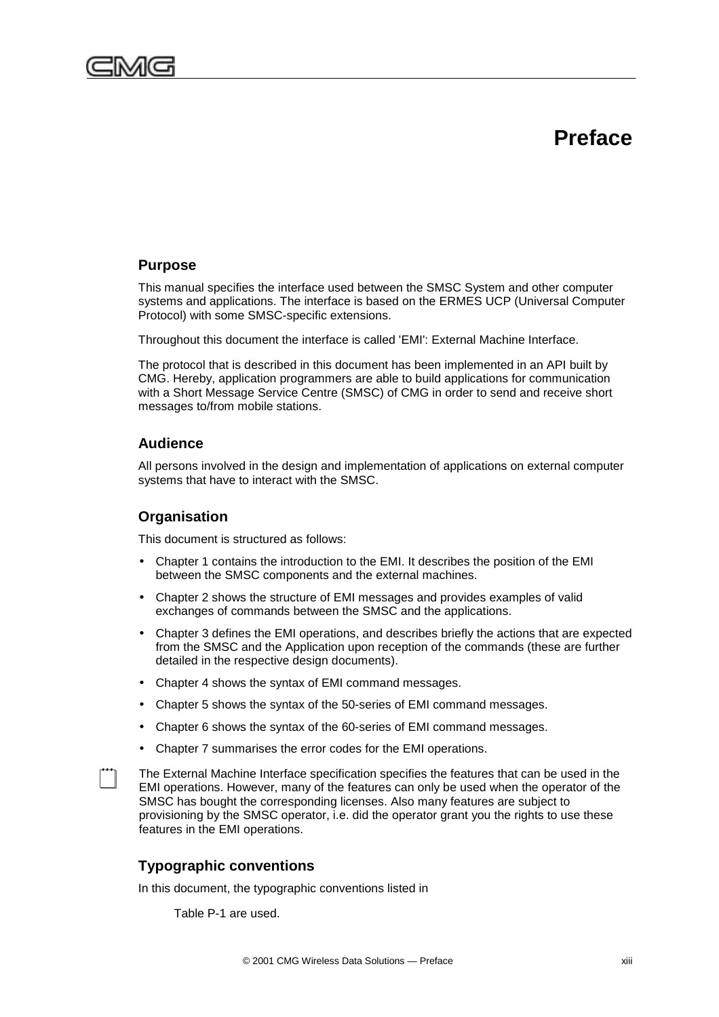

<span id="page-12-0"></span>

This manual specifies the interface used between the SMSC System and other computer systems and applications. The interface is based on the ERMES UCP (Universal Computer Protocol) with some SMSC-specific extensions.

Throughout this document the interface is called 'EMI': External Machine Interface.

The protocol that is described in this document has been implemented in an API built by CMG. Hereby, application programmers are able to build applications for communication with a Short Message Service Centre (SMSC) of CMG in order to send and receive short messages to/from mobile stations.

## **Audience**

All persons involved in the design and implementation of applications on external computer systems that have to interact with the SMSC.

## **Organisation**

This document is structured as follows:

- Chapter 1 contains the introduction to the EMI. It describes the position of the EMI between the SMSC components and the external machines.
- Chapter 2 shows the structure of EMI messages and provides examples of valid exchanges of commands between the SMSC and the applications.
- Chapter 3 defines the EMI operations, and describes briefly the actions that are expected from the SMSC and the Application upon reception of the commands (these are further detailed in the respective design documents).
- Chapter 4 shows the syntax of EMI command messages.
- Chapter 5 shows the syntax of the 50-series of EMI command messages.
- Chapter 6 shows the syntax of the 60-series of EMI command messages.
- Chapter 7 summarises the error codes for the EMI operations.

The External Machine Interface specification specifies the features that can be used in the EMI operations. However, many of the features can only be used when the operator of the SMSC has bought the corresponding licenses. Also many features are subject to provisioning by the SMSC operator, i.e. did the operator grant you the rights to use these features in the EMI operations.

## **Typographic conventions**

In this document, the typographic conventions listed in

[Table P-1](#page-13-0) are used.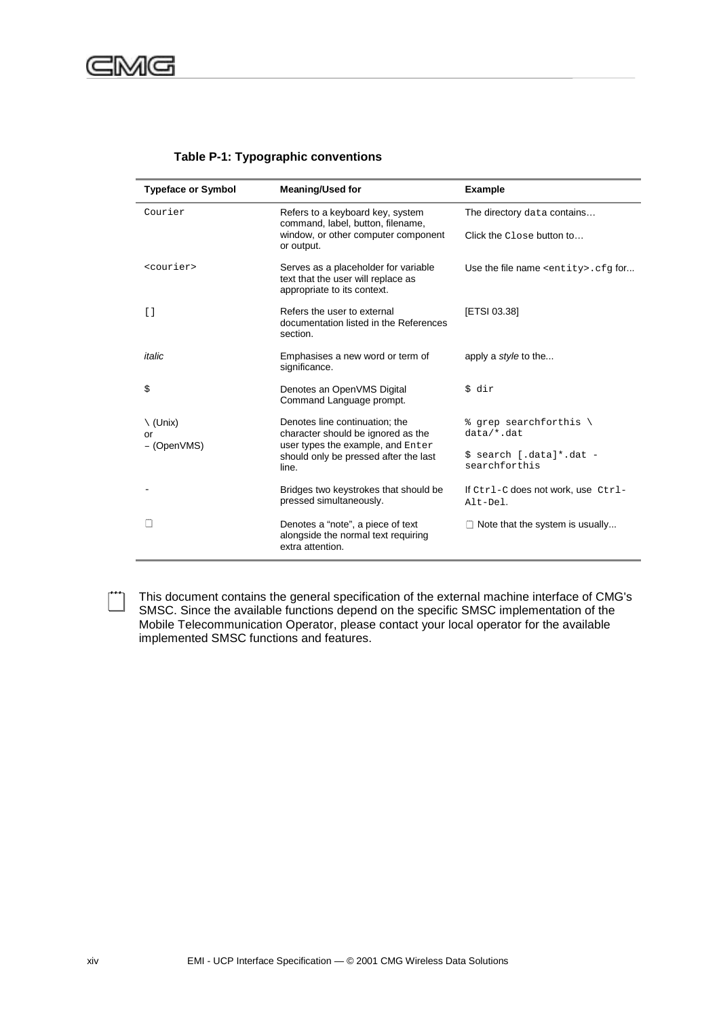|  | Table P-1: Typographic conventions |  |
|--|------------------------------------|--|
|--|------------------------------------|--|

<span id="page-13-0"></span>

| <b>Typeface or Symbol</b>                       | <b>Meaning/Used for</b>                                                                                   | <b>Example</b>                                 |  |  |  |  |
|-------------------------------------------------|-----------------------------------------------------------------------------------------------------------|------------------------------------------------|--|--|--|--|
| Courier                                         | Refers to a keyboard key, system<br>command, label, button, filename,                                     | The directory data contains                    |  |  |  |  |
|                                                 | window, or other computer component<br>or output.                                                         | Click the Close button to                      |  |  |  |  |
| <courier></courier>                             | Serves as a placeholder for variable<br>text that the user will replace as<br>appropriate to its context. | Use the file name <entity>.cfq for</entity>    |  |  |  |  |
| $\left[ \begin{array}{c} 1 \end{array} \right]$ | Refers the user to external<br>documentation listed in the References<br>section.                         | [ETSI 03.38]                                   |  |  |  |  |
| italic                                          | Emphasises a new word or term of<br>significance.                                                         | apply a <i>style</i> to the                    |  |  |  |  |
| \$                                              | Denotes an OpenVMS Digital<br>Command Language prompt.                                                    | \$ dir                                         |  |  |  |  |
| $\setminus$ (Unix)<br>or                        | Denotes line continuation; the<br>character should be ignored as the<br>user types the example, and Enter | % grep searchforthis \<br>$data/*$ .dat        |  |  |  |  |
| - (OpenVMS)                                     | should only be pressed after the last<br>line.                                                            | \$ search [.data]*.dat -<br>searchforthis      |  |  |  |  |
|                                                 | Bridges two keystrokes that should be<br>pressed simultaneously.                                          | If Ctrl-C does not work, use Ctrl-<br>Alt-Del. |  |  |  |  |
|                                                 | Denotes a "note", a piece of text<br>alongside the normal text requiring<br>extra attention.              | $\Box$ Note that the system is usually         |  |  |  |  |

This document contains the general specification of the external machine interface of CMG's<br>SMSC. Since the available functions depend on the specific SMSC implementation of the Mobile Telecommunication Operator, please contact your local operator for the available implemented SMSC functions and features.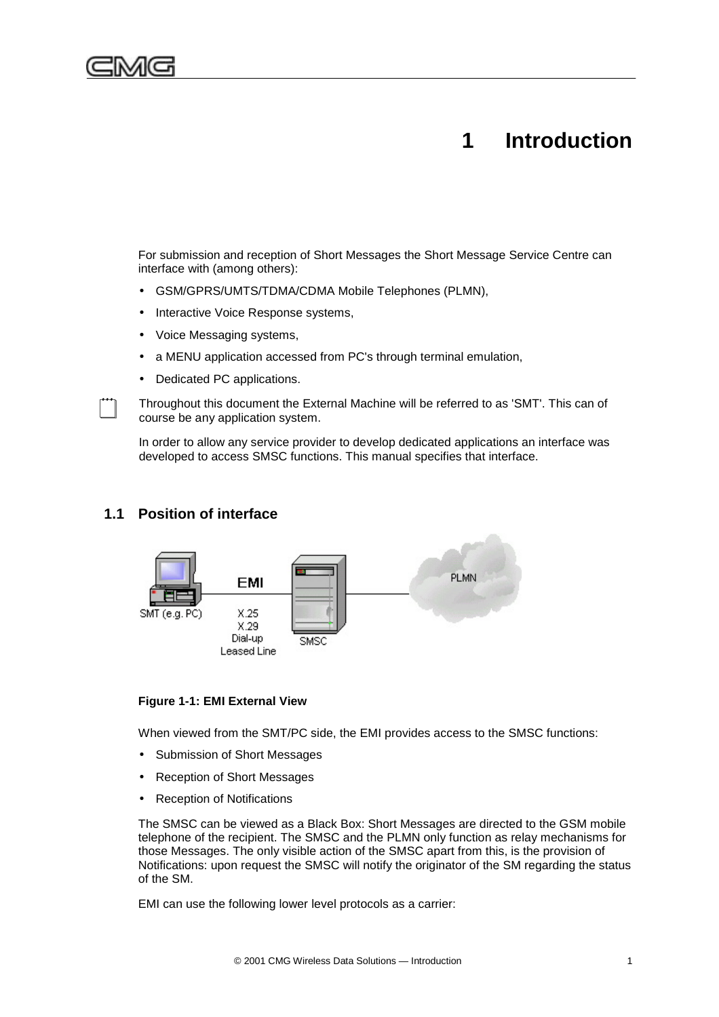<span id="page-14-0"></span>

## **1 Introduction**

For submission and reception of Short Messages the Short Message Service Centre can interface with (among others):

- GSM/GPRS/UMTS/TDMA/CDMA Mobile Telephones (PLMN),
- Interactive Voice Response systems,
- Voice Messaging systems,
- a MENU application accessed from PC's through terminal emulation,
- Dedicated PC applications.

! Throughout this document the External Machine will be referred to as 'SMT'. This can of course be any application system.

In order to allow any service provider to develop dedicated applications an interface was developed to access SMSC functions. This manual specifies that interface.

## **1.1 Position of interface**



#### **Figure 1-1: EMI External View**

When viewed from the SMT/PC side, the EMI provides access to the SMSC functions:

- Submission of Short Messages
- Reception of Short Messages
- Reception of Notifications

The SMSC can be viewed as a Black Box: Short Messages are directed to the GSM mobile telephone of the recipient. The SMSC and the PLMN only function as relay mechanisms for those Messages. The only visible action of the SMSC apart from this, is the provision of Notifications: upon request the SMSC will notify the originator of the SM regarding the status of the SM.

EMI can use the following lower level protocols as a carrier: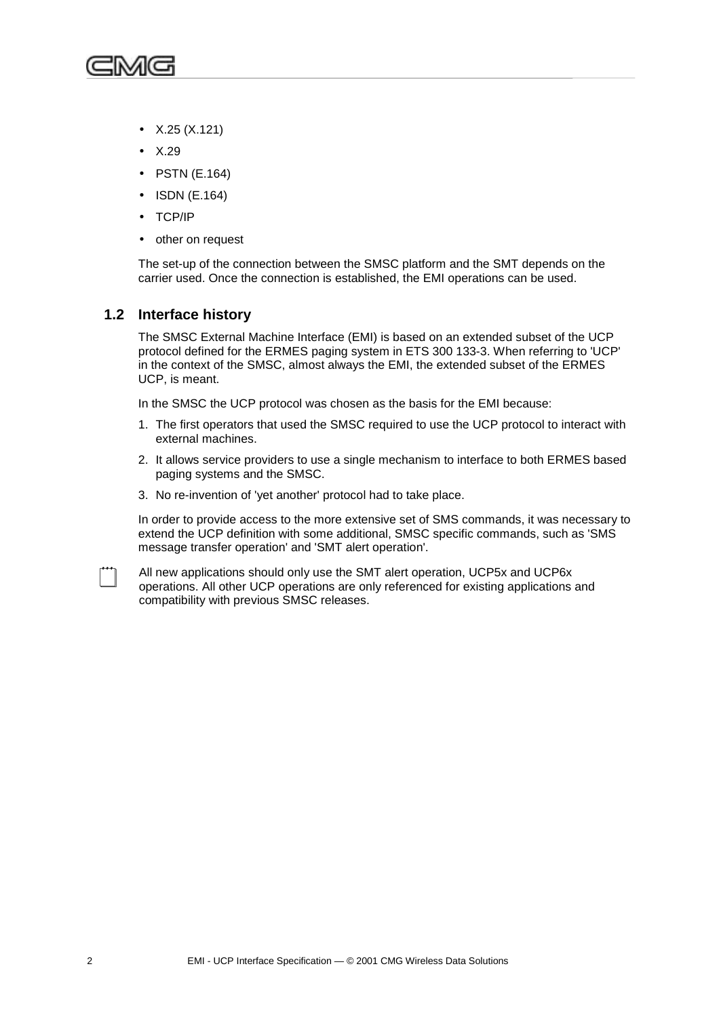<span id="page-15-0"></span>

- X.25 (X.121)
- X.29
- PSTN (E.164)
- ISDN (E.164)
- TCP/IP
- other on request

The set-up of the connection between the SMSC platform and the SMT depends on the carrier used. Once the connection is established, the EMI operations can be used.

### **1.2 Interface history**

The SMSC External Machine Interface (EMI) is based on an extended subset of the UCP protocol defined for the ERMES paging system in ETS 300 133-3. When referring to 'UCP' in the context of the SMSC, almost always the EMI, the extended subset of the ERMES UCP, is meant.

In the SMSC the UCP protocol was chosen as the basis for the EMI because:

- 1. The first operators that used the SMSC required to use the UCP protocol to interact with external machines.
- 2. It allows service providers to use a single mechanism to interface to both ERMES based paging systems and the SMSC.
- 3. No re-invention of 'yet another' protocol had to take place.

In order to provide access to the more extensive set of SMS commands, it was necessary to extend the UCP definition with some additional, SMSC specific commands, such as 'SMS message transfer operation' and 'SMT alert operation'.

! All new applications should only use the SMT alert operation, UCP5x and UCP6x operations. All other UCP operations are only referenced for existing applications and compatibility with previous SMSC releases.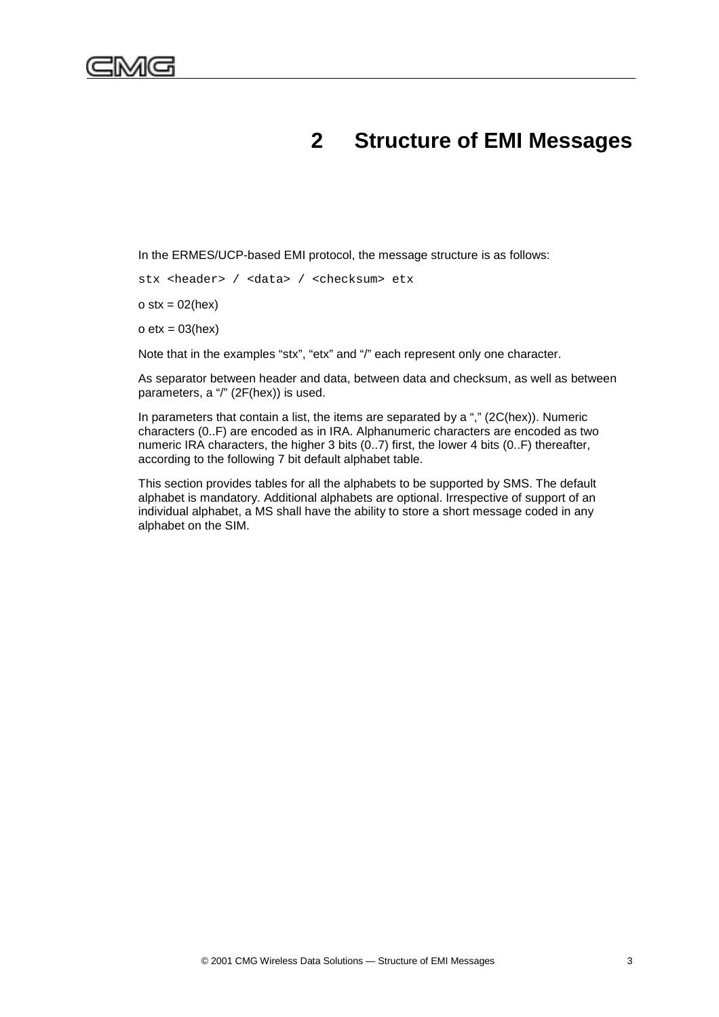## **2 Structure of EMI Messages**

<span id="page-16-0"></span>In the ERMES/UCP-based EMI protocol, the message structure is as follows:

stx <header> / <data> / <checksum> etx

 $o$  stx = 02(hex)

 $o$  etx = 03(hex)

Note that in the examples "stx", "etx" and "/" each represent only one character.

As separator between header and data, between data and checksum, as well as between parameters, a "/" (2F(hex)) is used.

In parameters that contain a list, the items are separated by a "," (2C(hex)). Numeric characters (0..F) are encoded as in IRA. Alphanumeric characters are encoded as two numeric IRA characters, the higher 3 bits (0..7) first, the lower 4 bits (0..F) thereafter, according to the following 7 bit default alphabet table.

This section provides tables for all the alphabets to be supported by SMS. The default alphabet is mandatory. Additional alphabets are optional. Irrespective of support of an individual alphabet, a MS shall have the ability to store a short message coded in any alphabet on the SIM.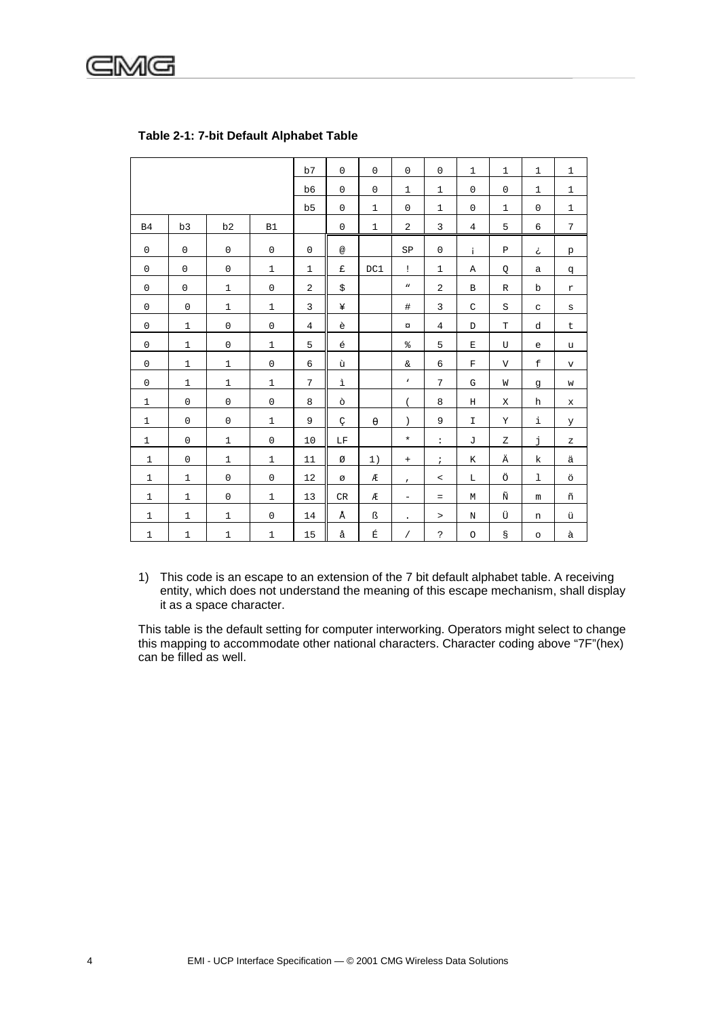<span id="page-17-0"></span>

|              |              |              |              | b7             | $\overline{0}$ | $\mathbf 0$           | $\mathbf 0$              | $\mathbf 0$          | $\mathbf{1}$   | $\mathbf{1}$ | $\mathbf{1}$ | $\mathbf{1}$ |
|--------------|--------------|--------------|--------------|----------------|----------------|-----------------------|--------------------------|----------------------|----------------|--------------|--------------|--------------|
|              |              |              |              | b6             | $\mathbf 0$    | $\mathbf 0$           | $\mathbf{1}$             | $\mathbf{1}$         | $\mathbf 0$    | $\mathbf 0$  | $\mathbf{1}$ | $\mathbf{1}$ |
|              |              |              |              | b <sub>5</sub> | $\mathbf 0$    | $\mathbf 1$           | $\mathbf 0$              | $\mathbf{1}$         | $\mathbf 0$    | $\mathbf{1}$ | $\mathbf 0$  | $\mathbf{1}$ |
| B4           | b3           | b2           | <b>B1</b>    |                | $\Omega$       | $\mathbf{1}$          | $\overline{2}$           | 3                    | $\overline{4}$ | 5            | 6            | 7            |
| $\mathbf 0$  | $\mathbf 0$  | $\mathbf 0$  | $\mathbf 0$  | $\mathbf 0$    | @              |                       | SP                       | $\mathbf 0$          | i.             | $\, {\bf P}$ | تح           | $\rm p$      |
| $\mathbf 0$  | $\mathbf 0$  | $\mathbf 0$  | $\mathbf{1}$ | $\mathbf{1}$   | £              | DC1                   | $\mathbf{I}$             | $\mathbf{1}$         | Α              | Q            | $\mathsf a$  | đ            |
| $\mathbf 0$  | $\mathbf 0$  | $\mathbf{1}$ | $\mathbf 0$  | $\overline{a}$ | \$             |                       | $\boldsymbol{n}$         | 2                    | В              | $\mathbb{R}$ | $\mathbf b$  | $\mathtt{r}$ |
| $\mathbf 0$  | $\mathbf 0$  | $\mathbf{1}$ | $\mathbf{1}$ | 3              | ¥              |                       | $\#$                     | 3                    | $\mathsf C$    | $\rm S$      | C            | $\mathtt{s}$ |
| $\mathbf 0$  | $\mathbf{1}$ | $\mathbf 0$  | $\mathbf 0$  | $\overline{4}$ | è              |                       | $\alpha$                 | $\overline{4}$       | D              | $\mathbf T$  | d            | t            |
| $\Omega$     | $\mathbf{1}$ | $\mathsf 0$  | $\mathbf{1}$ | 5              | $\acute{e}$    |                       | $\,$ $\,$ $\,$           | 5                    | $\mathbf E$    | U            | $\epsilon$   | u            |
| $\mathbf 0$  | $\mathbf{1}$ | $\mathbf{1}$ | $\mathbf 0$  | 6              | ù              |                       | $\delta$                 | 6                    | $\mathbf F$    | $\mathbf{V}$ | $\mathbf f$  | $\rm v$      |
| $\mathbf 0$  | $\mathbf{1}$ | $\mathbf{1}$ | $\mathbf{1}$ | 7              | ì              |                       | $\mathbf v$              | 7                    | G              | W            | g            | W            |
| $\mathbf{1}$ | $\mathbf 0$  | $\mathbf 0$  | $\mathbf 0$  | 8              | ò              |                       | $\overline{(\ }$         | 8                    | Η              | X            | h            | $\mathbf x$  |
| $\mathbf{1}$ | $\mathbf 0$  | $\mathbf 0$  | $\mathbf{1}$ | 9              | Ç              | $\boldsymbol{\theta}$ | $\lambda$                | 9                    | $\mathbf I$    | Y            | i            | У            |
| $\mathbf{1}$ | $\mathbf 0$  | $\mathbf{1}$ | $\mathbf 0$  | 10             | LF             |                       | $\ast$                   | $\ddot{\phantom{a}}$ | J              | Ζ            | j            | Ζ            |
| $\mathbf{1}$ | $\mathbf 0$  | $\mathbf{1}$ | $\mathbf{1}$ | 11             | Ø              | 1)                    | $+$                      | $\mathbf{r}$         | Κ              | Ä            | k            | ä            |
| $\mathbf{1}$ | $\mathbf{1}$ | $\mathbf 0$  | $\mathbf 0$  | 12             | Ø              | Æ                     | $\mathbf{r}$             | $\,<\,$              | L              | Ö            | $\mathbf{1}$ | ö            |
| $\mathbf{1}$ | $\mathbf{1}$ | $\mathbf 0$  | $\mathbf{1}$ | 13             | <b>CR</b>      | Æ                     | $\overline{\phantom{a}}$ | $=$                  | M              | Ñ            | m            | ñ            |
| $\mathbf{1}$ | $\mathbf{1}$ | $\mathbf{1}$ | $\mathsf 0$  | 14             | Å              | ß                     | $\bullet$                | $\, >$               | N              | Ü            | n            | ü            |
| $\mathbf{1}$ | $\mathbf 1$  | $\mathbf{1}$ | $\mathbf 1$  | 15             | å              | É                     | $\sqrt{2}$               | $\ddot{\phantom{0}}$ | $\circ$        | g            | $\circ$      | à            |

### Table 2-1: 7-bit Default Alphabet Table

1) This code is an escape to an extension of the 7 bit default alphabet table. A receiving entity, which does not understand the meaning of this escape mechanism, shall display it as a space character.

This table is the default setting for computer interworking. Operators might select to change this mapping to accommodate other national characters. Character coding above "7F"(hex) can be filled as well.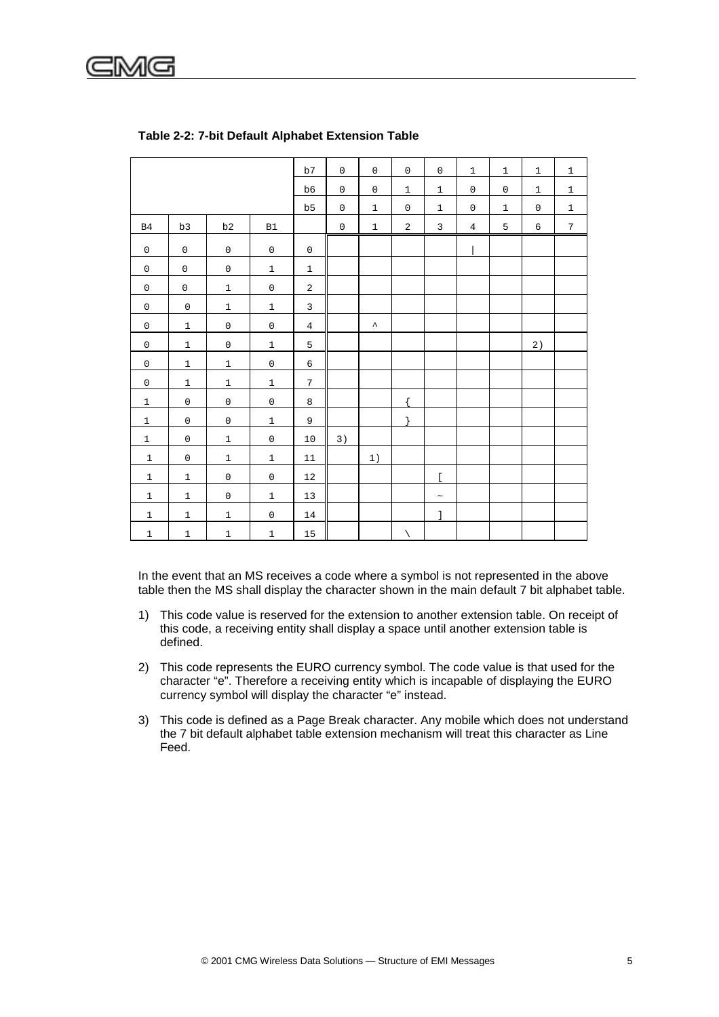<span id="page-18-0"></span>

|                     |                     |                     |                     | b7              | $\mathsf{O}\xspace$ | $\mathsf{O}\xspace$ | $\mathsf{O}\xspace$ | $\mathsf 0$    | $\mathbf{1}$        | $\mathbf{1}$ | $\mathbf{1}$ | $1\,$       |
|---------------------|---------------------|---------------------|---------------------|-----------------|---------------------|---------------------|---------------------|----------------|---------------------|--------------|--------------|-------------|
|                     |                     |                     |                     | $_{\rm b6}$     | $\mathsf 0$         | $\mathsf{O}\xspace$ | $\mathbf 1$         | $\mathbf{1}$   | $\mathsf{O}\xspace$ | $\mathsf 0$  | $\mathbf{1}$ | $\mathbf 1$ |
|                     |                     |                     |                     | b5              | $\mathsf{O}\xspace$ | $\mathbf 1$         | $\mathsf 0$         | $\mathbf{1}$   | $\mathsf{O}\xspace$ | $\mathbf{1}$ | $\mathbf 0$  | $1\,$       |
| B4                  | b3                  | b2                  |                     |                 | $\mathsf{O}\xspace$ | $\mathbf{1}$        | $\overline{2}$      | $\overline{3}$ | $\overline{4}$      | 5            | 6            | 7           |
|                     |                     |                     | B1                  |                 |                     |                     |                     |                |                     |              |              |             |
| $\mathsf 0$         | $\mathsf{O}\xspace$ | $\mathsf 0$         | $\mathsf{O}\xspace$ | $\mathsf 0$     |                     |                     |                     |                |                     |              |              |             |
| $\mathsf 0$         | $\mathsf 0$         | $\mathbb O$         | $\mathbf 1$         | $\mathbf{1}$    |                     |                     |                     |                |                     |              |              |             |
| $\mathsf{O}\xspace$ | $\mathsf{O}\xspace$ | $\mathbf{1}$        | $\mathsf{O}\xspace$ | $\overline{a}$  |                     |                     |                     |                |                     |              |              |             |
| $\mathsf 0$         | $\mathsf{O}\xspace$ | $\mathbf 1$         | $\mathbf 1$         | $\mathbf{3}$    |                     |                     |                     |                |                     |              |              |             |
| $\mathsf{O}\xspace$ | $1\,$               | $\mathsf{O}$        | $\mathbb O$         | $\overline{4}$  |                     | $\hat{\phantom{a}}$ |                     |                |                     |              |              |             |
| $\mathsf{O}\xspace$ | $\,1$               | $\mathsf{O}\xspace$ | $\,1$               | 5               |                     |                     |                     |                |                     |              | $2\,)$       |             |
| $\mathsf 0$         | $\mathbf 1$         | $\,1\,$             | $\mathsf{O}\xspace$ | $\epsilon$      |                     |                     |                     |                |                     |              |              |             |
| $\mathsf 0$         | $\mathbf 1$         | $\mathbf 1$         | $\mathbf 1$         | $7\overline{ }$ |                     |                     |                     |                |                     |              |              |             |
| $\,1$               | $\mathsf{O}$        | $\mathsf{O}\xspace$ | $\mathsf{O}\xspace$ | 8               |                     |                     | $\{$                |                |                     |              |              |             |
| $1\,$               | $\mathsf{O}\xspace$ | $\mathsf{O}\xspace$ | $\mathbf 1$         | 9               |                     |                     | $\left\{ \right.$   |                |                     |              |              |             |
| $\mathbf{1}$        | $\mathsf{O}\xspace$ | $\mathbf 1$         | $\mathbb O$         | 10              | 3)                  |                     |                     |                |                     |              |              |             |
| $\mathbf 1$         | $\mathsf{O}\xspace$ | $\mathbf 1$         | $\mathbf 1$         | $11\,$          |                     | 1)                  |                     |                |                     |              |              |             |
| $\mathbf{1}$        | $\mathbf{1}$        | $\mathsf{O}$        | $\mathsf{O}$        | 12              |                     |                     |                     | $\overline{a}$ |                     |              |              |             |
| $\mathbf{1}$        | $\mathbf{1}$        | $\mathsf 0$         | $1\,$               | 13              |                     |                     |                     | $\sim$         |                     |              |              |             |
| $\,1$               | $\,1$               | $\,1\,$             | $\mathsf{O}\xspace$ | $14$            |                     |                     |                     | J              |                     |              |              |             |
| $\mathbf 1$         | $\mathbf 1$         | $\mathbf 1$         | $\mathbf 1$         | $15\,$          |                     |                     | $\Delta$            |                |                     |              |              |             |

#### **Table 2-2: 7-bit Default Alphabet Extension Table**

In the event that an MS receives a code where a symbol is not represented in the above table then the MS shall display the character shown in the main default 7 bit alphabet table.

- 1) This code value is reserved for the extension to another extension table. On receipt of this code, a receiving entity shall display a space until another extension table is defined.
- 2) This code represents the EURO currency symbol. The code value is that used for the character "e". Therefore a receiving entity which is incapable of displaying the EURO currency symbol will display the character "e" instead.
- 3) This code is defined as a Page Break character. Any mobile which does not understand the 7 bit default alphabet table extension mechanism will treat this character as Line Feed.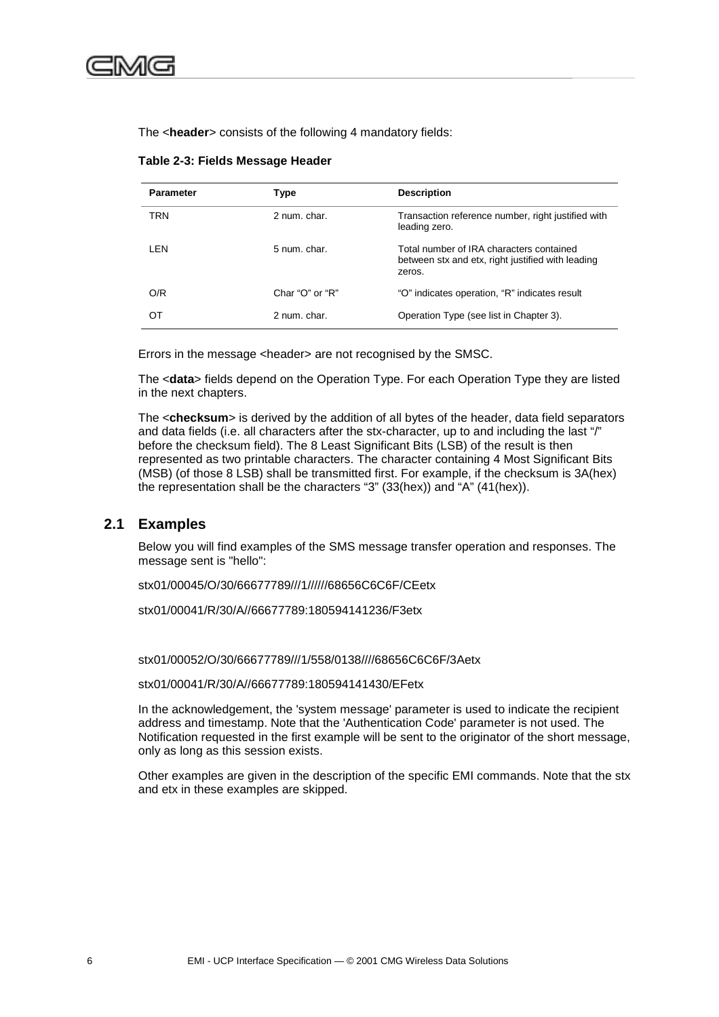<span id="page-19-0"></span>The <**header**> consists of the following 4 mandatory fields:

| <b>Parameter</b> | Type                    | <b>Description</b>                                                                                      |
|------------------|-------------------------|---------------------------------------------------------------------------------------------------------|
| <b>TRN</b>       | 2 num. char.            | Transaction reference number, right justified with<br>leading zero.                                     |
| LEN              | 5 num. char.            | Total number of IRA characters contained<br>between stx and etx, right justified with leading<br>zeros. |
| O/R              | Char " $O$ " or " $R$ " | "O" indicates operation, "R" indicates result                                                           |
| ОТ               | 2 num. char.            | Operation Type (see list in Chapter 3).                                                                 |

#### **Table 2-3: Fields Message Header**

Errors in the message <header> are not recognised by the SMSC.

The <**data**> fields depend on the Operation Type. For each Operation Type they are listed in the next chapters.

The <**checksum**> is derived by the addition of all bytes of the header, data field separators and data fields (i.e. all characters after the stx-character, up to and including the last "/" before the checksum field). The 8 Least Significant Bits (LSB) of the result is then represented as two printable characters. The character containing 4 Most Significant Bits (MSB) (of those 8 LSB) shall be transmitted first. For example, if the checksum is 3A(hex) the representation shall be the characters "3" (33(hex)) and "A" (41(hex)).

### **2.1 Examples**

Below you will find examples of the SMS message transfer operation and responses. The message sent is "hello":

stx01/00045/O/30/66677789///1//////68656C6C6F/CEetx

stx01/00041/R/30/A//66677789:180594141236/F3etx

stx01/00052/O/30/66677789///1/558/0138////68656C6C6F/3Aetx

stx01/00041/R/30/A//66677789:180594141430/EFetx

In the acknowledgement, the 'system message' parameter is used to indicate the recipient address and timestamp. Note that the 'Authentication Code' parameter is not used. The Notification requested in the first example will be sent to the originator of the short message, only as long as this session exists.

Other examples are given in the description of the specific EMI commands. Note that the stx and etx in these examples are skipped.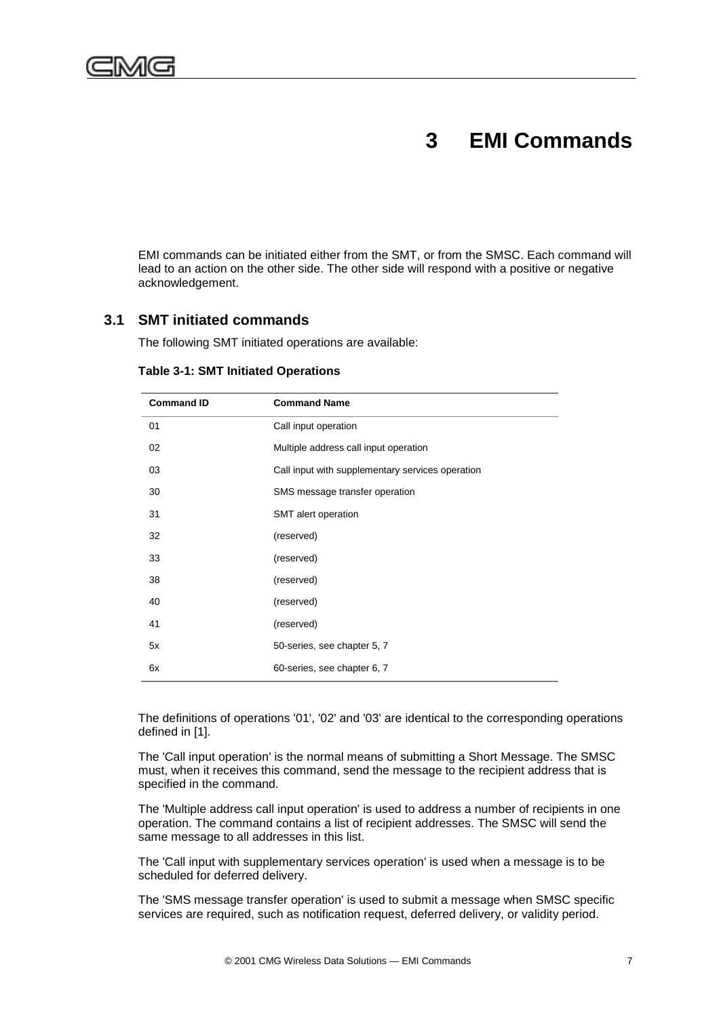<span id="page-20-0"></span>

## **3 EMI Commands**

EMI commands can be initiated either from the SMT, or from the SMSC. Each command will lead to an action on the other side. The other side will respond with a positive or negative acknowledgement.

### **3.1 SMT initiated commands**

The following SMT initiated operations are available:

| <b>Command ID</b> | <b>Command Name</b>                              |  |
|-------------------|--------------------------------------------------|--|
| 01                | Call input operation                             |  |
| 02                | Multiple address call input operation            |  |
| 03                | Call input with supplementary services operation |  |
| 30                | SMS message transfer operation                   |  |
| 31                | SMT alert operation                              |  |
| 32                | (reserved)                                       |  |
| 33                | (reserved)                                       |  |
| 38                | (reserved)                                       |  |
| 40                | (reserved)                                       |  |
| 41                | (reserved)                                       |  |
| 5x                | 50-series, see chapter 5, 7                      |  |
| 6x                | 60-series, see chapter 6, 7                      |  |

#### **Table 3-1: SMT Initiated Operations**

The definitions of operations '01', '02' and '03' are identical to the corresponding operations defined in [1].

The 'Call input operation' is the normal means of submitting a Short Message. The SMSC must, when it receives this command, send the message to the recipient address that is specified in the command.

The 'Multiple address call input operation' is used to address a number of recipients in one operation. The command contains a list of recipient addresses. The SMSC will send the same message to all addresses in this list.

The 'Call input with supplementary services operation' is used when a message is to be scheduled for deferred delivery.

The 'SMS message transfer operation' is used to submit a message when SMSC specific services are required, such as notification request, deferred delivery, or validity period.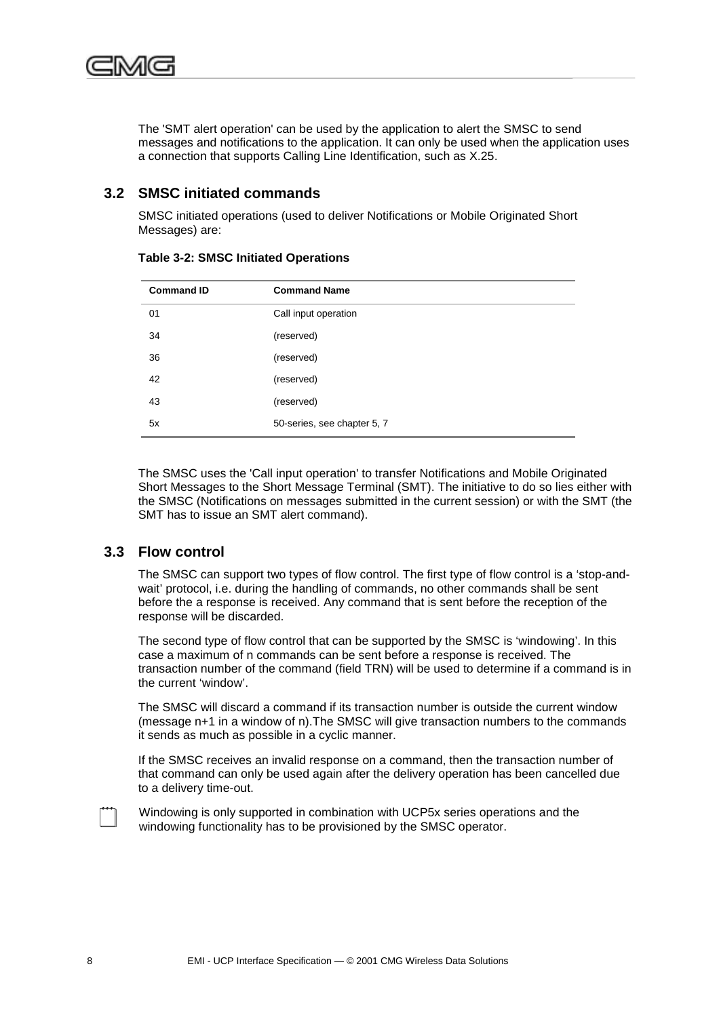<span id="page-21-0"></span>

The 'SMT alert operation' can be used by the application to alert the SMSC to send messages and notifications to the application. It can only be used when the application uses a connection that supports Calling Line Identification, such as X.25.

### **3.2 SMSC initiated commands**

SMSC initiated operations (used to deliver Notifications or Mobile Originated Short Messages) are:

| <b>Command ID</b> | <b>Command Name</b>         |  |
|-------------------|-----------------------------|--|
| 01                | Call input operation        |  |
| 34                | (reserved)                  |  |
| 36                | (reserved)                  |  |
| 42                | (reserved)                  |  |
| 43                | (reserved)                  |  |
| 5x                | 50-series, see chapter 5, 7 |  |

**Table 3-2: SMSC Initiated Operations**

The SMSC uses the 'Call input operation' to transfer Notifications and Mobile Originated Short Messages to the Short Message Terminal (SMT). The initiative to do so lies either with the SMSC (Notifications on messages submitted in the current session) or with the SMT (the SMT has to issue an SMT alert command).

## **3.3 Flow control**

The SMSC can support two types of flow control. The first type of flow control is a 'stop-andwait' protocol, i.e. during the handling of commands, no other commands shall be sent before the a response is received. Any command that is sent before the reception of the response will be discarded.

The second type of flow control that can be supported by the SMSC is 'windowing'. In this case a maximum of n commands can be sent before a response is received. The transaction number of the command (field TRN) will be used to determine if a command is in the current 'window'.

The SMSC will discard a command if its transaction number is outside the current window (message n+1 in a window of n).The SMSC will give transaction numbers to the commands it sends as much as possible in a cyclic manner.

If the SMSC receives an invalid response on a command, then the transaction number of that command can only be used again after the delivery operation has been cancelled due to a delivery time-out.

Windowing is only supported in combination with UCP5x series operations and the windowing functionality has to be provisioned by the SMSC operator.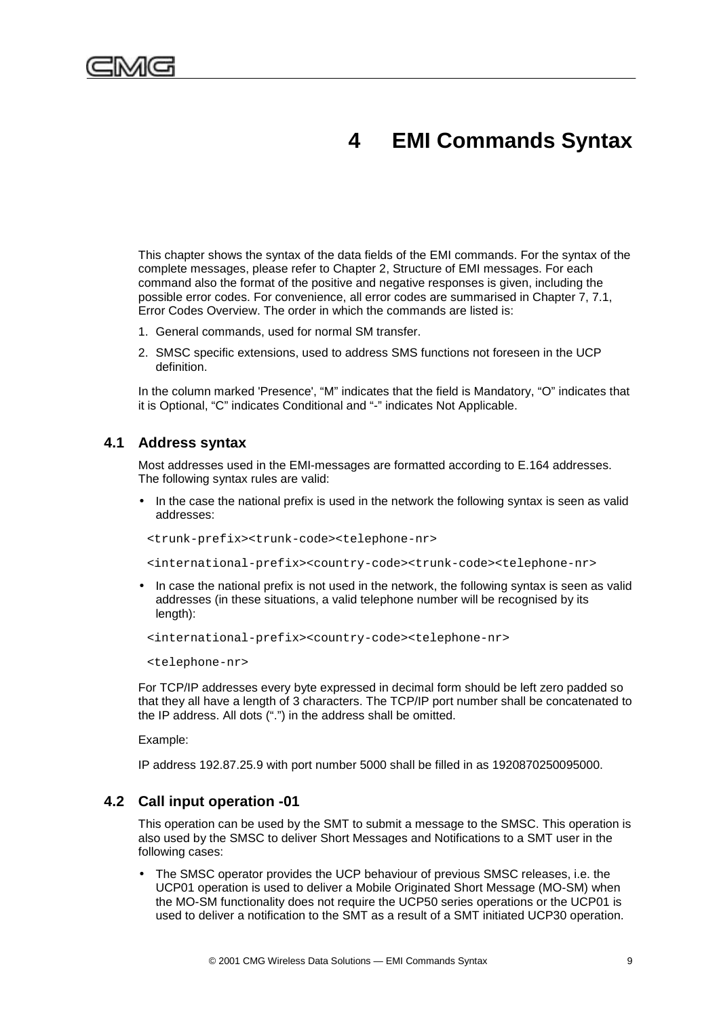<span id="page-22-0"></span>

## **4 EMI Commands Syntax**

This chapter shows the syntax of the data fields of the EMI commands. For the syntax of the complete messages, please refer to Chapter 2, Structure of EMI messages. For each command also the format of the positive and negative responses is given, including the possible error codes. For convenience, all error codes are summarised in Chapter [7,](#page-78-0) [7.1,](#page-78-0) Error Codes Overview. The order in which the commands are listed is:

- 1. General commands, used for normal SM transfer.
- 2. SMSC specific extensions, used to address SMS functions not foreseen in the UCP definition.

In the column marked 'Presence', "M" indicates that the field is Mandatory, "O" indicates that it is Optional, "C" indicates Conditional and "-" indicates Not Applicable.

### **4.1 Address syntax**

Most addresses used in the EMI-messages are formatted according to E.164 addresses. The following syntax rules are valid:

• In the case the national prefix is used in the network the following syntax is seen as valid addresses:

<trunk-prefix><trunk-code><telephone-nr>

<international-prefix><country-code><trunk-code><telephone-nr>

• In case the national prefix is not used in the network, the following syntax is seen as valid addresses (in these situations, a valid telephone number will be recognised by its length):

```
<international-prefix><country-code><telephone-nr>
```
<telephone-nr>

For TCP/IP addresses every byte expressed in decimal form should be left zero padded so that they all have a length of 3 characters. The TCP/IP port number shall be concatenated to the IP address. All dots (".") in the address shall be omitted.

Example:

IP address 192.87.25.9 with port number 5000 shall be filled in as 1920870250095000.

### **4.2 Call input operation -01**

This operation can be used by the SMT to submit a message to the SMSC. This operation is also used by the SMSC to deliver Short Messages and Notifications to a SMT user in the following cases:

• The SMSC operator provides the UCP behaviour of previous SMSC releases, i.e. the UCP01 operation is used to deliver a Mobile Originated Short Message (MO-SM) when the MO-SM functionality does not require the UCP50 series operations or the UCP01 is used to deliver a notification to the SMT as a result of a SMT initiated UCP30 operation.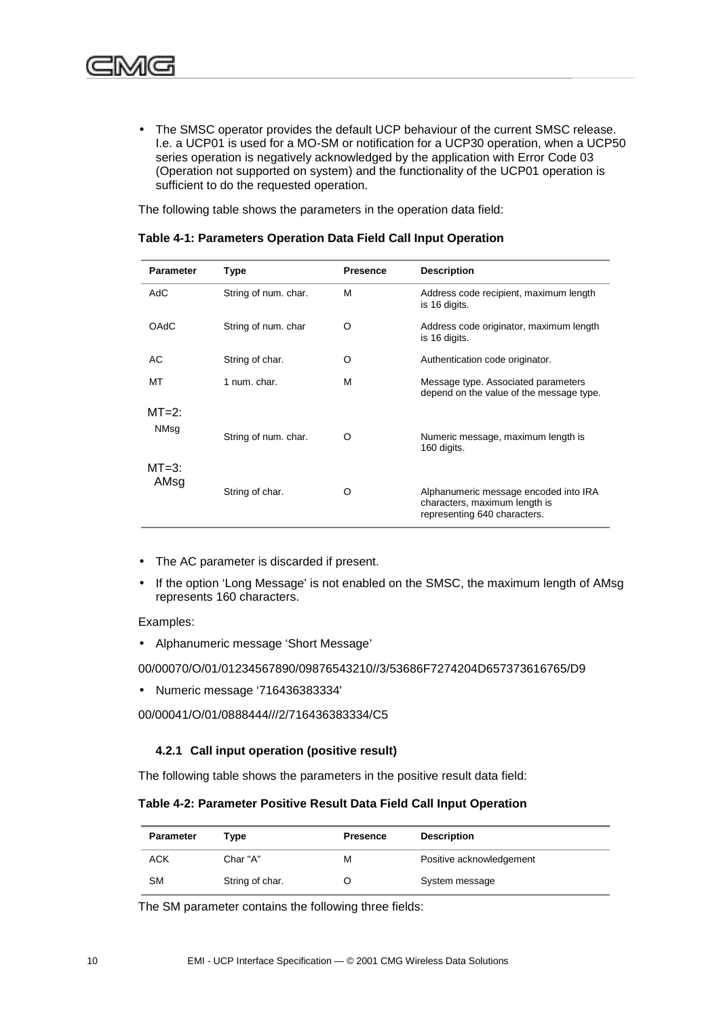<span id="page-23-0"></span>• The SMSC operator provides the default UCP behaviour of the current SMSC release. I.e. a UCP01 is used for a MO-SM or notification for a UCP30 operation, when a UCP50 series operation is negatively acknowledged by the application with Error Code 03 (Operation not supported on system) and the functionality of the UCP01 operation is sufficient to do the requested operation.

The following table shows the parameters in the operation data field:

| <b>Parameter</b> | <b>Type</b>          | <b>Presence</b> | <b>Description</b>                                                                                     |
|------------------|----------------------|-----------------|--------------------------------------------------------------------------------------------------------|
| AdC              | String of num. char. | M               | Address code recipient, maximum length<br>is 16 digits.                                                |
| <b>OAdC</b>      | String of num. char  | O               | Address code originator, maximum length<br>is 16 digits.                                               |
| AC               | String of char.      | O               | Authentication code originator.                                                                        |
| MT               | 1 num. char.         | M               | Message type. Associated parameters<br>depend on the value of the message type.                        |
| $MT=2$ :<br>NMsq | String of num. char. | O               | Numeric message, maximum length is<br>160 digits.                                                      |
| $MT=3$ :<br>AMsg | String of char.      | O               | Alphanumeric message encoded into IRA<br>characters, maximum length is<br>representing 640 characters. |

#### **Table 4-1: Parameters Operation Data Field Call Input Operation**

- The AC parameter is discarded if present.
- If the option 'Long Message' is not enabled on the SMSC, the maximum length of AMsg represents 160 characters.

Examples:

• Alphanumeric message 'Short Message'

00/00070/O/01/01234567890/09876543210//3/53686F7274204D657373616765/D9

• Numeric message '716436383334'

00/00041/O/01/0888444///2/716436383334/C5

#### **4.2.1 Call input operation (positive result)**

The following table shows the parameters in the positive result data field:

#### **Table 4-2: Parameter Positive Result Data Field Call Input Operation**

| <b>Parameter</b> | Type            | <b>Presence</b> | <b>Description</b>       |
|------------------|-----------------|-----------------|--------------------------|
| ACK              | Char "A"        | м               | Positive acknowledgement |
| SМ               | String of char. |                 | System message           |

The SM parameter contains the following three fields: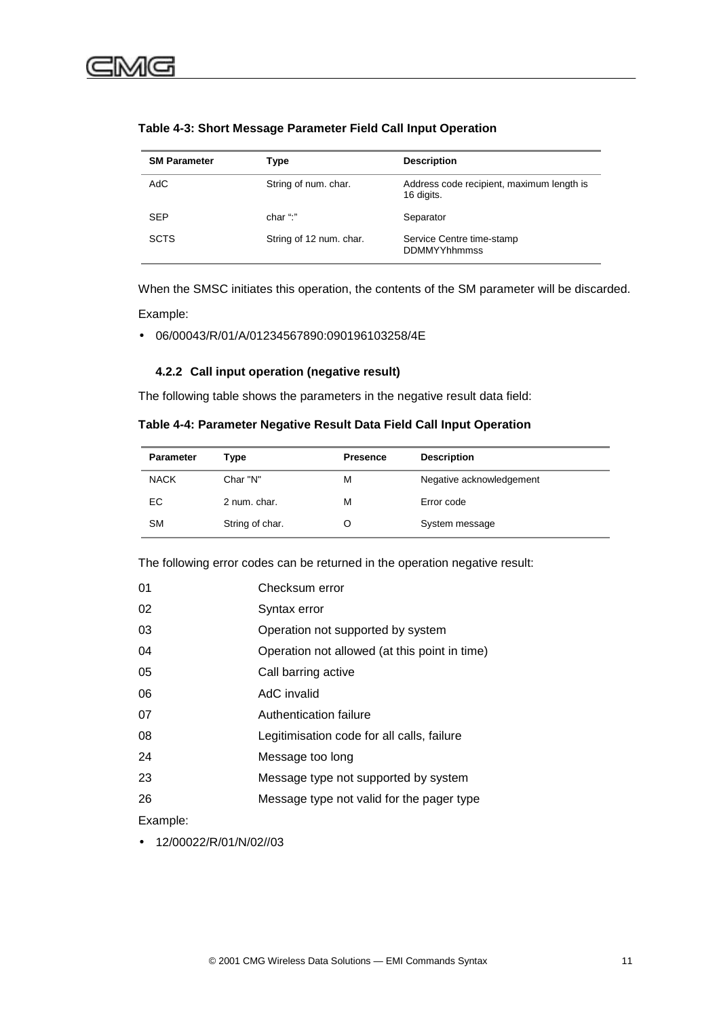| <b>SM Parameter</b> | Type                    | <b>Description</b>                                      |
|---------------------|-------------------------|---------------------------------------------------------|
| AdC                 | String of num. char.    | Address code recipient, maximum length is<br>16 digits. |
| <b>SEP</b>          | char ":"                | Separator                                               |
| <b>SCTS</b>         | String of 12 num. char. | Service Centre time-stamp<br><b>DDMMYYhhmmss</b>        |

#### <span id="page-24-0"></span>**Table 4-3: Short Message Parameter Field Call Input Operation**

When the SMSC initiates this operation, the contents of the SM parameter will be discarded. Example:

• 06/00043/R/01/A/01234567890:090196103258/4E

#### **4.2.2 Call input operation (negative result)**

The following table shows the parameters in the negative result data field:

#### **Table 4-4: Parameter Negative Result Data Field Call Input Operation**

| <b>Parameter</b> | Type            | <b>Presence</b> | <b>Description</b>       |
|------------------|-----------------|-----------------|--------------------------|
| <b>NACK</b>      | Char "N"        | М               | Negative acknowledgement |
| EС               | 2 num. char.    | м               | Error code               |
| <b>SM</b>        | String of char. |                 | System message           |

The following error codes can be returned in the operation negative result:

| 01 | Checksum error                                |
|----|-----------------------------------------------|
| 02 | Syntax error                                  |
| 03 | Operation not supported by system             |
| 04 | Operation not allowed (at this point in time) |
| 05 | Call barring active                           |
| 06 | AdC invalid                                   |
| 07 | Authentication failure                        |
| 08 | Legitimisation code for all calls, failure    |
| 24 | Message too long                              |
| 23 | Message type not supported by system          |
| 26 | Message type not valid for the pager type     |
|    |                                               |

Example:

• 12/00022/R/01/N/02//03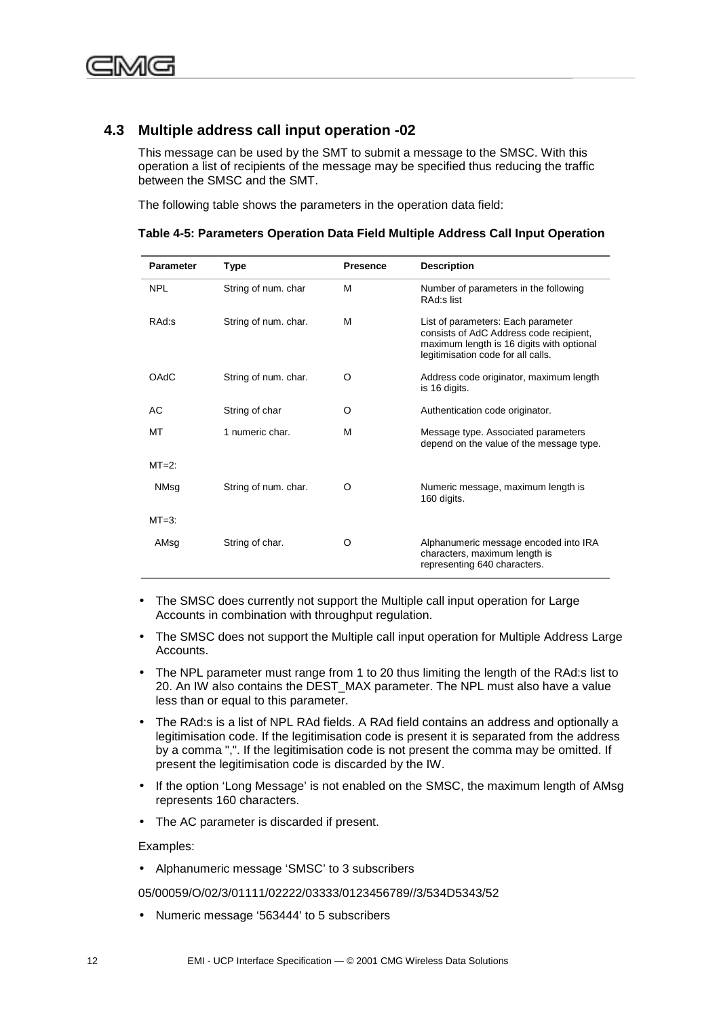## <span id="page-25-0"></span>**4.3 Multiple address call input operation -02**

This message can be used by the SMT to submit a message to the SMSC. With this operation a list of recipients of the message may be specified thus reducing the traffic between the SMSC and the SMT.

The following table shows the parameters in the operation data field:

| <b>Parameter</b> | Type                 | <b>Presence</b> | <b>Description</b>                                                                                                                                               |
|------------------|----------------------|-----------------|------------------------------------------------------------------------------------------------------------------------------------------------------------------|
| <b>NPL</b>       | String of num. char  | M               | Number of parameters in the following<br>RAd:s list                                                                                                              |
| RAd:s            | String of num. char. | м               | List of parameters: Each parameter<br>consists of AdC Address code recipient,<br>maximum length is 16 digits with optional<br>legitimisation code for all calls. |
| OAdC             | String of num. char. | Ω               | Address code originator, maximum length<br>is 16 digits.                                                                                                         |
| АC               | String of char       | O               | Authentication code originator.                                                                                                                                  |
| МT               | 1 numeric char.      | м               | Message type. Associated parameters<br>depend on the value of the message type.                                                                                  |
| $MT=2$ :         |                      |                 |                                                                                                                                                                  |
| NMsg             | String of num. char. | O               | Numeric message, maximum length is<br>160 digits.                                                                                                                |
| $MT=3$ :         |                      |                 |                                                                                                                                                                  |
| AMsg             | String of char.      | O               | Alphanumeric message encoded into IRA<br>characters, maximum length is<br>representing 640 characters.                                                           |

**Table 4-5: Parameters Operation Data Field Multiple Address Call Input Operation**

- The SMSC does currently not support the Multiple call input operation for Large Accounts in combination with throughput regulation.
- The SMSC does not support the Multiple call input operation for Multiple Address Large Accounts.
- The NPL parameter must range from 1 to 20 thus limiting the length of the RAd:s list to 20. An IW also contains the DEST\_MAX parameter. The NPL must also have a value less than or equal to this parameter.
- The RAd:s is a list of NPL RAd fields. A RAd field contains an address and optionally a legitimisation code. If the legitimisation code is present it is separated from the address by a comma ",". If the legitimisation code is not present the comma may be omitted. If present the legitimisation code is discarded by the IW.
- If the option 'Long Message' is not enabled on the SMSC, the maximum length of AMsg represents 160 characters.
- The AC parameter is discarded if present.

Examples:

• Alphanumeric message 'SMSC' to 3 subscribers

05/00059/O/02/3/01111/02222/03333/0123456789//3/534D5343/52

• Numeric message '563444' to 5 subscribers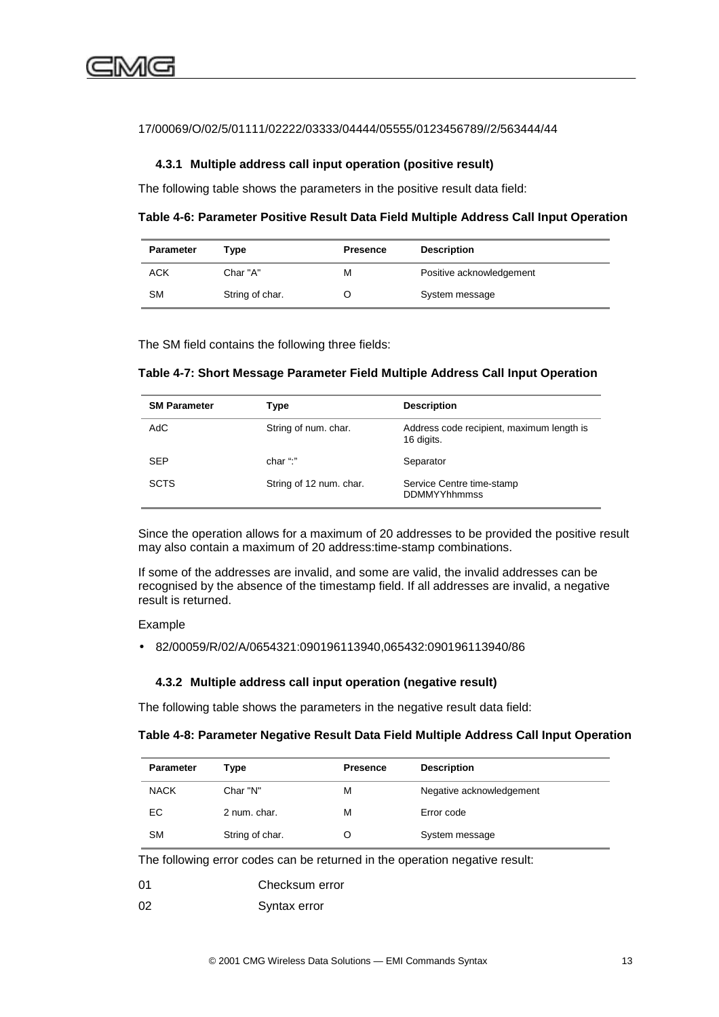#### <span id="page-26-0"></span>17/00069/O/02/5/01111/02222/03333/04444/05555/0123456789//2/563444/44

#### **4.3.1 Multiple address call input operation (positive result)**

The following table shows the parameters in the positive result data field:

**Table 4-6: Parameter Positive Result Data Field Multiple Address Call Input Operation**

| <b>Parameter</b> | түре            | <b>Presence</b> | <b>Description</b>       |
|------------------|-----------------|-----------------|--------------------------|
| ACK              | Char "A"        | м               | Positive acknowledgement |
| <b>SM</b>        | String of char. |                 | System message           |

The SM field contains the following three fields:

#### **Table 4-7: Short Message Parameter Field Multiple Address Call Input Operation**

| <b>SM Parameter</b> | Type                    | <b>Description</b>                                      |
|---------------------|-------------------------|---------------------------------------------------------|
| AdC                 | String of num. char.    | Address code recipient, maximum length is<br>16 digits. |
| <b>SEP</b>          | char ":"                | Separator                                               |
| <b>SCTS</b>         | String of 12 num. char. | Service Centre time-stamp<br><b>DDMMYYhhmmss</b>        |

Since the operation allows for a maximum of 20 addresses to be provided the positive result may also contain a maximum of 20 address:time-stamp combinations.

If some of the addresses are invalid, and some are valid, the invalid addresses can be recognised by the absence of the timestamp field. If all addresses are invalid, a negative result is returned.

#### Example

• 82/00059/R/02/A/0654321:090196113940,065432:090196113940/86

#### **4.3.2 Multiple address call input operation (negative result)**

The following table shows the parameters in the negative result data field:

#### **Table 4-8: Parameter Negative Result Data Field Multiple Address Call Input Operation**

| <b>Parameter</b> | Type            | <b>Presence</b> | <b>Description</b>       |
|------------------|-----------------|-----------------|--------------------------|
| <b>NACK</b>      | Char "N"        | М               | Negative acknowledgement |
| ЕC               | 2 num. char.    | м               | Error code               |
| <b>SM</b>        | String of char. |                 | System message           |

The following error codes can be returned in the operation negative result:

| 01 | Checksum error |
|----|----------------|
| 02 | Syntax error   |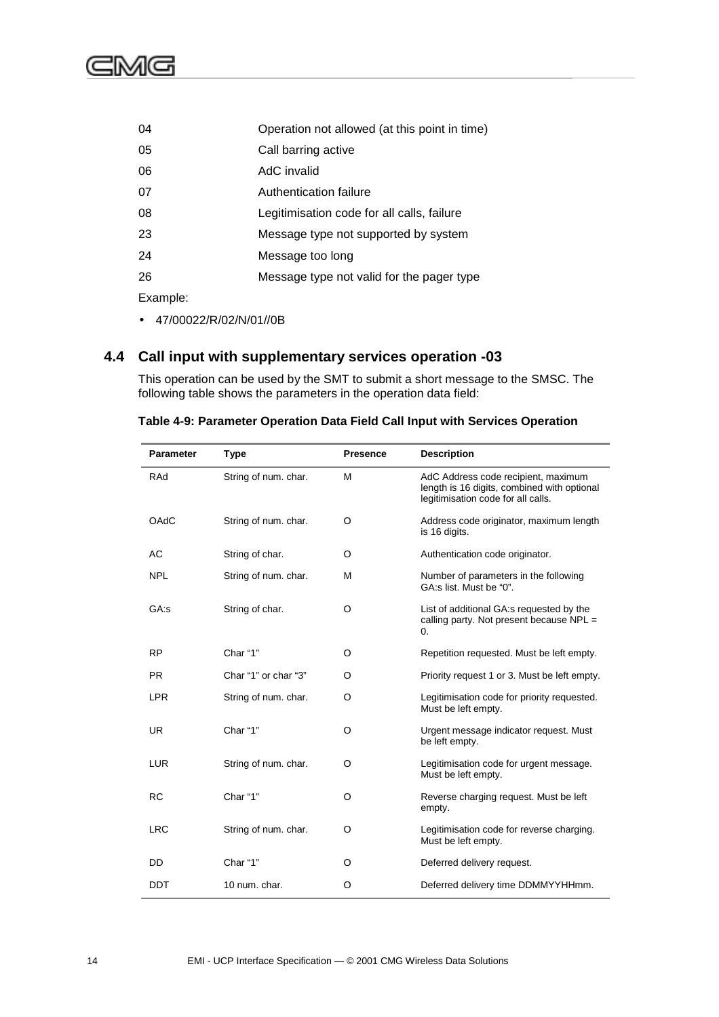<span id="page-27-0"></span>

| 04       | Operation not allowed (at this point in time) |
|----------|-----------------------------------------------|
| 05       | Call barring active                           |
| 06       | AdC invalid                                   |
| 07       | Authentication failure                        |
| 08       | Legitimisation code for all calls, failure    |
| 23       | Message type not supported by system          |
| 24       | Message too long                              |
| 26       | Message type not valid for the pager type     |
| Example: |                                               |

• 47/00022/R/02/N/01//0B

## **4.4 Call input with supplementary services operation -03**

This operation can be used by the SMT to submit a short message to the SMSC. The following table shows the parameters in the operation data field:

| <b>Parameter</b> | <b>Type</b>          | <b>Presence</b> | <b>Description</b>                                                                                                       |
|------------------|----------------------|-----------------|--------------------------------------------------------------------------------------------------------------------------|
| RAd              | String of num. char. | M               | AdC Address code recipient, maximum<br>length is 16 digits, combined with optional<br>legitimisation code for all calls. |
| OAdC             | String of num. char. | O               | Address code originator, maximum length<br>is 16 digits.                                                                 |
| AC               | String of char.      | O               | Authentication code originator.                                                                                          |
| <b>NPL</b>       | String of num. char. | М               | Number of parameters in the following<br>GA:s list. Must be "0".                                                         |
| GA:s             | String of char.      | O               | List of additional GA:s requested by the<br>calling party. Not present because $NPL =$<br>$\Omega$ .                     |
| <b>RP</b>        | Char "1"             | O               | Repetition requested. Must be left empty.                                                                                |
| <b>PR</b>        | Char "1" or char "3" | O               | Priority request 1 or 3. Must be left empty.                                                                             |
| <b>LPR</b>       | String of num. char. | O               | Legitimisation code for priority requested.<br>Must be left empty.                                                       |
| <b>UR</b>        | Char "1"             | O               | Urgent message indicator request. Must<br>be left empty.                                                                 |
| <b>LUR</b>       | String of num. char. | O               | Legitimisation code for urgent message.<br>Must be left empty.                                                           |
| RC.              | Char "1"             | O               | Reverse charging request. Must be left<br>empty.                                                                         |
| <b>LRC</b>       | String of num. char. | O               | Legitimisation code for reverse charging.<br>Must be left empty.                                                         |
| DD               | Char "1"             | O               | Deferred delivery request.                                                                                               |
| DDT              | 10 num. char.        | O               | Deferred delivery time DDMMYYHHmm.                                                                                       |

**Table 4-9: Parameter Operation Data Field Call Input with Services Operation**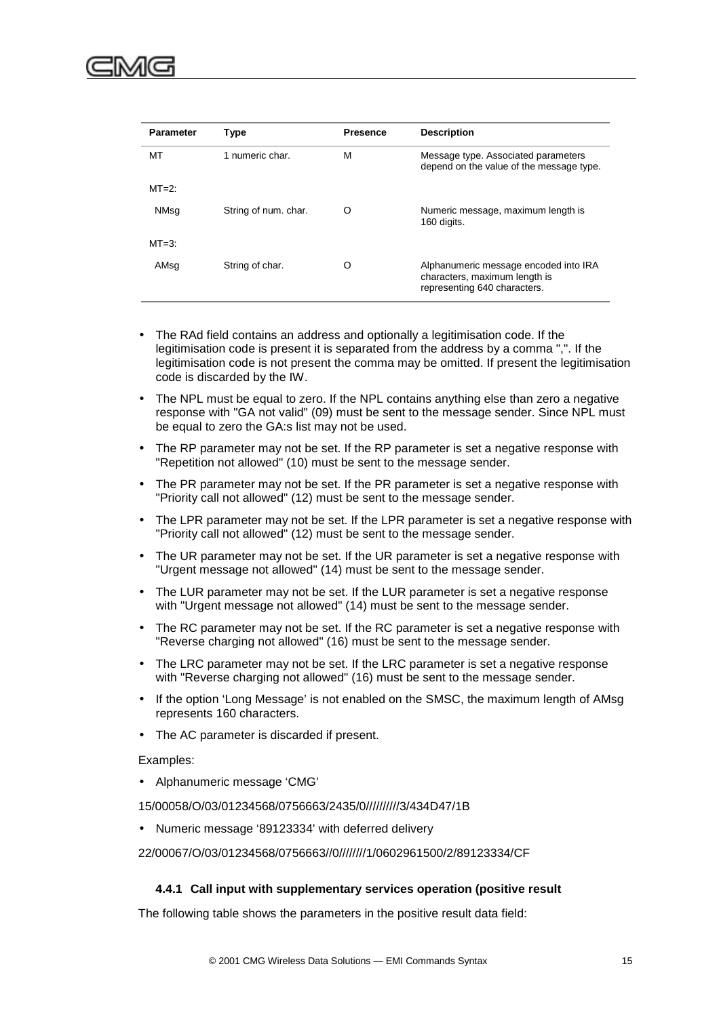<span id="page-28-0"></span>

| <b>Parameter</b> | <b>Type</b>          | <b>Presence</b> | <b>Description</b>                                                                                     |
|------------------|----------------------|-----------------|--------------------------------------------------------------------------------------------------------|
| MT               | 1 numeric char.      | M               | Message type. Associated parameters<br>depend on the value of the message type.                        |
| $MT=2$ :         |                      |                 |                                                                                                        |
| NMsq             | String of num. char. | O               | Numeric message, maximum length is<br>160 digits.                                                      |
| $MT=3$ :         |                      |                 |                                                                                                        |
| AMsq             | String of char.      | O               | Alphanumeric message encoded into IRA<br>characters, maximum length is<br>representing 640 characters. |

- The RAd field contains an address and optionally a legitimisation code. If the legitimisation code is present it is separated from the address by a comma ",". If the legitimisation code is not present the comma may be omitted. If present the legitimisation code is discarded by the IW.
- The NPL must be equal to zero. If the NPL contains anything else than zero a negative response with "GA not valid" (09) must be sent to the message sender. Since NPL must be equal to zero the GA:s list may not be used.
- The RP parameter may not be set. If the RP parameter is set a negative response with "Repetition not allowed" (10) must be sent to the message sender.
- The PR parameter may not be set. If the PR parameter is set a negative response with "Priority call not allowed" (12) must be sent to the message sender.
- The LPR parameter may not be set. If the LPR parameter is set a negative response with "Priority call not allowed" (12) must be sent to the message sender.
- The UR parameter may not be set. If the UR parameter is set a negative response with "Urgent message not allowed" (14) must be sent to the message sender.
- The LUR parameter may not be set. If the LUR parameter is set a negative response with "Urgent message not allowed" (14) must be sent to the message sender.
- The RC parameter may not be set. If the RC parameter is set a negative response with "Reverse charging not allowed" (16) must be sent to the message sender.
- The LRC parameter may not be set. If the LRC parameter is set a negative response with "Reverse charging not allowed" (16) must be sent to the message sender.
- If the option 'Long Message' is not enabled on the SMSC, the maximum length of AMsg represents 160 characters.
- The AC parameter is discarded if present.

Examples:

• Alphanumeric message 'CMG'

15/00058/O/03/01234568/0756663/2435/0//////////3/434D47/1B

• Numeric message '89123334' with deferred delivery

22/00067/O/03/01234568/0756663//0////////1/0602961500/2/89123334/CF

#### **4.4.1 Call input with supplementary services operation (positive result**

The following table shows the parameters in the positive result data field: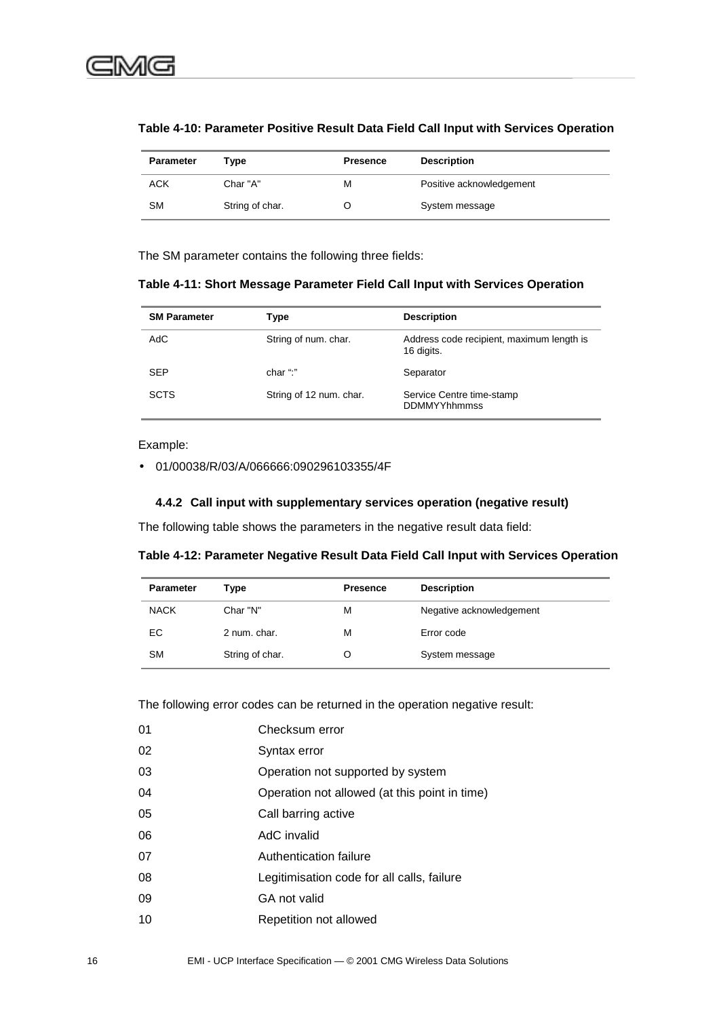| Parameter  | Type            | <b>Presence</b> | <b>Description</b>       |
|------------|-----------------|-----------------|--------------------------|
| <b>ACK</b> | Char "A"        | м               | Positive acknowledgement |
| SM         | String of char. |                 | System message           |

<span id="page-29-0"></span>**Table 4-10: Parameter Positive Result Data Field Call Input with Services Operation**

The SM parameter contains the following three fields:

**Table 4-11: Short Message Parameter Field Call Input with Services Operation**

| <b>SM Parameter</b> | Type                    | <b>Description</b>                                      |
|---------------------|-------------------------|---------------------------------------------------------|
| AdC                 | String of num. char.    | Address code recipient, maximum length is<br>16 digits. |
| <b>SEP</b>          | char ":"                | Separator                                               |
| <b>SCTS</b>         | String of 12 num. char. | Service Centre time-stamp<br><b>DDMMYYhhmmss</b>        |

#### Example:

• 01/00038/R/03/A/066666:090296103355/4F

#### **4.4.2 Call input with supplementary services operation (negative result)**

The following table shows the parameters in the negative result data field:

**Table 4-12: Parameter Negative Result Data Field Call Input with Services Operation**

| <b>Parameter</b> | Type            | <b>Presence</b> | <b>Description</b>       |
|------------------|-----------------|-----------------|--------------------------|
| <b>NACK</b>      | Char "N"        | M               | Negative acknowledgement |
| EC               | 2 num. char.    | M               | Error code               |
| <b>SM</b>        | String of char. | Ő               | System message           |

The following error codes can be returned in the operation negative result:

| 01 | Checksum error                                |  |  |
|----|-----------------------------------------------|--|--|
| 02 | Syntax error                                  |  |  |
| 03 | Operation not supported by system             |  |  |
| 04 | Operation not allowed (at this point in time) |  |  |
| 05 | Call barring active                           |  |  |
| 06 | AdC invalid                                   |  |  |
| 07 | Authentication failure                        |  |  |
| 08 | Legitimisation code for all calls, failure    |  |  |
| 09 | GA not valid                                  |  |  |
| 10 | Repetition not allowed                        |  |  |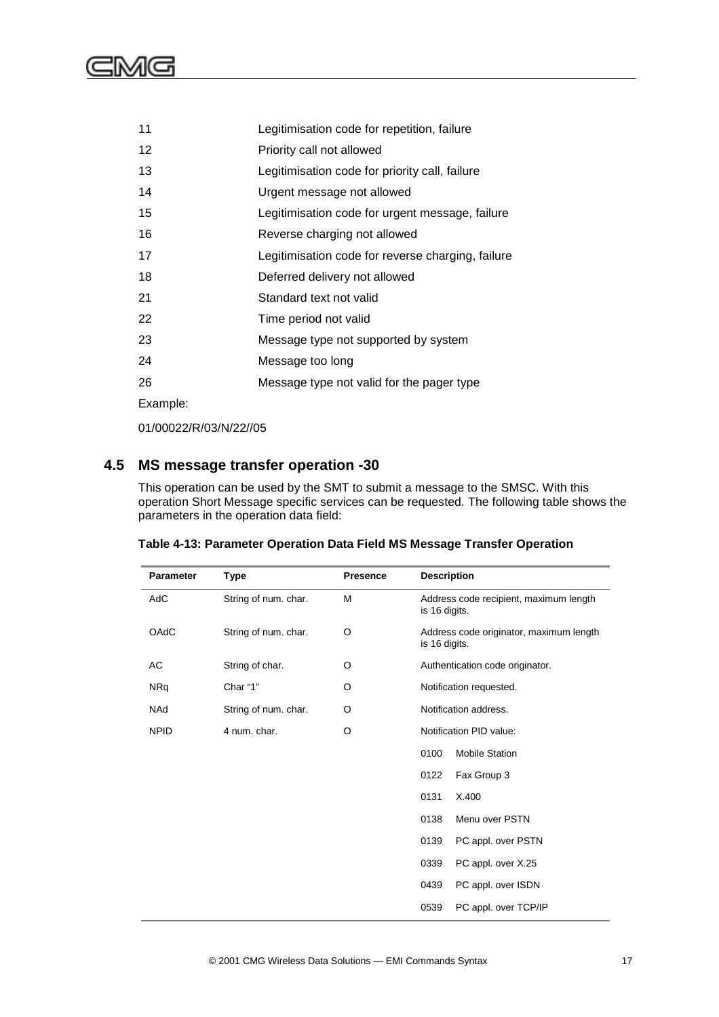<span id="page-30-0"></span>

| 11       | Legitimisation code for repetition, failure       |  |  |
|----------|---------------------------------------------------|--|--|
| 12       | Priority call not allowed                         |  |  |
| 13       | Legitimisation code for priority call, failure    |  |  |
| 14       | Urgent message not allowed                        |  |  |
| 15       | Legitimisation code for urgent message, failure   |  |  |
| 16       | Reverse charging not allowed                      |  |  |
| 17       | Legitimisation code for reverse charging, failure |  |  |
| 18       | Deferred delivery not allowed                     |  |  |
| 21       | Standard text not valid                           |  |  |
| 22       | Time period not valid                             |  |  |
| 23       | Message type not supported by system              |  |  |
| 24       | Message too long                                  |  |  |
| 26       | Message type not valid for the pager type         |  |  |
| Example: |                                                   |  |  |

01/00022/R/03/N/22//05

## **4.5 MS message transfer operation -30**

This operation can be used by the SMT to submit a message to the SMSC. With this operation Short Message specific services can be requested. The following table shows the parameters in the operation data field:

| <b>Parameter</b> | <b>Type</b>          | <b>Presence</b> | <b>Description</b>                                       |
|------------------|----------------------|-----------------|----------------------------------------------------------|
| AdC              | String of num. char. | M               | Address code recipient, maximum length<br>is 16 digits.  |
| <b>OAdC</b>      | String of num. char. | O               | Address code originator, maximum length<br>is 16 digits. |
| AC               | String of char.      | O               | Authentication code originator.                          |
| <b>NRq</b>       | Char "1"             | O               | Notification requested.                                  |
| <b>NAd</b>       | String of num. char. | O               | Notification address.                                    |
| <b>NPID</b>      | 4 num. char.         | O               | Notification PID value:                                  |
|                  |                      |                 | 0100<br><b>Mobile Station</b>                            |
|                  |                      |                 | 0122<br>Fax Group 3                                      |
|                  |                      |                 | 0131<br>X.400                                            |
|                  |                      |                 | 0138<br>Menu over PSTN                                   |
|                  |                      |                 | 0139<br>PC appl. over PSTN                               |
|                  |                      |                 | 0339<br>PC appl. over X.25                               |
|                  |                      |                 | 0439<br>PC appl. over ISDN                               |
|                  |                      |                 | 0539<br>PC appl. over TCP/IP                             |

| Table 4-13: Parameter Operation Data Field MS Message Transfer Operation |  |  |
|--------------------------------------------------------------------------|--|--|
|                                                                          |  |  |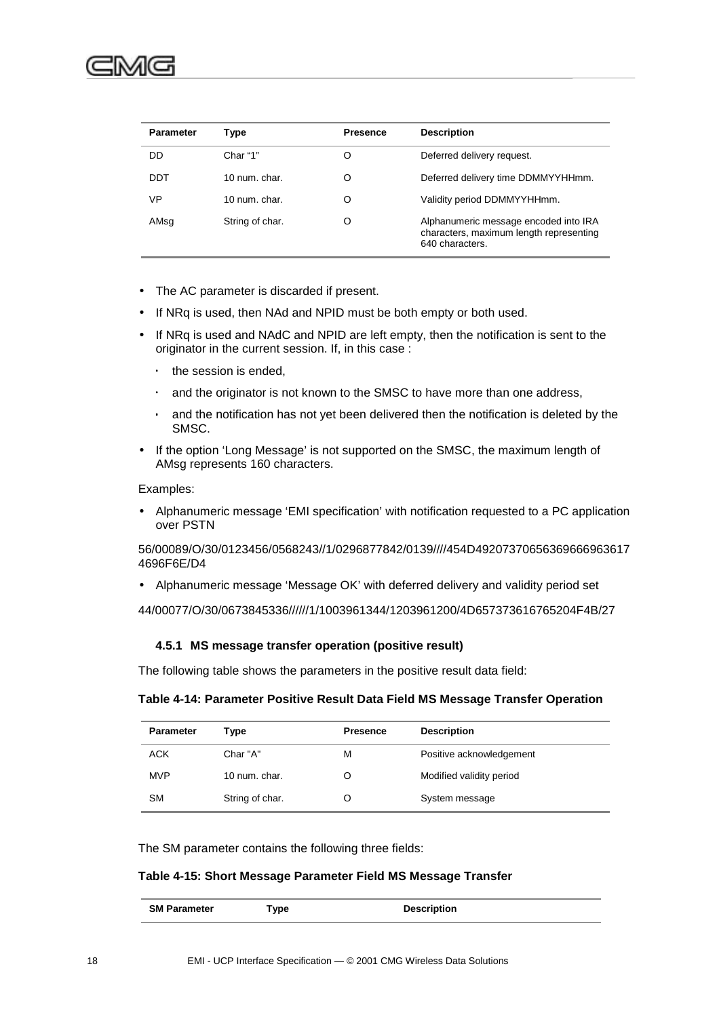<span id="page-31-0"></span>

| <b>Parameter</b> | Type                     | <b>Presence</b> | <b>Description</b>                                                                                  |
|------------------|--------------------------|-----------------|-----------------------------------------------------------------------------------------------------|
| DD               | Char "1"                 | O               | Deferred delivery request.                                                                          |
| DDT              | $10 \text{ num}$ . char. | O               | Deferred delivery time DDMMYYHHmm.                                                                  |
| VP               | $10 \text{ num}$ . char. | O               | Validity period DDMMYYHHmm.                                                                         |
| AMsq             | String of char.          | O               | Alphanumeric message encoded into IRA<br>characters, maximum length representing<br>640 characters. |

- The AC parameter is discarded if present.
- If NRq is used, then NAd and NPID must be both empty or both used.
- If NRq is used and NAdC and NPID are left empty, then the notification is sent to the originator in the current session. If, in this case :
	- the session is ended,
	- and the originator is not known to the SMSC to have more than one address,
	- ⋅ and the notification has not yet been delivered then the notification is deleted by the SMSC.
- If the option 'Long Message' is not supported on the SMSC, the maximum length of AMsg represents 160 characters.

#### Examples:

• Alphanumeric message 'EMI specification' with notification requested to a PC application over PSTN

56/00089/O/30/0123456/0568243//1/0296877842/0139////454D49207370656369666963617 4696F6E/D4

• Alphanumeric message 'Message OK' with deferred delivery and validity period set

44/00077/O/30/0673845336//////1/1003961344/1203961200/4D657373616765204F4B/27

#### **4.5.1 MS message transfer operation (positive result)**

The following table shows the parameters in the positive result data field:

#### **Table 4-14: Parameter Positive Result Data Field MS Message Transfer Operation**

| <b>Parameter</b> | Type            | <b>Presence</b> | <b>Description</b>       |
|------------------|-----------------|-----------------|--------------------------|
| <b>ACK</b>       | Char "A"        | М               | Positive acknowledgement |
| <b>MVP</b>       | 10 num. char.   |                 | Modified validity period |
| <b>SM</b>        | String of char. |                 | System message           |

The SM parameter contains the following three fields:

#### **Table 4-15: Short Message Parameter Field MS Message Transfer**

| <b>SM Parameter</b> | vpe <sup>-</sup> | <b>Description</b> |
|---------------------|------------------|--------------------|
|                     |                  |                    |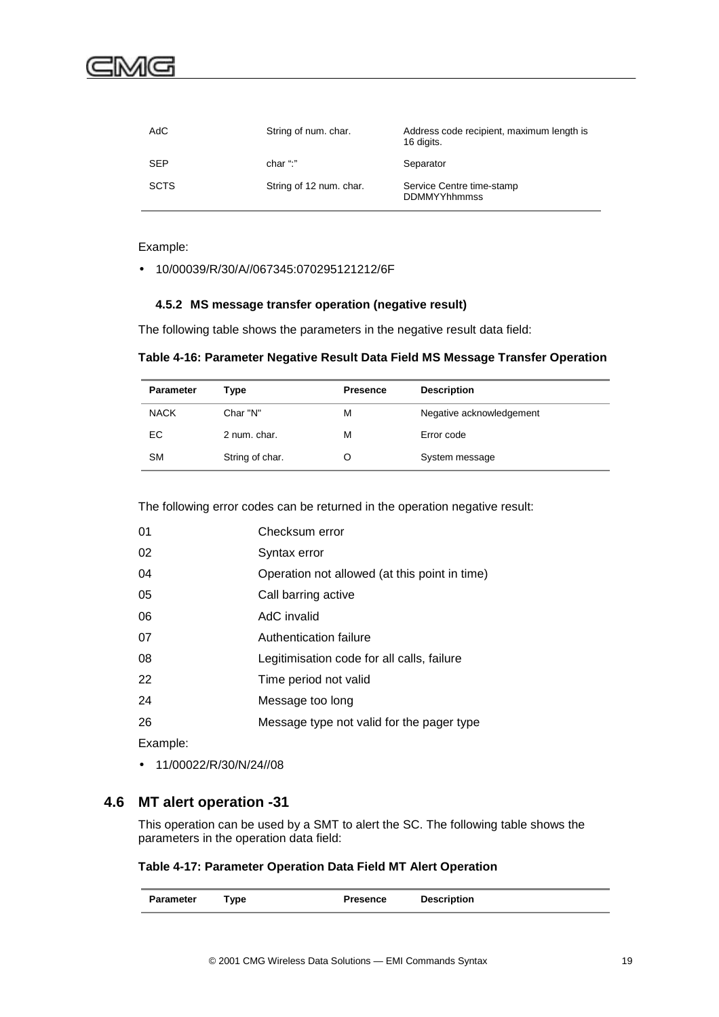<span id="page-32-0"></span>

| AdC         | String of num. char.    | Address code recipient, maximum length is<br>16 digits. |
|-------------|-------------------------|---------------------------------------------------------|
| <b>SEP</b>  | char ":"                | Separator                                               |
| <b>SCTS</b> | String of 12 num. char. | Service Centre time-stamp<br><b>DDMMYYhhmmss</b>        |

Example:

• 10/00039/R/30/A//067345:070295121212/6F

#### **4.5.2 MS message transfer operation (negative result)**

The following table shows the parameters in the negative result data field:

| Table 4-16: Parameter Negative Result Data Field MS Message Transfer Operation |  |  |  |
|--------------------------------------------------------------------------------|--|--|--|
|                                                                                |  |  |  |

| <b>Parameter</b> | Type            | <b>Presence</b> | <b>Description</b>       |
|------------------|-----------------|-----------------|--------------------------|
| <b>NACK</b>      | Char "N"        | М               | Negative acknowledgement |
| EC               | 2 num. char.    | м               | Error code               |
| <b>SM</b>        | String of char. | O               | System message           |

The following error codes can be returned in the operation negative result:

| 01       | Checksum error                                |
|----------|-----------------------------------------------|
| 02       | Syntax error                                  |
| 04       | Operation not allowed (at this point in time) |
| 05       | Call barring active                           |
| 06       | AdC invalid                                   |
| 07       | Authentication failure                        |
| 08       | Legitimisation code for all calls, failure    |
| 22       | Time period not valid                         |
| 24       | Message too long                              |
| 26       | Message type not valid for the pager type     |
| Example: |                                               |

• 11/00022/R/30/N/24//08

### **4.6 MT alert operation -31**

This operation can be used by a SMT to alert the SC. The following table shows the parameters in the operation data field:

#### **Table 4-17: Parameter Operation Data Field MT Alert Operation**

| <b>Parameter</b> | Type | <b>Presence</b> | <b>Description</b> |  |
|------------------|------|-----------------|--------------------|--|
|------------------|------|-----------------|--------------------|--|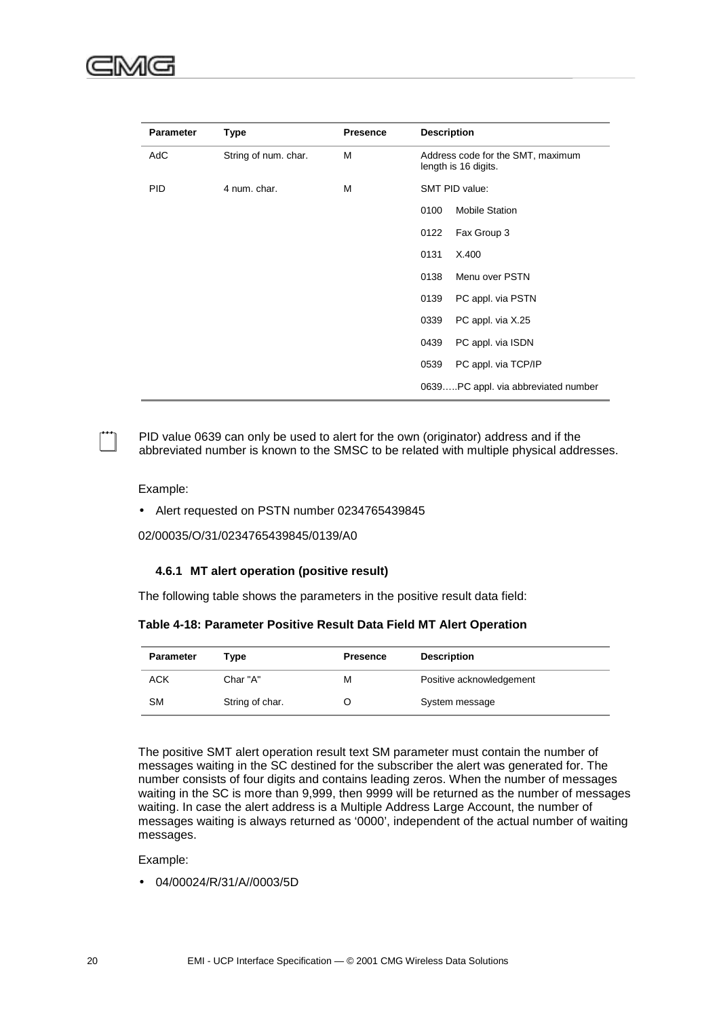<span id="page-33-0"></span>

| <b>Parameter</b> | <b>Type</b>          | <b>Presence</b> | <b>Description</b>                                        |
|------------------|----------------------|-----------------|-----------------------------------------------------------|
| AdC              | String of num. char. | M               | Address code for the SMT, maximum<br>length is 16 digits. |
| <b>PID</b>       | 4 num. char.         | M               | SMT PID value:                                            |
|                  |                      |                 | 0100<br><b>Mobile Station</b>                             |
|                  |                      |                 | 0122<br>Fax Group 3                                       |
|                  |                      |                 | 0131<br>X.400                                             |
|                  |                      |                 | Menu over PSTN<br>0138                                    |
|                  |                      |                 | PC appl. via PSTN<br>0139                                 |
|                  |                      |                 | PC appl. via X.25<br>0339                                 |
|                  |                      |                 | PC appl. via ISDN<br>0439                                 |
|                  |                      |                 | PC appl. via TCP/IP<br>0539                               |
|                  |                      |                 | 0639PC appl. via abbreviated number                       |

! PID value 0639 can only be used to alert for the own (originator) address and if the abbreviated number is known to the SMSC to be related with multiple physical addresses.

#### Example:

• Alert requested on PSTN number 0234765439845

02/00035/O/31/0234765439845/0139/A0

#### **4.6.1 MT alert operation (positive result)**

The following table shows the parameters in the positive result data field:

**Table 4-18: Parameter Positive Result Data Field MT Alert Operation**

| <b>Parameter</b> | Type            | <b>Presence</b> | <b>Description</b>       |
|------------------|-----------------|-----------------|--------------------------|
| ACK              | Char "A"        | М               | Positive acknowledgement |
| <b>SM</b>        | String of char. |                 | System message           |

The positive SMT alert operation result text SM parameter must contain the number of messages waiting in the SC destined for the subscriber the alert was generated for. The number consists of four digits and contains leading zeros. When the number of messages waiting in the SC is more than 9,999, then 9999 will be returned as the number of messages waiting. In case the alert address is a Multiple Address Large Account, the number of messages waiting is always returned as '0000', independent of the actual number of waiting messages.

Example:

• 04/00024/R/31/A//0003/5D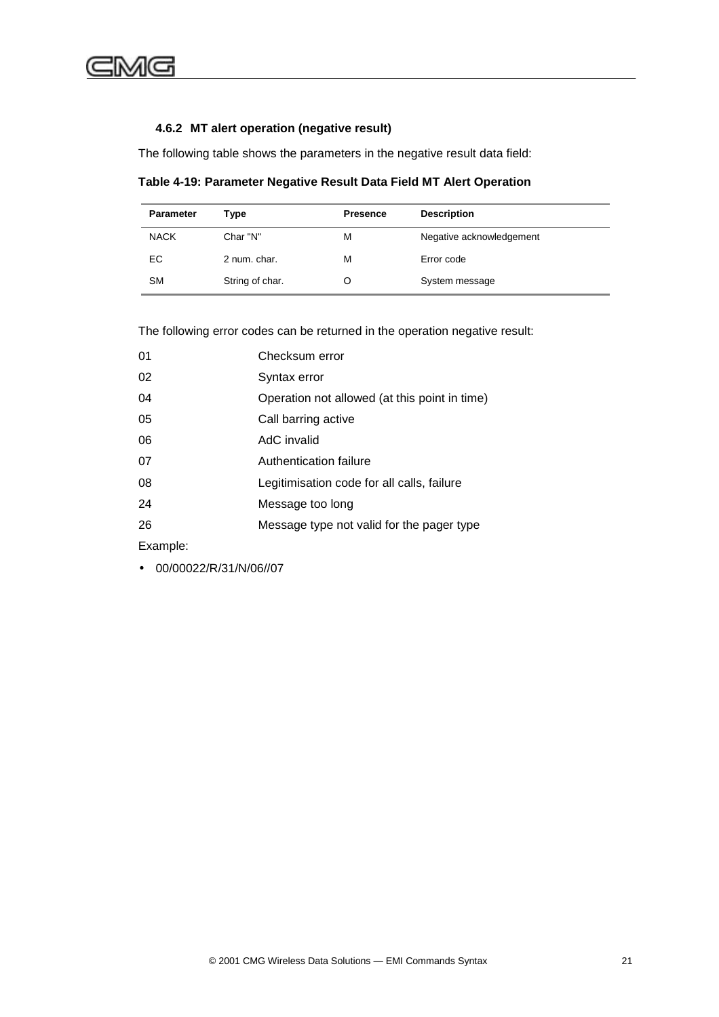### <span id="page-34-0"></span>**4.6.2 MT alert operation (negative result)**

The following table shows the parameters in the negative result data field:

**Table 4-19: Parameter Negative Result Data Field MT Alert Operation**

| <b>Parameter</b> | Type            | <b>Presence</b> | <b>Description</b>       |
|------------------|-----------------|-----------------|--------------------------|
| <b>NACK</b>      | Char "N"        | м               | Negative acknowledgement |
| EC.              | 2 num. char.    | м               | Error code               |
| <b>SM</b>        | String of char. |                 | System message           |

The following error codes can be returned in the operation negative result:

| 01       | Checksum error                                |
|----------|-----------------------------------------------|
| 02       | Syntax error                                  |
| 04       | Operation not allowed (at this point in time) |
| 05       | Call barring active                           |
| 06       | AdC invalid                                   |
| 07       | Authentication failure                        |
| 08       | Legitimisation code for all calls, failure    |
| 24       | Message too long                              |
| 26       | Message type not valid for the pager type     |
| Example: |                                               |

• 00/00022/R/31/N/06//07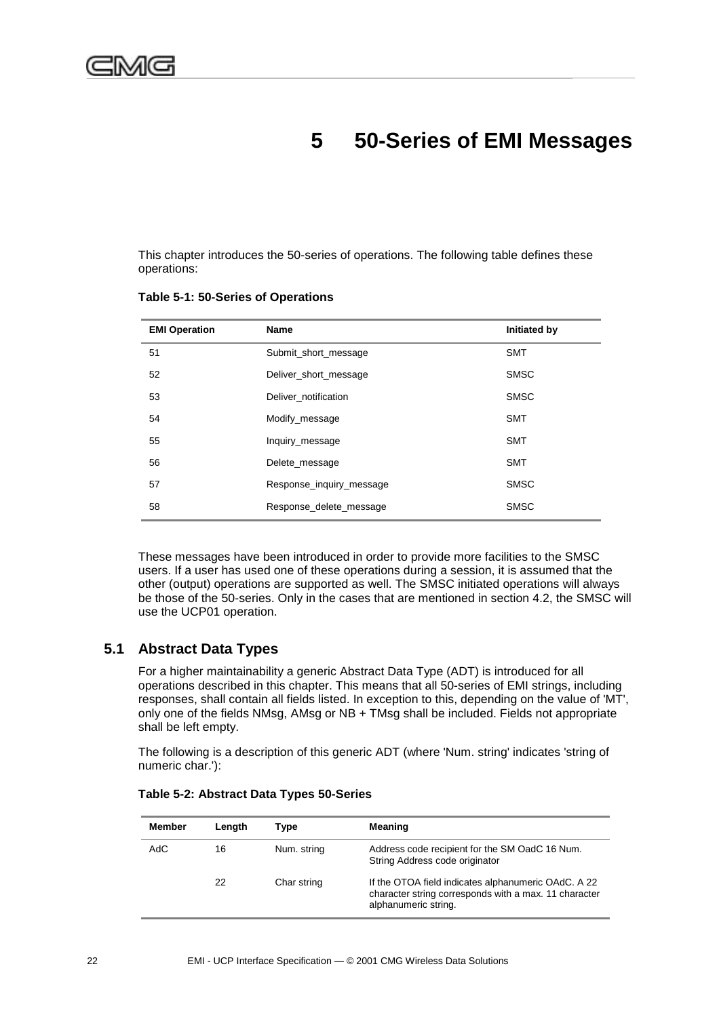## **5 50-Series of EMI Messages**

<span id="page-35-0"></span>This chapter introduces the 50-series of operations. The following table defines these operations:

| <b>EMI Operation</b> | <b>Name</b>              | Initiated by |
|----------------------|--------------------------|--------------|
| 51                   | Submit_short_message     | <b>SMT</b>   |
| 52                   | Deliver_short_message    | <b>SMSC</b>  |
| 53                   | Deliver notification     | <b>SMSC</b>  |
| 54                   | Modify_message           | <b>SMT</b>   |
| 55                   | Inquiry_message          | <b>SMT</b>   |
| 56                   | Delete message           | <b>SMT</b>   |
| 57                   | Response_inquiry_message | <b>SMSC</b>  |
| 58                   | Response_delete_message  | <b>SMSC</b>  |

**Table 5-1: 50-Series of Operations**

These messages have been introduced in order to provide more facilities to the SMSC users. If a user has used one of these operations during a session, it is assumed that the other (output) operations are supported as well. The SMSC initiated operations will always be those of the 50-series. Only in the cases that are mentioned in section 4.2, the SMSC will use the UCP01 operation.

## **5.1 Abstract Data Types**

For a higher maintainability a generic Abstract Data Type (ADT) is introduced for all operations described in this chapter. This means that all 50-series of EMI strings, including responses, shall contain all fields listed. In exception to this, depending on the value of 'MT', only one of the fields NMsg, AMsg or NB + TMsg shall be included. Fields not appropriate shall be left empty.

The following is a description of this generic ADT (where 'Num. string' indicates 'string of numeric char.'):

| Member | Lenath | Type        | Meaning                                                                                                                              |
|--------|--------|-------------|--------------------------------------------------------------------------------------------------------------------------------------|
| AdC    | 16     | Num. string | Address code recipient for the SM OadC 16 Num.<br>String Address code originator                                                     |
|        | 22     | Char string | If the OTOA field indicates alphanumeric OAdC. A 22<br>character string corresponds with a max. 11 character<br>alphanumeric string. |

**Table 5-2: Abstract Data Types 50-Series**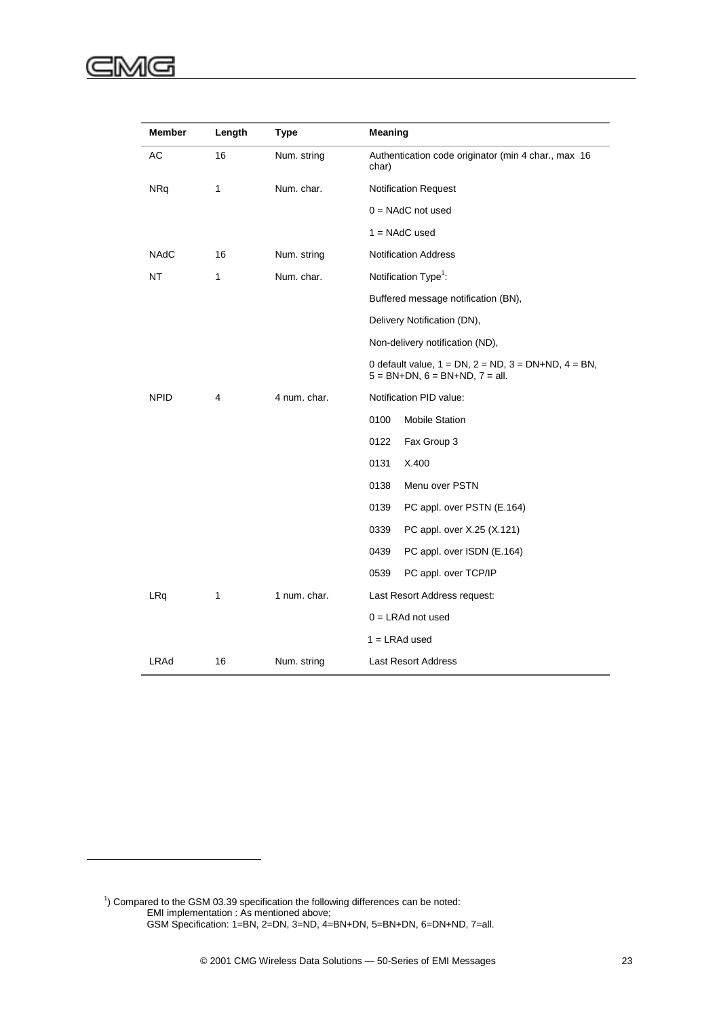l

| Member      | Length | <b>Type</b>  | Meaning                                                                                                          |  |
|-------------|--------|--------------|------------------------------------------------------------------------------------------------------------------|--|
| АC          | 16     | Num. string  | Authentication code originator (min 4 char., max 16<br>char)                                                     |  |
| <b>NRq</b>  | 1      | Num. char.   | <b>Notification Request</b>                                                                                      |  |
|             |        |              | $0 = NAddC$ not used                                                                                             |  |
|             |        |              | $1 = NAddC$ used                                                                                                 |  |
| <b>NAdC</b> | 16     | Num. string  | <b>Notification Address</b>                                                                                      |  |
| <b>NT</b>   | 1      | Num. char.   | Notification Type <sup>1</sup> :                                                                                 |  |
|             |        |              | Buffered message notification (BN),                                                                              |  |
|             |        |              | Delivery Notification (DN),                                                                                      |  |
|             |        |              | Non-delivery notification (ND),                                                                                  |  |
|             |        |              | 0 default value, $1 = DN$ , $2 = ND$ , $3 = DN + ND$ , $4 = BN$ ,<br>$5 = BN + DN$ , $6 = BN + ND$ , $7 = all$ . |  |
| <b>NPID</b> | 4      | 4 num. char. | Notification PID value:                                                                                          |  |
|             |        |              | <b>Mobile Station</b><br>0100                                                                                    |  |
|             |        |              | Fax Group 3<br>0122                                                                                              |  |
|             |        |              | X.400<br>0131                                                                                                    |  |
|             |        |              | 0138<br>Menu over PSTN                                                                                           |  |
|             |        |              | 0139<br>PC appl. over PSTN (E.164)                                                                               |  |
|             |        |              | 0339<br>PC appl. over X.25 (X.121)                                                                               |  |
|             |        |              | 0439<br>PC appl. over ISDN (E.164)                                                                               |  |
|             |        |              | 0539<br>PC appl. over TCP/IP                                                                                     |  |
| LRq         | 1      | 1 num. char. | Last Resort Address request:                                                                                     |  |
|             |        |              | $0 = LRAd$ not used                                                                                              |  |
|             |        |              | $1 = LRAd$ used                                                                                                  |  |
| LRAd        | 16     | Num. string  | <b>Last Resort Address</b>                                                                                       |  |

 $1$ ) Compared to the GSM 03.39 specification the following differences can be noted: EMI implementation : As mentioned above; GSM Specification: 1=BN, 2=DN, 3=ND, 4=BN+DN, 5=BN+DN, 6=DN+ND, 7=all.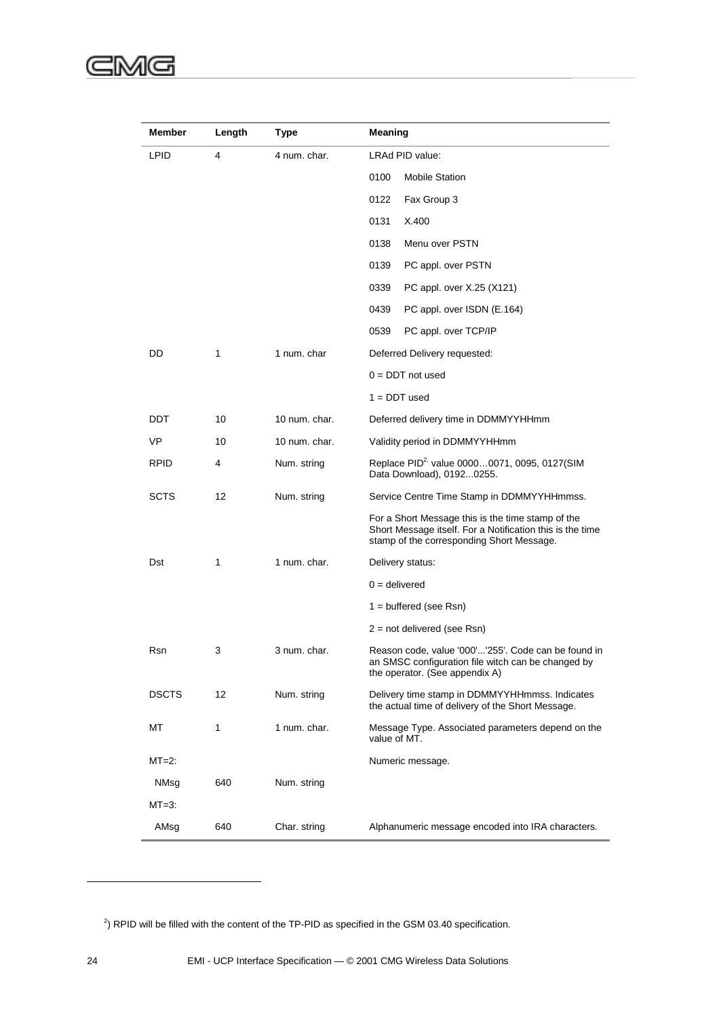| <b>Member</b> | Length | Type          | <b>Meaning</b>                                                                                                                                              |  |
|---------------|--------|---------------|-------------------------------------------------------------------------------------------------------------------------------------------------------------|--|
| <b>LPID</b>   | 4      | 4 num. char.  | LRAd PID value:                                                                                                                                             |  |
|               |        |               | <b>Mobile Station</b><br>0100                                                                                                                               |  |
|               |        |               | 0122<br>Fax Group 3                                                                                                                                         |  |
|               |        |               | X.400<br>0131                                                                                                                                               |  |
|               |        |               | Menu over PSTN<br>0138                                                                                                                                      |  |
|               |        |               | 0139<br>PC appl. over PSTN                                                                                                                                  |  |
|               |        |               | 0339<br>PC appl. over X.25 (X121)                                                                                                                           |  |
|               |        |               | 0439<br>PC appl. over ISDN (E.164)                                                                                                                          |  |
|               |        |               | 0539<br>PC appl. over TCP/IP                                                                                                                                |  |
| DD            | 1      | 1 num. char   | Deferred Delivery requested:                                                                                                                                |  |
|               |        |               | $0 =$ DDT not used                                                                                                                                          |  |
|               |        |               | $1 =$ DDT used                                                                                                                                              |  |
| DDT           | 10     | 10 num. char. | Deferred delivery time in DDMMYYHHmm                                                                                                                        |  |
| VP            | 10     | 10 num. char. | Validity period in DDMMYYHHmm                                                                                                                               |  |
| <b>RPID</b>   | 4      | Num. string   | Replace PID <sup>2,</sup> value 00000071, 0095, 0127(SIM<br>Data Download), 01920255.                                                                       |  |
| SCTS          | 12     | Num. string   | Service Centre Time Stamp in DDMMYYHHmmss.                                                                                                                  |  |
|               |        |               | For a Short Message this is the time stamp of the<br>Short Message itself. For a Notification this is the time<br>stamp of the corresponding Short Message. |  |
| Dst           | 1      | 1 num. char.  | Delivery status:                                                                                                                                            |  |
|               |        |               | $0 =$ delivered                                                                                                                                             |  |
|               |        |               | $1 =$ buffered (see Rsn)                                                                                                                                    |  |
|               |        |               | $2 = not$ delivered (see Rsn)                                                                                                                               |  |
| Rsn           | 3      | 3 num. char.  | Reason code, value '000''255'. Code can be found in<br>an SMSC configuration file witch can be changed by<br>the operator. (See appendix A)                 |  |
| <b>DSCTS</b>  | 12     | Num. string   | Delivery time stamp in DDMMYYHHmmss. Indicates<br>the actual time of delivery of the Short Message.                                                         |  |
| МT            | 1      | 1 num. char.  | Message Type. Associated parameters depend on the<br>value of MT.                                                                                           |  |
| $MT=2$ :      |        |               | Numeric message.                                                                                                                                            |  |
| NMsg          | 640    | Num. string   |                                                                                                                                                             |  |
| $MT=3:$       |        |               |                                                                                                                                                             |  |
| AMsg          | 640    | Char. string  | Alphanumeric message encoded into IRA characters.                                                                                                           |  |

 $^{2}$ ) RPID will be filled with the content of the TP-PID as specified in the GSM 03.40 specification.

l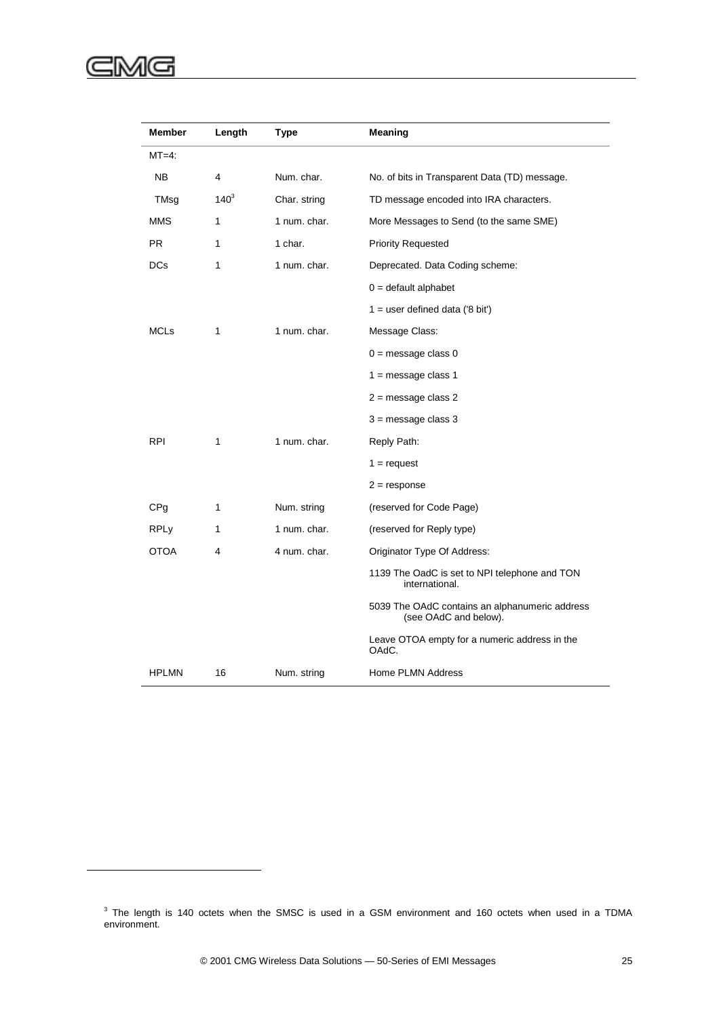#### ⋐ :MG

l

| Member          | Length       | <b>Type</b>  | Meaning                                                                 |
|-----------------|--------------|--------------|-------------------------------------------------------------------------|
| $MT=4$ :        |              |              |                                                                         |
| <b>NB</b>       | 4            | Num. char.   | No. of bits in Transparent Data (TD) message.                           |
| TMsg            | $140^{3}$    | Char. string | TD message encoded into IRA characters.                                 |
| <b>MMS</b>      | 1            | 1 num. char. | More Messages to Send (to the same SME)                                 |
| <b>PR</b>       | 1            | 1 char.      | <b>Priority Requested</b>                                               |
| <b>DCs</b>      | 1            | 1 num. char. | Deprecated. Data Coding scheme:                                         |
|                 |              |              | $0 =$ default alphabet                                                  |
|                 |              |              | $1 =$ user defined data ('8 bit')                                       |
| <b>MCLs</b>     | 1            | 1 num. char. | Message Class:                                                          |
|                 |              |              | $0 =$ message class $0$                                                 |
|                 |              |              | $1 =$ message class 1                                                   |
|                 |              |              | 2 = message class 2                                                     |
|                 |              |              | $3$ = message class $3$                                                 |
| <b>RPI</b>      | $\mathbf{1}$ | 1 num. char. | Reply Path:                                                             |
|                 |              |              | $1 =$ request                                                           |
|                 |              |              | $2 =$ response                                                          |
| CP <sub>g</sub> | 1            | Num. string  | (reserved for Code Page)                                                |
| <b>RPLy</b>     | 1            | 1 num. char. | (reserved for Reply type)                                               |
| <b>OTOA</b>     | 4            | 4 num. char. | Originator Type Of Address:                                             |
|                 |              |              | 1139 The OadC is set to NPI telephone and TON<br>international.         |
|                 |              |              | 5039 The OAdC contains an alphanumeric address<br>(see OAdC and below). |
|                 |              |              | Leave OTOA empty for a numeric address in the<br>OAdC.                  |
| <b>HPLMN</b>    | 16           | Num. string  | Home PLMN Address                                                       |

<u> 1989 - Johann Barbara, martxa amerikan per</u>

 $\overline{\phantom{a}}$ 

 $3$  The length is 140 octets when the SMSC is used in a GSM environment and 160 octets when used in a TDMA environment.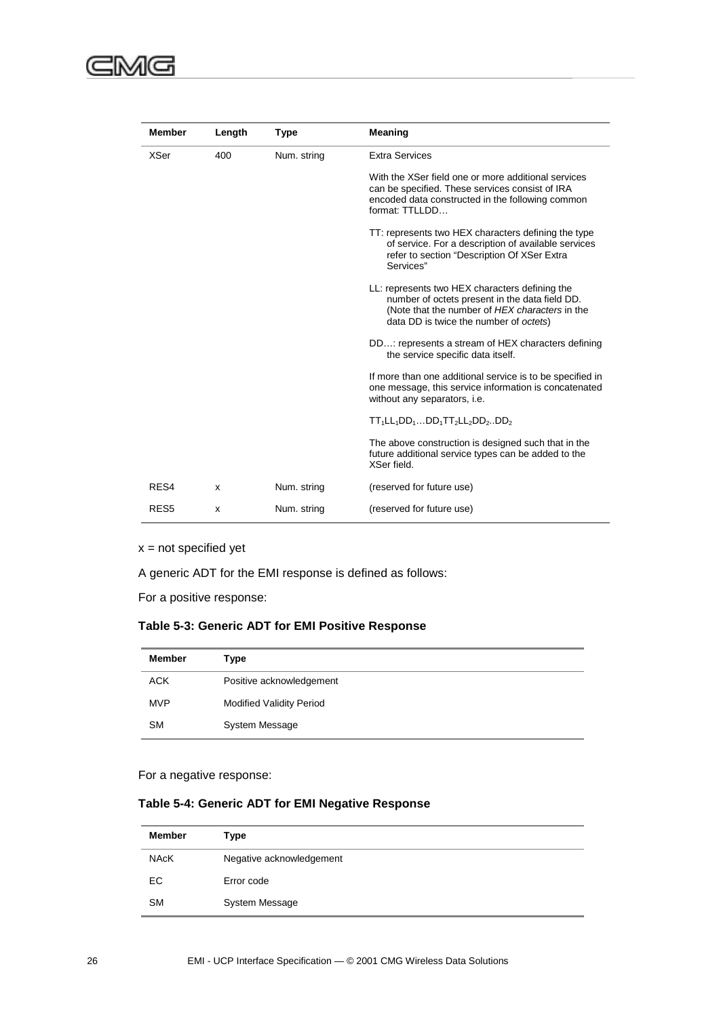| <b>Member</b>    | Length | <b>Type</b> | <b>Meaning</b>                                                                                                                                                                               |
|------------------|--------|-------------|----------------------------------------------------------------------------------------------------------------------------------------------------------------------------------------------|
| <b>XSer</b>      | 400    | Num. string | <b>Extra Services</b>                                                                                                                                                                        |
|                  |        |             | With the XSer field one or more additional services<br>can be specified. These services consist of IRA<br>encoded data constructed in the following common<br>format: TTLLDD                 |
|                  |        |             | TT: represents two HEX characters defining the type<br>of service. For a description of available services<br>refer to section "Description Of XSer Extra<br>Services"                       |
|                  |        |             | LL: represents two HEX characters defining the<br>number of octets present in the data field DD.<br>(Note that the number of HEX characters in the<br>data DD is twice the number of octets) |
|                  |        |             | DD: represents a stream of HEX characters defining<br>the service specific data itself.                                                                                                      |
|                  |        |             | If more than one additional service is to be specified in<br>one message, this service information is concatenated<br>without any separators, i.e.                                           |
|                  |        |             | $TT_1LL_1DD_1DD_1TT_2LL_2DD_2DD_2$                                                                                                                                                           |
|                  |        |             | The above construction is designed such that in the<br>future additional service types can be added to the<br>XSer field.                                                                    |
| RES4             | x      | Num. string | (reserved for future use)                                                                                                                                                                    |
| RES <sub>5</sub> | x      | Num. string | (reserved for future use)                                                                                                                                                                    |

 $x = not specified yet$ 

A generic ADT for the EMI response is defined as follows:

For a positive response:

### **Table 5-3: Generic ADT for EMI Positive Response**

| <b>Member</b> | Type                            |
|---------------|---------------------------------|
| <b>ACK</b>    | Positive acknowledgement        |
| <b>MVP</b>    | <b>Modified Validity Period</b> |
| <b>SM</b>     | System Message                  |

For a negative response:

### **Table 5-4: Generic ADT for EMI Negative Response**

| <b>Member</b> | Type                     |
|---------------|--------------------------|
| <b>NAcK</b>   | Negative acknowledgement |
| EC            | Error code               |
| <b>SM</b>     | <b>System Message</b>    |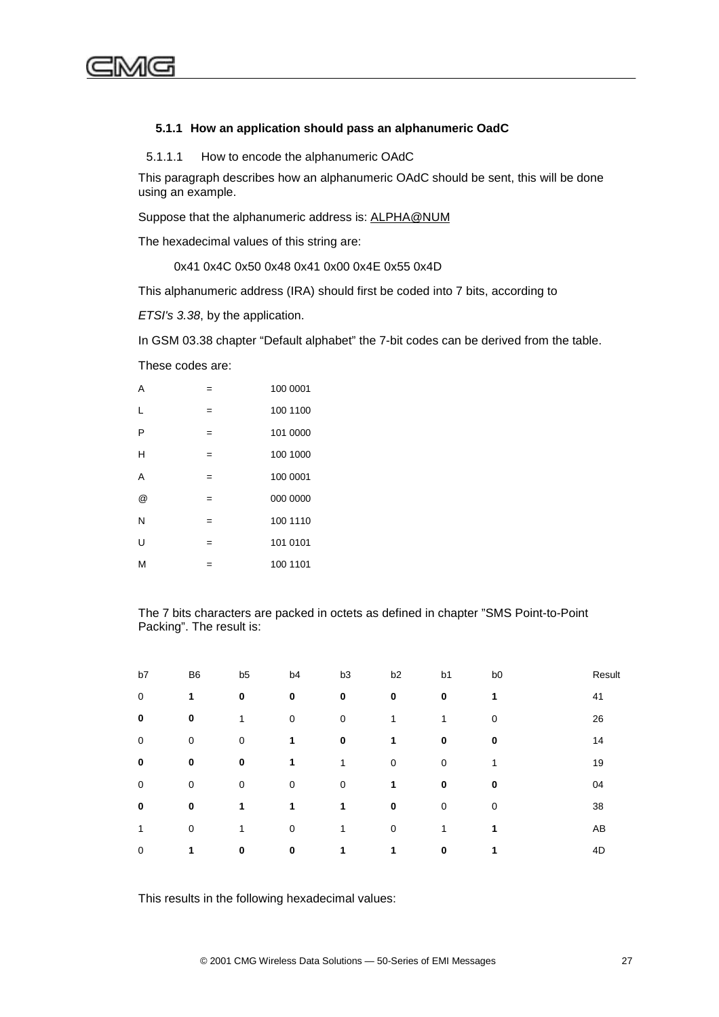

#### **5.1.1 How an application should pass an alphanumeric OadC**

5.1.1.1 How to encode the alphanumeric OAdC

This paragraph describes how an alphanumeric OAdC should be sent, this will be done using an example.

Suppose that the alphanumeric address is: [ALPHA@NUM](mailto:ALPHA@NUM)

The hexadecimal values of this string are:

0x41 0x4C 0x50 0x48 0x41 0x00 0x4E 0x55 0x4D

This alphanumeric address (IRA) should first be coded into 7 bits, according to

*ETSI's 3.38*, by the application.

In GSM 03.38 chapter "Default alphabet" the 7-bit codes can be derived from the table.

These codes are:

| A |     | 100 0001 |
|---|-----|----------|
| L |     | 100 1100 |
| P | $=$ | 101 0000 |
| н | $=$ | 100 1000 |
| A | $=$ | 100 0001 |
| @ | $=$ | 000 0000 |
| N |     | 100 1110 |
| Ù | $=$ | 101 0101 |
| M |     | 100 1101 |

The 7 bits characters are packed in octets as defined in chapter "SMS Point-to-Point Packing". The result is:

| b7          | B <sub>6</sub> | b <sub>5</sub> | b <sub>4</sub> | b <sub>3</sub> | b <sub>2</sub> | b <sub>1</sub> | b <sub>0</sub> | Result |
|-------------|----------------|----------------|----------------|----------------|----------------|----------------|----------------|--------|
| $\mathbf 0$ | 1              | 0              | 0              | $\bf{0}$       | $\bf{0}$       | $\bf{0}$       | 1              | 41     |
| $\bf{0}$    | 0              | 1              | 0              | 0              | 1              | 1              | 0              | 26     |
| 0           | $\mathbf 0$    | $\mathbf 0$    | 1              | $\mathbf 0$    | 1              | $\mathbf 0$    | 0              | 14     |
| 0           | 0              | 0              | 1              | 1              | $\mathbf 0$    | $\mathbf 0$    | 4              | 19     |
| 0           | $\mathbf 0$    | $\mathbf 0$    | 0              | $\mathbf 0$    | 1              | $\bf{0}$       | $\mathbf 0$    | 04     |
| 0           | 0              | 1              | 1              | 1              | $\mathbf 0$    | 0              | 0              | 38     |
| 1           | $\mathbf 0$    | 1              | 0              | 1              | $\mathbf 0$    | 1              | 1              | AB     |
| 0           | 1              | $\bf{0}$       | 0              | 1              | 1              | $\bf{0}$       | 1              | 4D     |

This results in the following hexadecimal values: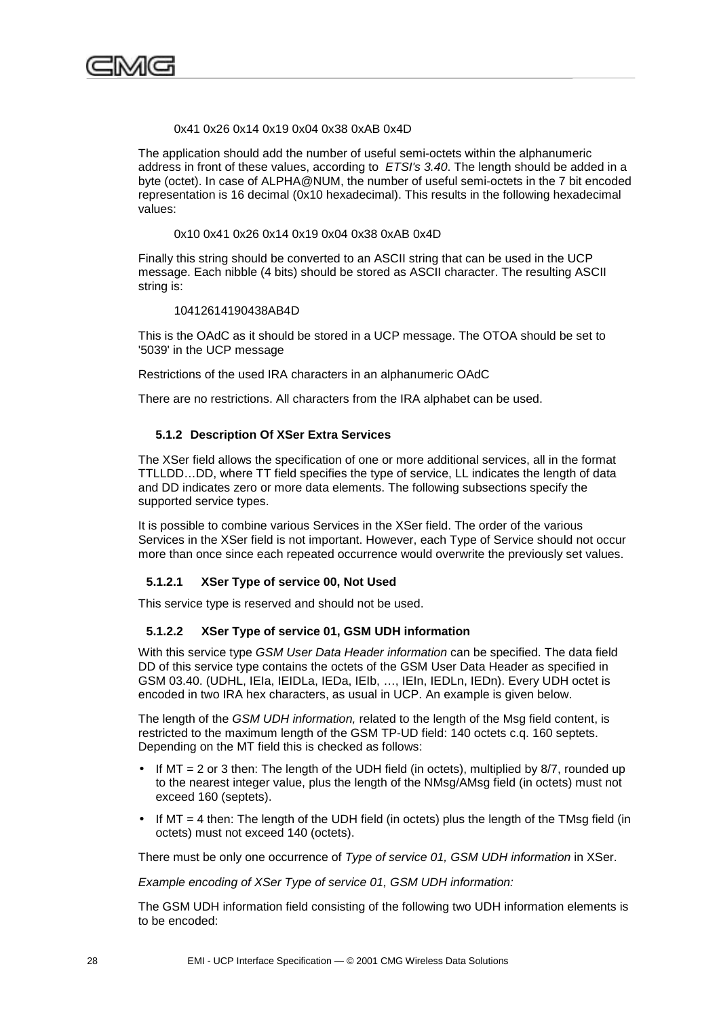<span id="page-41-0"></span>

0x41 0x26 0x14 0x19 0x04 0x38 0xAB 0x4D

The application should add the number of useful semi-octets within the alphanumeric address in front of these values, according to *ETSI's 3.40*. The length should be added in a byte (octet). In case of ALPHA@NUM, the number of useful semi-octets in the 7 bit encoded representation is 16 decimal (0x10 hexadecimal). This results in the following hexadecimal values:

0x10 0x41 0x26 0x14 0x19 0x04 0x38 0xAB 0x4D

Finally this string should be converted to an ASCII string that can be used in the UCP message. Each nibble (4 bits) should be stored as ASCII character. The resulting ASCII string is:

#### 10412614190438AB4D

This is the OAdC as it should be stored in a UCP message. The OTOA should be set to '5039' in the UCP message

Restrictions of the used IRA characters in an alphanumeric OAdC

There are no restrictions. All characters from the IRA alphabet can be used.

#### **5.1.2 Description Of XSer Extra Services**

The XSer field allows the specification of one or more additional services, all in the format TTLLDD…DD, where TT field specifies the type of service, LL indicates the length of data and DD indicates zero or more data elements. The following subsections specify the supported service types.

It is possible to combine various Services in the XSer field. The order of the various Services in the XSer field is not important. However, each Type of Service should not occur more than once since each repeated occurrence would overwrite the previously set values.

#### **5.1.2.1 XSer Type of service 00, Not Used**

This service type is reserved and should not be used.

#### **5.1.2.2 XSer Type of service 01, GSM UDH information**

With this service type *GSM User Data Header information* can be specified. The data field DD of this service type contains the octets of the GSM User Data Header as specified in GSM 03.40. (UDHL, IEIa, IEIDLa, IEDa, IEIb, …, IEIn, IEDLn, IEDn). Every UDH octet is encoded in two IRA hex characters, as usual in UCP. An example is given below.

The length of the *GSM UDH information,* related to the length of the Msg field content, is restricted to the maximum length of the GSM TP-UD field: 140 octets c.q. 160 septets. Depending on the MT field this is checked as follows:

- If  $MT = 2$  or 3 then: The length of the UDH field (in octets), multiplied by 8/7, rounded up to the nearest integer value, plus the length of the NMsg/AMsg field (in octets) must not exceed 160 (septets).
- If MT = 4 then: The length of the UDH field (in octets) plus the length of the TMsg field (in octets) must not exceed 140 (octets).

There must be only one occurrence of *Type of service 01, GSM UDH information* in XSer.

*Example encoding of XSer Type of service 01, GSM UDH information:*

The GSM UDH information field consisting of the following two UDH information elements is to be encoded: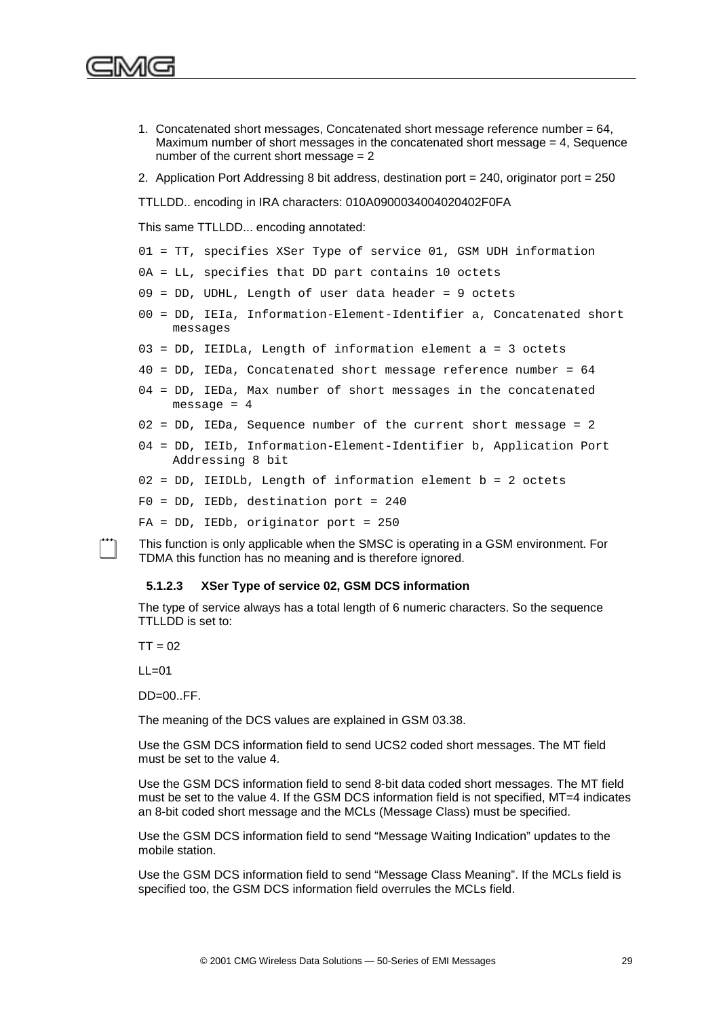- 1. Concatenated short messages, Concatenated short message reference number  $= 64$ , Maximum number of short messages in the concatenated short message  $= 4$ , Sequence number of the current short message  $= 2$
- 2. Application Port Addressing 8 bit address, destination port = 240, originator port = 250

TTLLDD.. encoding in IRA characters: 010A0900034004020402F0FA

This same TTLLDD... encoding annotated:

- 01 = TT, specifies XSer Type of service 01, GSM UDH information
- 0A = LL, specifies that DD part contains 10 octets
- 09 = DD, UDHL, Length of user data header = 9 octets
- 00 = DD, IEIa, Information-Element-Identifier a, Concatenated short messages
- 03 = DD, IEIDLa, Length of information element a = 3 octets
- 40 = DD, IEDa, Concatenated short message reference number = 64
- 04 = DD, IEDa, Max number of short messages in the concatenated message  $= 4$
- 02 = DD, IEDa, Sequence number of the current short message = 2
- 04 = DD, IEIb, Information-Element-Identifier b, Application Port Addressing 8 bit
- 02 = DD, IEIDLb, Length of information element b = 2 octets

 $F0 = DD$ , IEDb, destination port = 240

FA = DD, IEDb, originator port = 250

This function is only applicable when the SMSC is operating in a GSM environment. For TDMA this function has no meaning and is therefore ignored.

#### **5.1.2.3 XSer Type of service 02, GSM DCS information**

The type of service always has a total length of 6 numeric characters. So the sequence TTLLDD is set to:

 $TT = 02$ 

 $LL=01$ 

 $DD=00.$  FF.

The meaning of the DCS values are explained in GSM 03.38.

Use the GSM DCS information field to send UCS2 coded short messages. The MT field must be set to the value 4.

Use the GSM DCS information field to send 8-bit data coded short messages. The MT field must be set to the value 4. If the GSM DCS information field is not specified, MT=4 indicates an 8-bit coded short message and the MCLs (Message Class) must be specified.

Use the GSM DCS information field to send "Message Waiting Indication" updates to the mobile station.

Use the GSM DCS information field to send "Message Class Meaning". If the MCLs field is specified too, the GSM DCS information field overrules the MCLs field.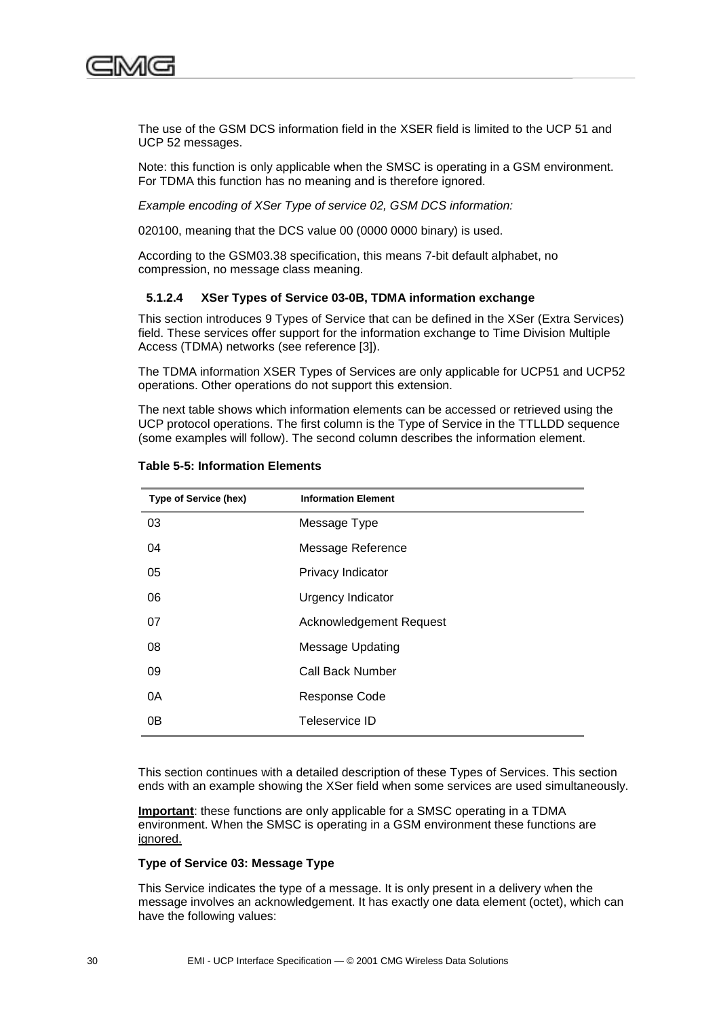

The use of the GSM DCS information field in the XSER field is limited to the UCP 51 and UCP 52 messages.

Note: this function is only applicable when the SMSC is operating in a GSM environment. For TDMA this function has no meaning and is therefore ignored.

*Example encoding of XSer Type of service 02, GSM DCS information:*

020100, meaning that the DCS value 00 (0000 0000 binary) is used.

According to the GSM03.38 specification, this means 7-bit default alphabet, no compression, no message class meaning.

#### **5.1.2.4 XSer Types of Service 03-0B, TDMA information exchange**

This section introduces 9 Types of Service that can be defined in the XSer (Extra Services) field. These services offer support for the information exchange to Time Division Multiple Access (TDMA) networks (see reference [3]).

The TDMA information XSER Types of Services are only applicable for UCP51 and UCP52 operations. Other operations do not support this extension.

The next table shows which information elements can be accessed or retrieved using the UCP protocol operations. The first column is the Type of Service in the TTLLDD sequence (some examples will follow). The second column describes the information element.

| <b>Type of Service (hex)</b> | <b>Information Element</b>     |
|------------------------------|--------------------------------|
| 03                           | Message Type                   |
| 04                           | Message Reference              |
| 05                           | Privacy Indicator              |
| 06                           | <b>Urgency Indicator</b>       |
| 07                           | <b>Acknowledgement Request</b> |
| 08                           | <b>Message Updating</b>        |
| 09                           | <b>Call Back Number</b>        |
| 0A                           | Response Code                  |
| 0 <sub>B</sub>               | Teleservice ID                 |

#### **Table 5-5: Information Elements**

This section continues with a detailed description of these Types of Services. This section ends with an example showing the XSer field when some services are used simultaneously.

**Important**: these functions are only applicable for a SMSC operating in a TDMA environment. When the SMSC is operating in a GSM environment these functions are ignored.

#### **Type of Service 03: Message Type**

This Service indicates the type of a message. It is only present in a delivery when the message involves an acknowledgement. It has exactly one data element (octet), which can have the following values: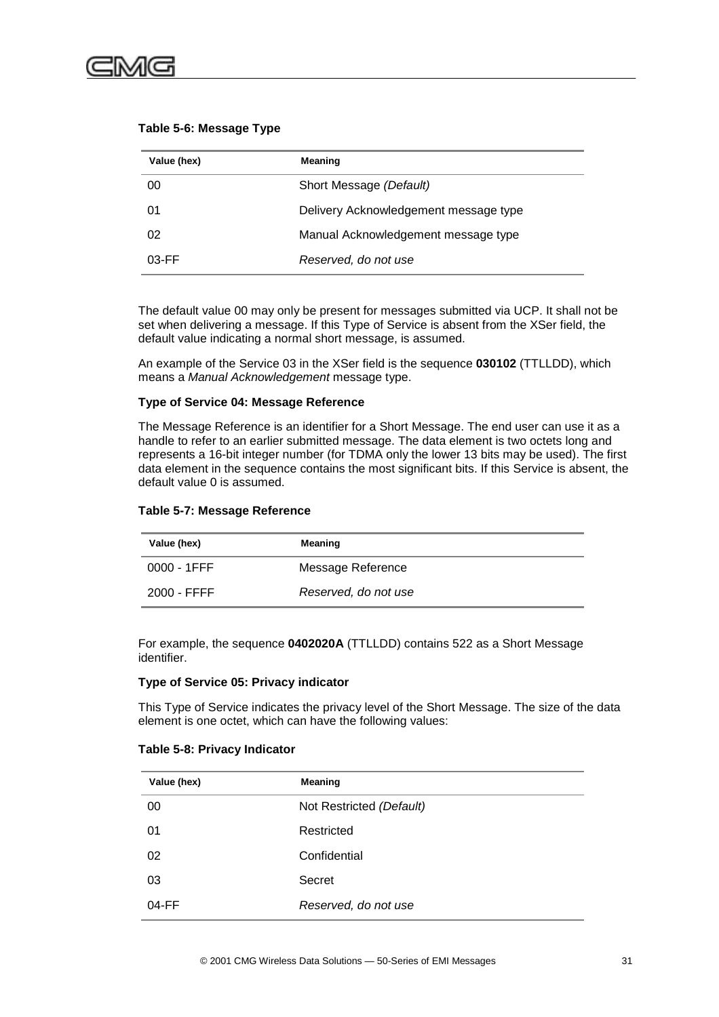

| Value (hex) | Meaning                               |
|-------------|---------------------------------------|
| 00          | Short Message (Default)               |
| 01          | Delivery Acknowledgement message type |
| 02          | Manual Acknowledgement message type   |
| $03$ -FF    | Reserved, do not use                  |

#### **Table 5-6: Message Type**

The default value 00 may only be present for messages submitted via UCP. It shall not be set when delivering a message. If this Type of Service is absent from the XSer field, the default value indicating a normal short message, is assumed.

An example of the Service 03 in the XSer field is the sequence **030102** (TTLLDD), which means a *Manual Acknowledgement* message type.

#### **Type of Service 04: Message Reference**

The Message Reference is an identifier for a Short Message. The end user can use it as a handle to refer to an earlier submitted message. The data element is two octets long and represents a 16-bit integer number (for TDMA only the lower 13 bits may be used). The first data element in the sequence contains the most significant bits. If this Service is absent, the default value 0 is assumed.

|  |  |  | Table 5-7: Message Reference |
|--|--|--|------------------------------|
|--|--|--|------------------------------|

| Value (hex)    | Meaning              |
|----------------|----------------------|
| $0000 - 1$ FFF | Message Reference    |
| 2000 - FFFF    | Reserved, do not use |

For example, the sequence **0402020A** (TTLLDD) contains 522 as a Short Message identifier.

#### **Type of Service 05: Privacy indicator**

This Type of Service indicates the privacy level of the Short Message. The size of the data element is one octet, which can have the following values:

#### **Table 5-8: Privacy Indicator**

| Value (hex) | Meaning                  |  |
|-------------|--------------------------|--|
| 00          | Not Restricted (Default) |  |
| 01          | Restricted               |  |
| 02          | Confidential             |  |
| 03          | Secret                   |  |
| $04$ -FF    | Reserved, do not use     |  |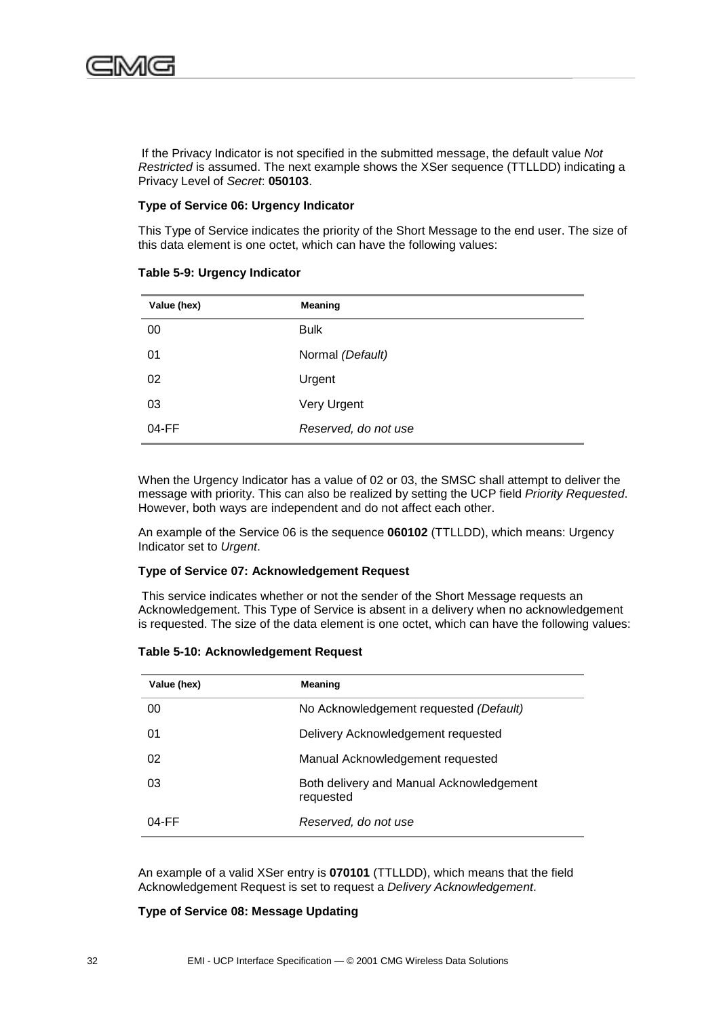

 If the Privacy Indicator is not specified in the submitted message, the default value *Not Restricted* is assumed. The next example shows the XSer sequence (TTLLDD) indicating a Privacy Level of *Secret*: **050103**.

#### **Type of Service 06: Urgency Indicator**

This Type of Service indicates the priority of the Short Message to the end user. The size of this data element is one octet, which can have the following values:

| Value (hex) | Meaning              |
|-------------|----------------------|
| 00          | <b>Bulk</b>          |
| 01          | Normal (Default)     |
| 02          | Urgent               |
| 03          | Very Urgent          |
| $04$ -FF    | Reserved, do not use |

#### **Table 5-9: Urgency Indicator**

When the Urgency Indicator has a value of 02 or 03, the SMSC shall attempt to deliver the message with priority. This can also be realized by setting the UCP field *Priority Requested*. However, both ways are independent and do not affect each other.

An example of the Service 06 is the sequence **060102** (TTLLDD), which means: Urgency Indicator set to *Urgent*.

#### **Type of Service 07: Acknowledgement Request**

 This service indicates whether or not the sender of the Short Message requests an Acknowledgement. This Type of Service is absent in a delivery when no acknowledgement is requested. The size of the data element is one octet, which can have the following values:

| Value (hex) | <b>Meaning</b>                                        |  |
|-------------|-------------------------------------------------------|--|
| 00          | No Acknowledgement requested (Default)                |  |
| 01          | Delivery Acknowledgement requested                    |  |
| 02          | Manual Acknowledgement requested                      |  |
| 03          | Both delivery and Manual Acknowledgement<br>requested |  |
| $04$ -FF    | Reserved, do not use                                  |  |

#### **Table 5-10: Acknowledgement Request**

An example of a valid XSer entry is **070101** (TTLLDD), which means that the field Acknowledgement Request is set to request a *Delivery Acknowledgement*.

**Type of Service 08: Message Updating**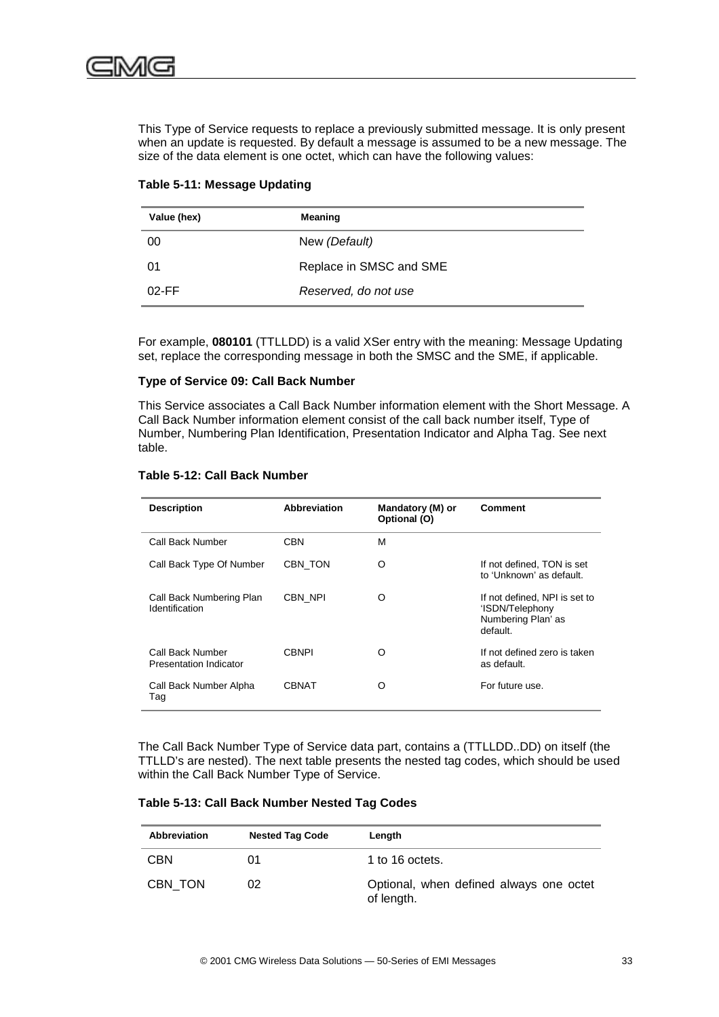This Type of Service requests to replace a previously submitted message. It is only present when an update is requested. By default a message is assumed to be a new message. The size of the data element is one octet, which can have the following values:

| Value (hex) | Meaning                 |  |
|-------------|-------------------------|--|
| 00          | New (Default)           |  |
| 01          | Replace in SMSC and SME |  |
| $02$ -FF    | Reserved, do not use    |  |

#### **Table 5-11: Message Updating**

For example, **080101** (TTLLDD) is a valid XSer entry with the meaning: Message Updating set, replace the corresponding message in both the SMSC and the SME, if applicable.

#### **Type of Service 09: Call Back Number**

This Service associates a Call Back Number information element with the Short Message. A Call Back Number information element consist of the call back number itself, Type of Number, Numbering Plan Identification, Presentation Indicator and Alpha Tag. See next table.

#### **Table 5-12: Call Back Number**

| <b>Description</b>                         | <b>Abbreviation</b> | Mandatory (M) or<br>Optional (O) | <b>Comment</b>                                                                     |
|--------------------------------------------|---------------------|----------------------------------|------------------------------------------------------------------------------------|
| Call Back Number                           | CBN                 | м                                |                                                                                    |
| Call Back Type Of Number                   | CBN TON             | O                                | If not defined, TON is set<br>to 'Unknown' as default.                             |
| Call Back Numbering Plan<br>Identification | CBN NPI             | O                                | If not defined, NPI is set to<br>'ISDN/Telephony<br>Numbering Plan' as<br>default. |
| Call Back Number<br>Presentation Indicator | CBNPI               | Ω                                | If not defined zero is taken<br>as default.                                        |
| Call Back Number Alpha<br>Tag              | <b>CBNAT</b>        | ∩                                | For future use.                                                                    |

The Call Back Number Type of Service data part, contains a (TTLLDD..DD) on itself (the TTLLD's are nested). The next table presents the nested tag codes, which should be used within the Call Back Number Type of Service.

#### **Table 5-13: Call Back Number Nested Tag Codes**

| <b>Abbreviation</b> | <b>Nested Tag Code</b> | Length                                                |
|---------------------|------------------------|-------------------------------------------------------|
| <b>CBN</b>          | ()1                    | 1 to 16 octets.                                       |
| CBN TON             | 02                     | Optional, when defined always one octet<br>of length. |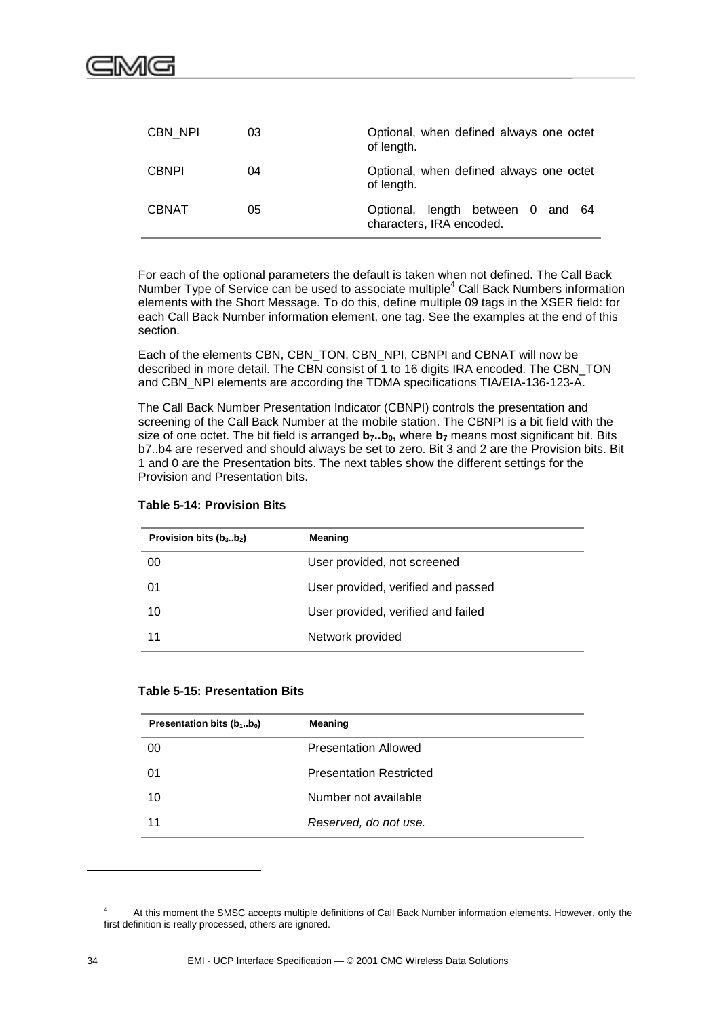

| CBN NPI      | 03 | Optional, when defined always one octet<br>of length.         |
|--------------|----|---------------------------------------------------------------|
| <b>CBNPI</b> | 04 | Optional, when defined always one octet<br>of length.         |
| <b>CBNAT</b> | 05 | Optional, length between 0 and 64<br>characters, IRA encoded. |

For each of the optional parameters the default is taken when not defined. The Call Back Number Type of Service can be used to associate multiple<sup>4</sup> Call Back Numbers information elements with the Short Message. To do this, define multiple 09 tags in the XSER field: for each Call Back Number information element, one tag. See the examples at the end of this section.

Each of the elements CBN, CBN\_TON, CBN\_NPI, CBNPI and CBNAT will now be described in more detail. The CBN consist of 1 to 16 digits IRA encoded. The CBN\_TON and CBN\_NPI elements are according the TDMA specifications TIA/EIA-136-123-A.

The Call Back Number Presentation Indicator (CBNPI) controls the presentation and screening of the Call Back Number at the mobile station. The CBNPI is a bit field with the size of one octet. The bit field is arranged  $b_7..b_0$ , where  $b_7$  means most significant bit. Bits b7..b4 are reserved and should always be set to zero. Bit 3 and 2 are the Provision bits. Bit 1 and 0 are the Presentation bits. The next tables show the different settings for the Provision and Presentation bits.

|  |  | <b>Table 5-14: Provision Bits</b> |  |
|--|--|-----------------------------------|--|
|--|--|-----------------------------------|--|

| Provision bits $(b_3b_2)$ | Meaning                            |  |
|---------------------------|------------------------------------|--|
| 00                        | User provided, not screened        |  |
| 01                        | User provided, verified and passed |  |
| 10                        | User provided, verified and failed |  |
| 11                        | Network provided                   |  |

| Presentation bits $(b_1b_0)$ | Meaning                        |
|------------------------------|--------------------------------|
| 00                           | <b>Presentation Allowed</b>    |
| 01                           | <b>Presentation Restricted</b> |
| 10                           | Number not available           |
| 11                           | Reserved, do not use.          |

l

<sup>&</sup>lt;sup>4</sup> At this moment the SMSC accepts multiple definitions of Call Back Number information elements. However, only the first definition is really processed, others are ignored.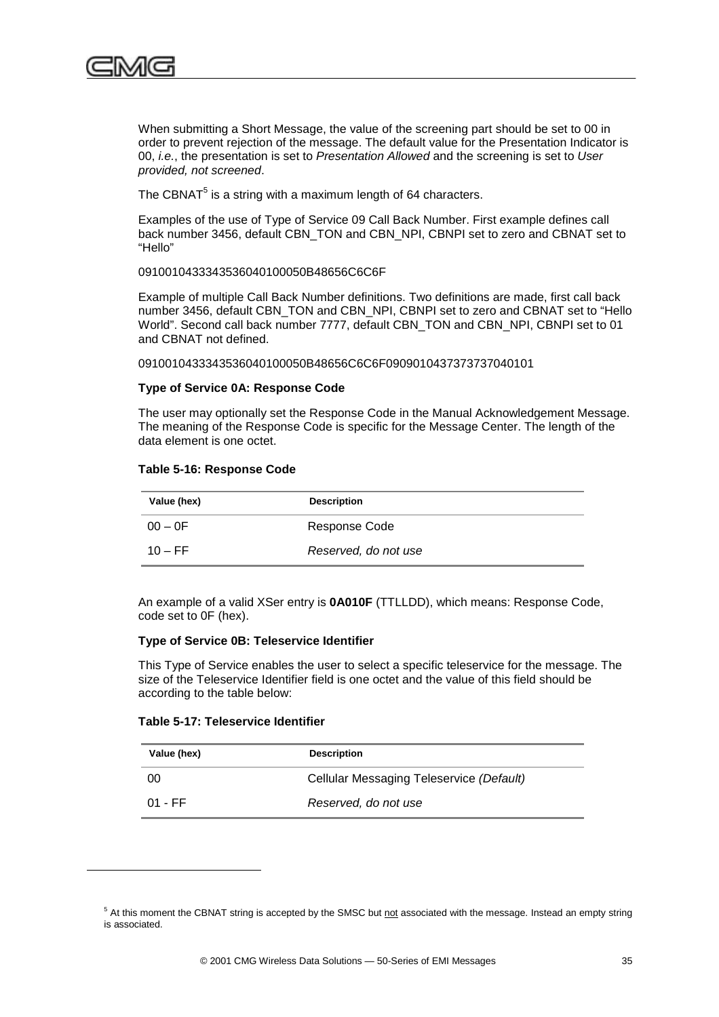

When submitting a Short Message, the value of the screening part should be set to 00 in order to prevent rejection of the message. The default value for the Presentation Indicator is 00, *i.e.*, the presentation is set to *Presentation Allowed* and the screening is set to *User provided, not screened*.

The CBNAT $<sup>5</sup>$  is a string with a maximum length of 64 characters.</sup>

Examples of the use of Type of Service 09 Call Back Number. First example defines call back number 3456, default CBN\_TON and CBN\_NPI, CBNPI set to zero and CBNAT set to "Hello"

0910010433343536040100050B48656C6C6F

Example of multiple Call Back Number definitions. Two definitions are made, first call back number 3456, default CBN\_TON and CBN\_NPI, CBNPI set to zero and CBNAT set to "Hello World". Second call back number 7777, default CBN\_TON and CBN\_NPI, CBNPI set to 01 and CBNAT not defined.

0910010433343536040100050B48656C6C6F0909010437373737040101

#### **Type of Service 0A: Response Code**

The user may optionally set the Response Code in the Manual Acknowledgement Message. The meaning of the Response Code is specific for the Message Center. The length of the data element is one octet.

#### **Table 5-16: Response Code**

| Value (hex) | <b>Description</b>   |
|-------------|----------------------|
| $00 - 0F$   | Response Code        |
| $10 - FF$   | Reserved, do not use |

An example of a valid XSer entry is **0A010F** (TTLLDD), which means: Response Code, code set to 0F (hex).

#### **Type of Service 0B: Teleservice Identifier**

This Type of Service enables the user to select a specific teleservice for the message. The size of the Teleservice Identifier field is one octet and the value of this field should be according to the table below:

#### **Table 5-17: Teleservice Identifier**

l

| Value (hex) | <b>Description</b>                       |  |
|-------------|------------------------------------------|--|
| 00          | Cellular Messaging Teleservice (Default) |  |
| 01 - FF     | Reserved, do not use                     |  |

<sup>&</sup>lt;sup>5</sup> At this moment the CBNAT string is accepted by the SMSC but not associated with the message. Instead an empty string is associated.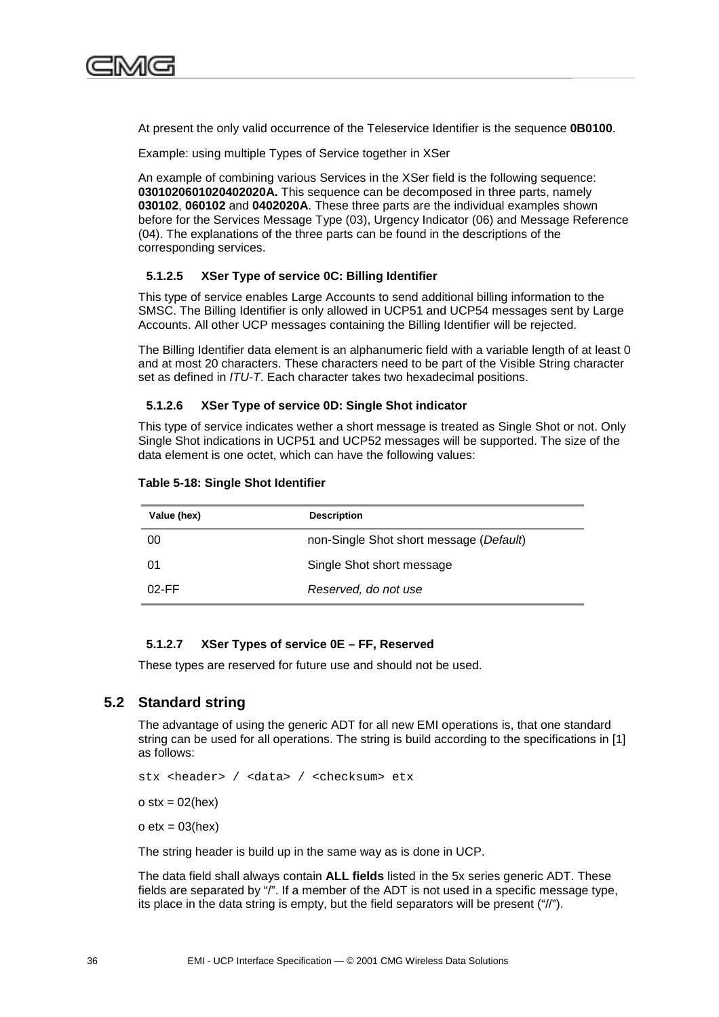

At present the only valid occurrence of the Teleservice Identifier is the sequence **0B0100**.

Example: using multiple Types of Service together in XSer

An example of combining various Services in the XSer field is the following sequence: **0301020601020402020A.** This sequence can be decomposed in three parts, namely **030102**, **060102** and **0402020A**. These three parts are the individual examples shown before for the Services Message Type (03), Urgency Indicator (06) and Message Reference (04). The explanations of the three parts can be found in the descriptions of the corresponding services.

#### **5.1.2.5 XSer Type of service 0C: Billing Identifier**

This type of service enables Large Accounts to send additional billing information to the SMSC. The Billing Identifier is only allowed in UCP51 and UCP54 messages sent by Large Accounts. All other UCP messages containing the Billing Identifier will be rejected.

The Billing Identifier data element is an alphanumeric field with a variable length of at least 0 and at most 20 characters. These characters need to be part of the Visible String character set as defined in *ITU-T*. Each character takes two hexadecimal positions.

#### **5.1.2.6 XSer Type of service 0D: Single Shot indicator**

This type of service indicates wether a short message is treated as Single Shot or not. Only Single Shot indications in UCP51 and UCP52 messages will be supported. The size of the data element is one octet, which can have the following values:

| Value (hex) | <b>Description</b>                      |  |
|-------------|-----------------------------------------|--|
| 00          | non-Single Shot short message (Default) |  |
| 01          | Single Shot short message               |  |
| $02$ -FF    | Reserved, do not use                    |  |

#### **Table 5-18: Single Shot Identifier**

#### **5.1.2.7 XSer Types of service 0E – FF, Reserved**

These types are reserved for future use and should not be used.

#### **5.2 Standard string**

The advantage of using the generic ADT for all new EMI operations is, that one standard string can be used for all operations. The string is build according to the specifications in [1] as follows:

stx <header> / <data> / <checksum> etx

 $o$  stx = 02(hex)

 $o etx = 03(hex)$ 

The string header is build up in the same way as is done in UCP.

The data field shall always contain **ALL fields** listed in the 5x series generic ADT. These fields are separated by "/". If a member of the ADT is not used in a specific message type, its place in the data string is empty, but the field separators will be present ("//").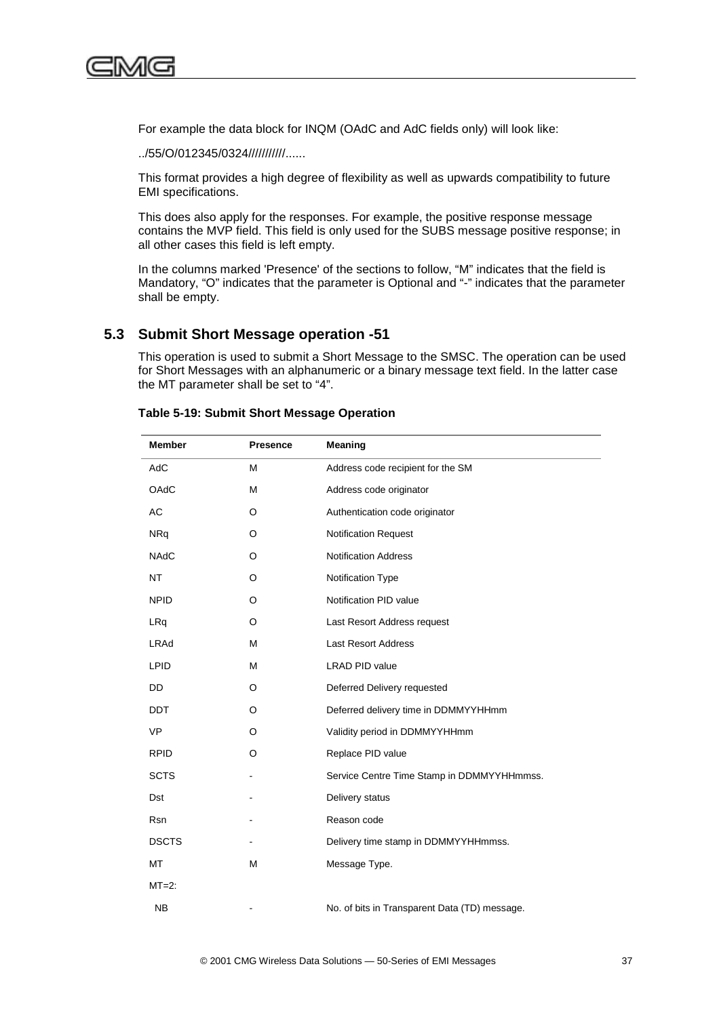<span id="page-50-0"></span>

For example the data block for INQM (OAdC and AdC fields only) will look like:

../55/O/012345/0324///////////......

This format provides a high degree of flexibility as well as upwards compatibility to future EMI specifications.

This does also apply for the responses. For example, the positive response message contains the MVP field. This field is only used for the SUBS message positive response; in all other cases this field is left empty.

In the columns marked 'Presence' of the sections to follow, "M" indicates that the field is Mandatory, "O" indicates that the parameter is Optional and "-" indicates that the parameter shall be empty.

### **5.3 Submit Short Message operation -51**

This operation is used to submit a Short Message to the SMSC. The operation can be used for Short Messages with an alphanumeric or a binary message text field. In the latter case the MT parameter shall be set to "4".

| <b>Member</b> | <b>Presence</b> | <b>Meaning</b>                                |  |
|---------------|-----------------|-----------------------------------------------|--|
| AdC           | M               | Address code recipient for the SM             |  |
| OAdC          | M               | Address code originator                       |  |
| AC            | O               | Authentication code originator                |  |
| <b>NRq</b>    | O               | <b>Notification Request</b>                   |  |
| <b>NAdC</b>   | O               | <b>Notification Address</b>                   |  |
| <b>NT</b>     | O               | Notification Type                             |  |
| <b>NPID</b>   | O               | Notification PID value                        |  |
| LRq           | O               | Last Resort Address request                   |  |
| LRAd          | M               | <b>Last Resort Address</b>                    |  |
| <b>LPID</b>   | M               | <b>LRAD PID value</b>                         |  |
| DD            | O               | Deferred Delivery requested                   |  |
| <b>DDT</b>    | O               | Deferred delivery time in DDMMYYHHmm          |  |
| <b>VP</b>     | O               | Validity period in DDMMYYHHmm                 |  |
| <b>RPID</b>   | O               | Replace PID value                             |  |
| <b>SCTS</b>   |                 | Service Centre Time Stamp in DDMMYYHHmmss.    |  |
| Dst           |                 | Delivery status                               |  |
| Rsn           |                 | Reason code                                   |  |
| <b>DSCTS</b>  |                 | Delivery time stamp in DDMMYYHHmmss.          |  |
| MT            | M               | Message Type.                                 |  |
| $MT=2$ :      |                 |                                               |  |
| <b>NB</b>     |                 | No. of bits in Transparent Data (TD) message. |  |

#### **Table 5-19: Submit Short Message Operation**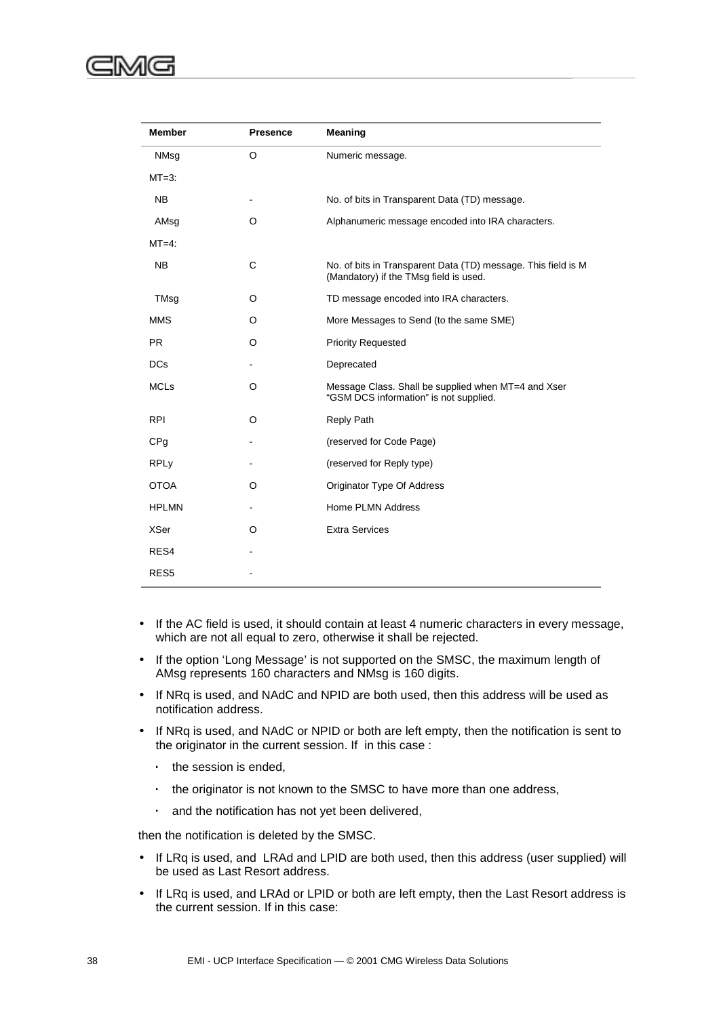| <b>Member</b>          | <b>Presence</b> | Meaning                                                                                                 |
|------------------------|-----------------|---------------------------------------------------------------------------------------------------------|
| NMsg                   | O               | Numeric message.                                                                                        |
| $MT=3$ :               |                 |                                                                                                         |
| <b>NB</b>              |                 | No. of bits in Transparent Data (TD) message.                                                           |
| AMsg                   | O               | Alphanumeric message encoded into IRA characters.                                                       |
| $MT=4$ :               |                 |                                                                                                         |
| <b>NB</b>              | C               | No. of bits in Transparent Data (TD) message. This field is M<br>(Mandatory) if the TMsg field is used. |
| TMsg                   | O               | TD message encoded into IRA characters.                                                                 |
| <b>MMS</b>             | O               | More Messages to Send (to the same SME)                                                                 |
| <b>PR</b>              | O               | <b>Priority Requested</b>                                                                               |
| <b>DCs</b>             |                 | Deprecated                                                                                              |
| <b>MCLs</b>            | O               | Message Class. Shall be supplied when MT=4 and Xser<br>"GSM DCS information" is not supplied.           |
| <b>RPI</b>             | O               | <b>Reply Path</b>                                                                                       |
| CP <sub>q</sub>        |                 | (reserved for Code Page)                                                                                |
| <b>RPL<sub>V</sub></b> |                 | (reserved for Reply type)                                                                               |
| <b>OTOA</b>            | O               | Originator Type Of Address                                                                              |
| <b>HPLMN</b>           |                 | Home PLMN Address                                                                                       |
| <b>XSer</b>            | O               | <b>Extra Services</b>                                                                                   |
| RES4                   |                 |                                                                                                         |
| RES <sub>5</sub>       |                 |                                                                                                         |

- If the AC field is used, it should contain at least 4 numeric characters in every message, which are not all equal to zero, otherwise it shall be rejected.
- If the option 'Long Message' is not supported on the SMSC, the maximum length of AMsg represents 160 characters and NMsg is 160 digits.
- If NRq is used, and NAdC and NPID are both used, then this address will be used as notification address.
- If NRq is used, and NAdC or NPID or both are left empty, then the notification is sent to the originator in the current session. If in this case :
	- ⋅ the session is ended,
	- ⋅ the originator is not known to the SMSC to have more than one address,
	- ⋅ and the notification has not yet been delivered,

then the notification is deleted by the SMSC.

- If LRq is used, and LRAd and LPID are both used, then this address (user supplied) will be used as Last Resort address.
- If LRq is used, and LRAd or LPID or both are left empty, then the Last Resort address is the current session. If in this case: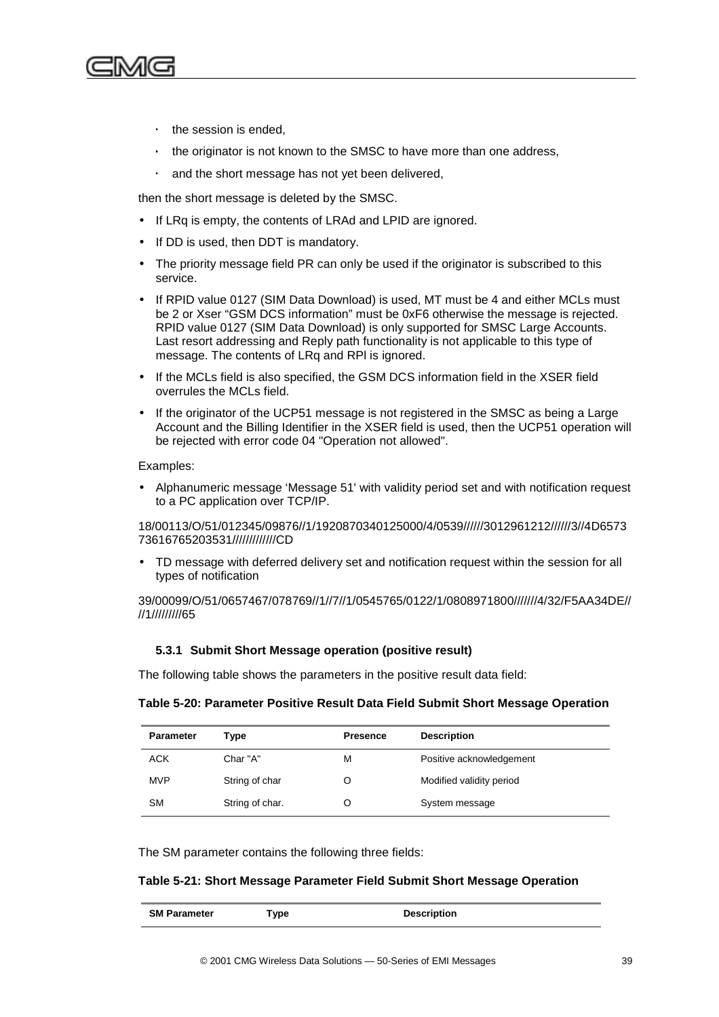

- ⋅ the session is ended,
- the originator is not known to the SMSC to have more than one address,
- and the short message has not yet been delivered,

then the short message is deleted by the SMSC.

- If LRq is empty, the contents of LRAd and LPID are ignored.
- If DD is used, then DDT is mandatory.
- The priority message field PR can only be used if the originator is subscribed to this service.
- If RPID value 0127 (SIM Data Download) is used, MT must be 4 and either MCLs must be 2 or Xser "GSM DCS information" must be 0xF6 otherwise the message is rejected. RPID value 0127 (SIM Data Download) is only supported for SMSC Large Accounts. Last resort addressing and Reply path functionality is not applicable to this type of message. The contents of LRq and RPl is ignored.
- If the MCLs field is also specified, the GSM DCS information field in the XSER field overrules the MCLs field.
- If the originator of the UCP51 message is not registered in the SMSC as being a Large Account and the Billing Identifier in the XSER field is used, then the UCP51 operation will be rejected with error code 04 "Operation not allowed".

#### Examples:

• Alphanumeric message 'Message 51' with validity period set and with notification request to a PC application over TCP/IP.

18/00113/O/51/012345/09876//1/1920870340125000/4/0539//////3012961212//////3//4D6573 73616765203531/////////////CD

• TD message with deferred delivery set and notification request within the session for all types of notification

39/00099/O/51/0657467/078769//1//7//1/0545765/0122/1/0808971800///////4/32/F5AA34DE// //1/////////65

#### **5.3.1 Submit Short Message operation (positive result)**

The following table shows the parameters in the positive result data field:

#### **Table 5-20: Parameter Positive Result Data Field Submit Short Message Operation**

| <b>Parameter</b> | Type            | <b>Presence</b> | <b>Description</b>       |
|------------------|-----------------|-----------------|--------------------------|
| <b>ACK</b>       | Char "A"        | М               | Positive acknowledgement |
| <b>MVP</b>       | String of char  | O               | Modified validity period |
| <b>SM</b>        | String of char. |                 | System message           |

The SM parameter contains the following three fields:

#### **Table 5-21: Short Message Parameter Field Submit Short Message Operation**

| <b>SM Parameter</b> | `ype | <b>Description</b> |
|---------------------|------|--------------------|
|                     |      |                    |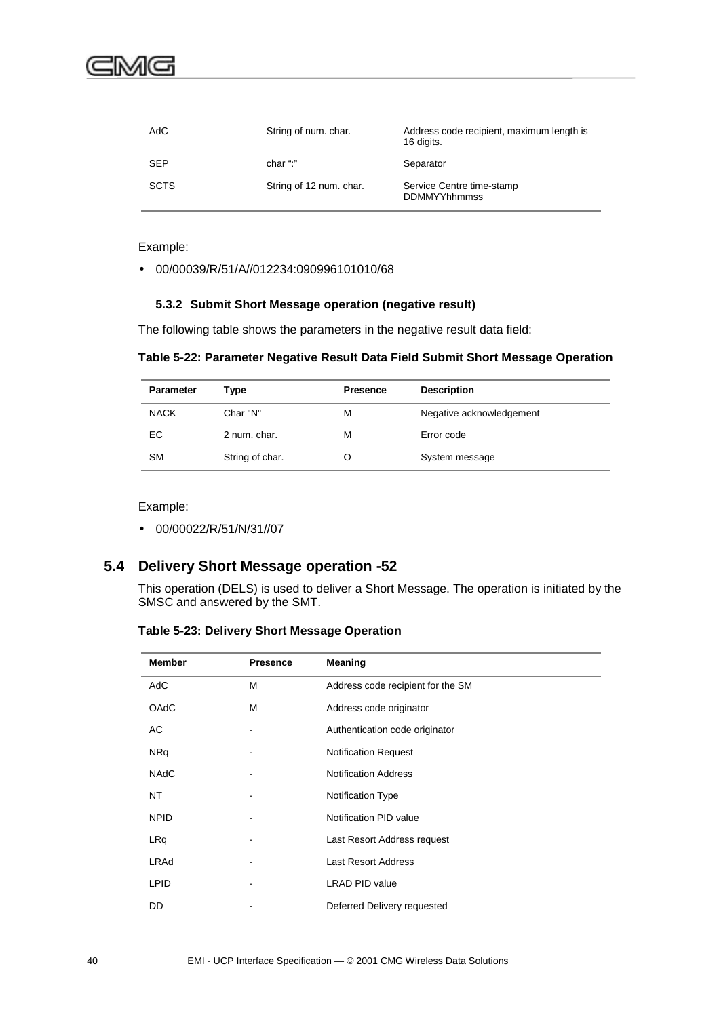| AdC         | String of num. char.    | Address code recipient, maximum length is<br>16 digits. |
|-------------|-------------------------|---------------------------------------------------------|
| <b>SEP</b>  | char ":"                | Separator                                               |
| <b>SCTS</b> | String of 12 num. char. | Service Centre time-stamp<br><b>DDMMYYhhmmss</b>        |

Example:

• 00/00039/R/51/A//012234:090996101010/68

#### **5.3.2 Submit Short Message operation (negative result)**

The following table shows the parameters in the negative result data field:

**Table 5-22: Parameter Negative Result Data Field Submit Short Message Operation**

| <b>Parameter</b> | Type            | <b>Presence</b> | <b>Description</b>       |
|------------------|-----------------|-----------------|--------------------------|
| <b>NACK</b>      | Char "N"        | М               | Negative acknowledgement |
| EC               | 2 num. char.    | M               | Error code               |
| <b>SM</b>        | String of char. | O               | System message           |

Example:

• 00/00022/R/51/N/31//07

## **5.4 Delivery Short Message operation -52**

This operation (DELS) is used to deliver a Short Message. The operation is initiated by the SMSC and answered by the SMT.

**Table 5-23: Delivery Short Message Operation**

| <b>Member</b> | <b>Presence</b> | Meaning                           |
|---------------|-----------------|-----------------------------------|
| <b>AdC</b>    | M               | Address code recipient for the SM |
| OAdC          | М               | Address code originator           |
| AC            |                 | Authentication code originator    |
| <b>NRq</b>    |                 | <b>Notification Request</b>       |
| <b>NAdC</b>   |                 | <b>Notification Address</b>       |
| NT            |                 | <b>Notification Type</b>          |
| <b>NPID</b>   |                 | Notification PID value            |
| LRq           |                 | Last Resort Address request       |
| <b>LRAd</b>   |                 | <b>Last Resort Address</b>        |
| <b>LPID</b>   |                 | <b>LRAD PID value</b>             |
| DD            |                 | Deferred Delivery requested       |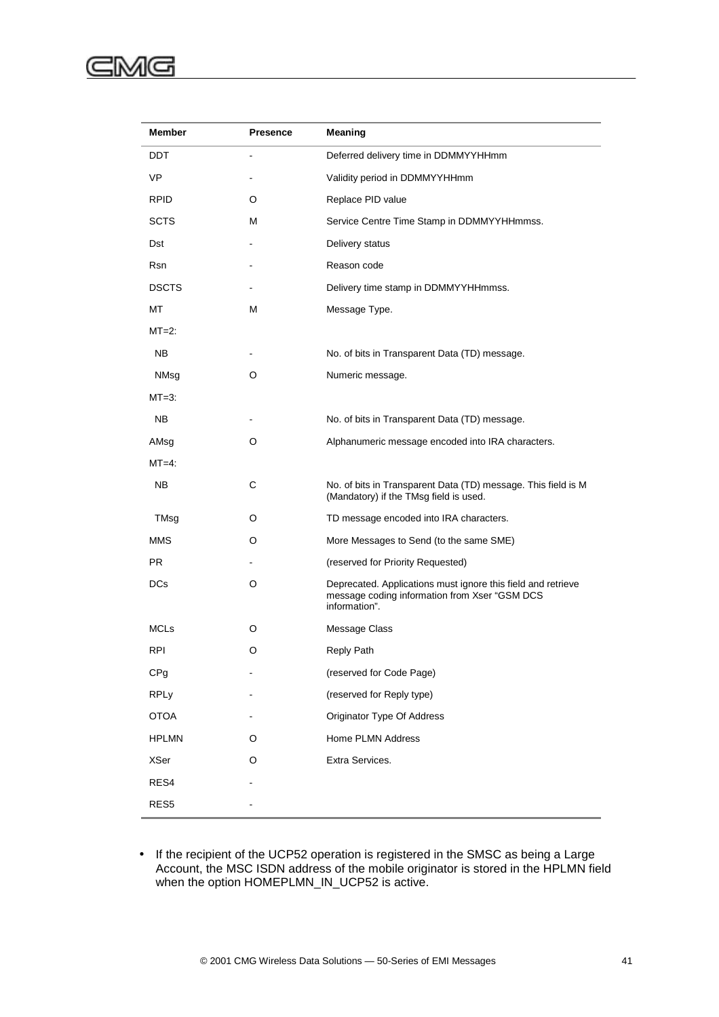#### ⋐ :MG

| Member           | <b>Presence</b> | <b>Meaning</b>                                                                                                                 |
|------------------|-----------------|--------------------------------------------------------------------------------------------------------------------------------|
| DDT              |                 | Deferred delivery time in DDMMYYHHmm                                                                                           |
| <b>VP</b>        |                 | Validity period in DDMMYYHHmm                                                                                                  |
| <b>RPID</b>      | O               | Replace PID value                                                                                                              |
| <b>SCTS</b>      | М               | Service Centre Time Stamp in DDMMYYHHmmss.                                                                                     |
| Dst              |                 | Delivery status                                                                                                                |
| Rsn              |                 | Reason code                                                                                                                    |
| <b>DSCTS</b>     |                 | Delivery time stamp in DDMMYYHHmmss.                                                                                           |
| МT               | М               | Message Type.                                                                                                                  |
| $MT=2$ :         |                 |                                                                                                                                |
| NB.              |                 | No. of bits in Transparent Data (TD) message.                                                                                  |
| NMsq             | O               | Numeric message.                                                                                                               |
| $MT=3$ :         |                 |                                                                                                                                |
| NB.              |                 | No. of bits in Transparent Data (TD) message.                                                                                  |
| AMsg             | O               | Alphanumeric message encoded into IRA characters.                                                                              |
| $MT=4$ :         |                 |                                                                                                                                |
| NB.              | C               | No. of bits in Transparent Data (TD) message. This field is M<br>(Mandatory) if the TMsg field is used.                        |
| TMsg             | O               | TD message encoded into IRA characters.                                                                                        |
| <b>MMS</b>       | O               | More Messages to Send (to the same SME)                                                                                        |
| PR.              |                 | (reserved for Priority Requested)                                                                                              |
| <b>DCs</b>       | O               | Deprecated. Applications must ignore this field and retrieve<br>message coding information from Xser "GSM DCS<br>information". |
| <b>MCLs</b>      | O               | Message Class                                                                                                                  |
| RPI              | O               | <b>Reply Path</b>                                                                                                              |
| CPg              |                 | (reserved for Code Page)                                                                                                       |
| <b>RPLy</b>      |                 | (reserved for Reply type)                                                                                                      |
| <b>OTOA</b>      |                 | Originator Type Of Address                                                                                                     |
| <b>HPLMN</b>     | O               | Home PLMN Address                                                                                                              |
| <b>XSer</b>      | O               | Extra Services.                                                                                                                |
| RES4             |                 |                                                                                                                                |
| RES <sub>5</sub> |                 |                                                                                                                                |
|                  |                 |                                                                                                                                |

• If the recipient of the UCP52 operation is registered in the SMSC as being a Large Account, the MSC ISDN address of the mobile originator is stored in the HPLMN field when the option HOMEPLMN\_IN\_UCP52 is active.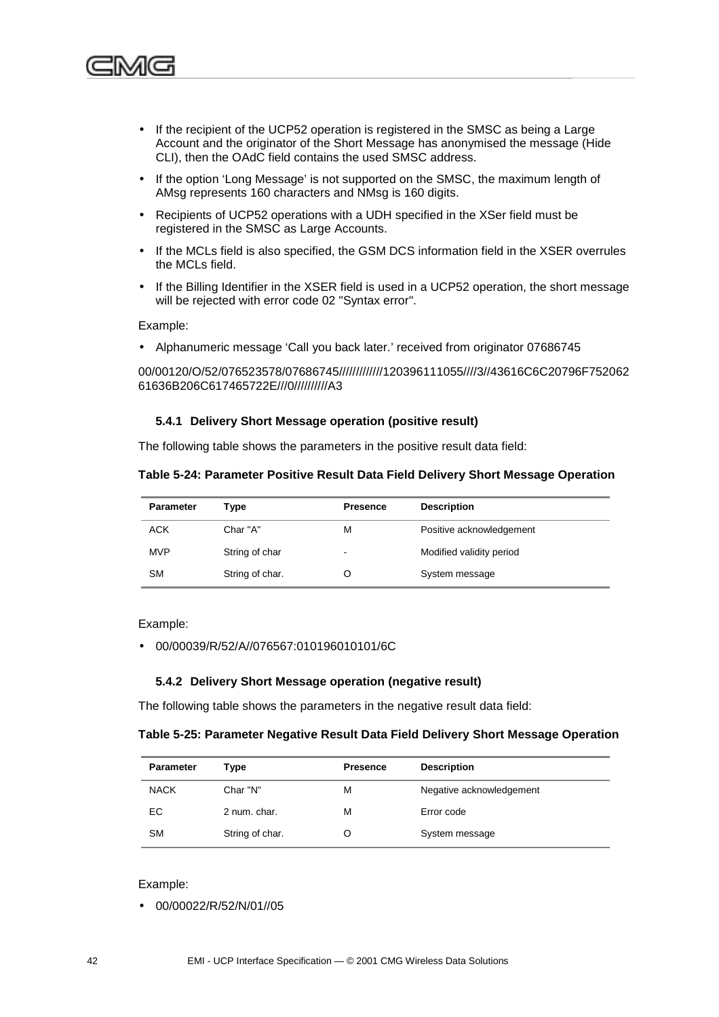

- If the recipient of the UCP52 operation is registered in the SMSC as being a Large Account and the originator of the Short Message has anonymised the message (Hide CLI), then the OAdC field contains the used SMSC address.
- If the option 'Long Message' is not supported on the SMSC, the maximum length of AMsg represents 160 characters and NMsg is 160 digits.
- Recipients of UCP52 operations with a UDH specified in the XSer field must be registered in the SMSC as Large Accounts.
- If the MCLs field is also specified, the GSM DCS information field in the XSER overrules the MCLs field.
- If the Billing Identifier in the XSER field is used in a UCP52 operation, the short message will be rejected with error code 02 "Syntax error".

Example:

• Alphanumeric message 'Call you back later.' received from originator 07686745

00/00120/O/52/076523578/07686745/////////////120396111055////3//43616C6C20796F752062 61636B206C617465722E///0//////////A3

#### **5.4.1 Delivery Short Message operation (positive result)**

The following table shows the parameters in the positive result data field:

#### **Table 5-24: Parameter Positive Result Data Field Delivery Short Message Operation**

| <b>Parameter</b> | Type            | <b>Presence</b>          | <b>Description</b>       |
|------------------|-----------------|--------------------------|--------------------------|
| <b>ACK</b>       | Char "A"        | м                        | Positive acknowledgement |
| <b>MVP</b>       | String of char  | $\overline{\phantom{a}}$ | Modified validity period |
| SM               | String of char. |                          | System message           |

Example:

• 00/00039/R/52/A//076567:010196010101/6C

#### **5.4.2 Delivery Short Message operation (negative result)**

The following table shows the parameters in the negative result data field:

**Table 5-25: Parameter Negative Result Data Field Delivery Short Message Operation**

| <b>Parameter</b> | Type            | <b>Presence</b> | <b>Description</b>       |
|------------------|-----------------|-----------------|--------------------------|
| <b>NACK</b>      | Char "N"        | м               | Negative acknowledgement |
| EC               | 2 num. char.    | м               | Error code               |
| <b>SM</b>        | String of char. | O               | System message           |

#### Example:

• 00/00022/R/52/N/01//05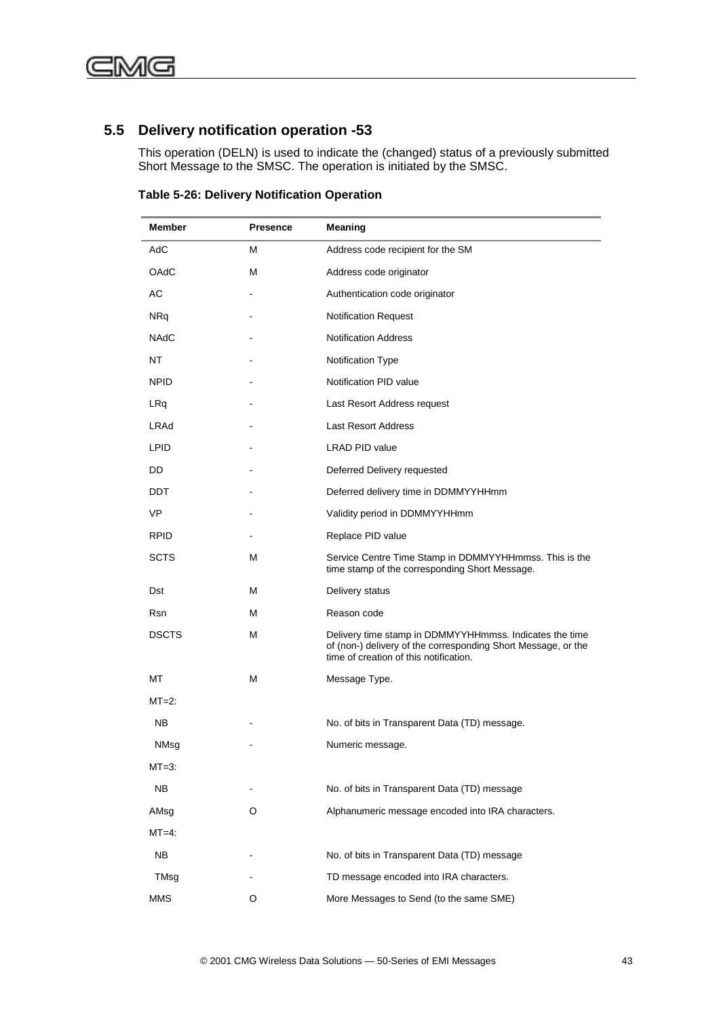## **5.5 Delivery notification operation -53**

This operation (DELN) is used to indicate the (changed) status of a previously submitted Short Message to the SMSC. The operation is initiated by the SMSC.

**Table 5-26: Delivery Notification Operation**

| Member       | <b>Presence</b> | Meaning                                                                                                                                                            |  |
|--------------|-----------------|--------------------------------------------------------------------------------------------------------------------------------------------------------------------|--|
| AdC          | м               | Address code recipient for the SM                                                                                                                                  |  |
| OAdC         | М               | Address code originator                                                                                                                                            |  |
| АC           |                 | Authentication code originator                                                                                                                                     |  |
| <b>NRq</b>   |                 | <b>Notification Request</b>                                                                                                                                        |  |
| <b>NAdC</b>  |                 | <b>Notification Address</b>                                                                                                                                        |  |
| NT           |                 | Notification Type                                                                                                                                                  |  |
| <b>NPID</b>  |                 | Notification PID value                                                                                                                                             |  |
| LRq          |                 | Last Resort Address request                                                                                                                                        |  |
| LRAd         |                 | <b>Last Resort Address</b>                                                                                                                                         |  |
| <b>LPID</b>  |                 | LRAD PID value                                                                                                                                                     |  |
| DD           |                 | Deferred Delivery requested                                                                                                                                        |  |
| DDT          |                 | Deferred delivery time in DDMMYYHHmm                                                                                                                               |  |
| VP           |                 | Validity period in DDMMYYHHmm                                                                                                                                      |  |
| <b>RPID</b>  |                 | Replace PID value                                                                                                                                                  |  |
| SCTS         | М               | Service Centre Time Stamp in DDMMYYHHmmss. This is the<br>time stamp of the corresponding Short Message.                                                           |  |
| Dst          | м               | Delivery status                                                                                                                                                    |  |
| <b>Rsn</b>   | М               | Reason code                                                                                                                                                        |  |
| <b>DSCTS</b> | М               | Delivery time stamp in DDMMYYHHmmss. Indicates the time<br>of (non-) delivery of the corresponding Short Message, or the<br>time of creation of this notification. |  |
| МT           | М               | Message Type.                                                                                                                                                      |  |
| $MT=2$ :     |                 |                                                                                                                                                                    |  |
| NB.          |                 | No. of bits in Transparent Data (TD) message.                                                                                                                      |  |
| NMsg         |                 | Numeric message.                                                                                                                                                   |  |
| $MT=3$ :     |                 |                                                                                                                                                                    |  |
| <b>NB</b>    |                 | No. of bits in Transparent Data (TD) message                                                                                                                       |  |
| AMsg         | O               | Alphanumeric message encoded into IRA characters.                                                                                                                  |  |
| $MT=4$ :     |                 |                                                                                                                                                                    |  |
| <b>NB</b>    |                 | No. of bits in Transparent Data (TD) message                                                                                                                       |  |
| TMsg         |                 | TD message encoded into IRA characters.                                                                                                                            |  |
| <b>MMS</b>   | O               | More Messages to Send (to the same SME)                                                                                                                            |  |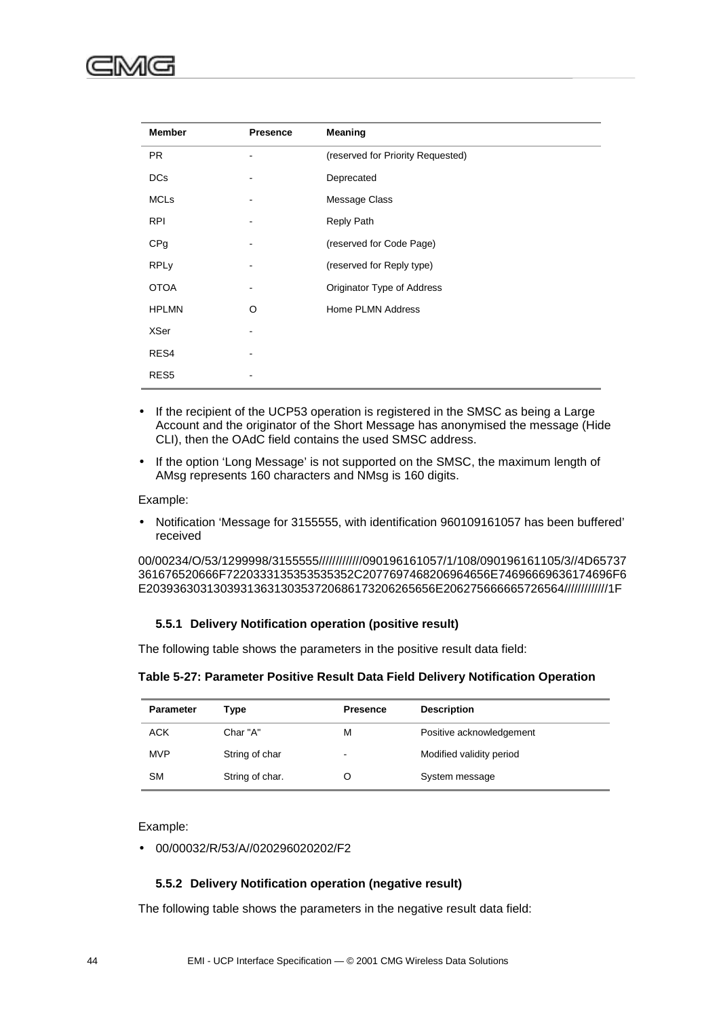| <b>Member</b>    | <b>Presence</b> | <b>Meaning</b>                    |
|------------------|-----------------|-----------------------------------|
| <b>PR</b>        |                 | (reserved for Priority Requested) |
| <b>DCs</b>       |                 | Deprecated                        |
| <b>MCLs</b>      |                 | Message Class                     |
| <b>RPI</b>       |                 | <b>Reply Path</b>                 |
| CPg              |                 | (reserved for Code Page)          |
| <b>RPLy</b>      |                 | (reserved for Reply type)         |
| <b>OTOA</b>      |                 | Originator Type of Address        |
| <b>HPLMN</b>     | O               | Home PLMN Address                 |
| <b>XSer</b>      |                 |                                   |
| RES4             |                 |                                   |
| RES <sub>5</sub> |                 |                                   |

- If the recipient of the UCP53 operation is registered in the SMSC as being a Large Account and the originator of the Short Message has anonymised the message (Hide CLI), then the OAdC field contains the used SMSC address.
- If the option 'Long Message' is not supported on the SMSC, the maximum length of AMsg represents 160 characters and NMsg is 160 digits.

#### Example:

• Notification 'Message for 3155555, with identification 960109161057 has been buffered' received

00/00234/O/53/1299998/3155555/////////////090196161057/1/108/090196161105/3//4D65737 361676520666F7220333135353535352C2077697468206964656E74696669636174696F6 E2039363031303931363130353720686173206265656E206275666665726564/////////////1F

#### **5.5.1 Delivery Notification operation (positive result)**

The following table shows the parameters in the positive result data field:

| Table 5-27: Parameter Positive Result Data Field Delivery Notification Operation |  |  |
|----------------------------------------------------------------------------------|--|--|
|                                                                                  |  |  |

| <b>Parameter</b> | Type            | <b>Presence</b> | <b>Description</b>       |
|------------------|-----------------|-----------------|--------------------------|
| <b>ACK</b>       | Char "A"        | М               | Positive acknowledgement |
| <b>MVP</b>       | String of char  | $\,$            | Modified validity period |
| <b>SM</b>        | String of char. |                 | System message           |

Example:

• 00/00032/R/53/A//020296020202/F2

#### **5.5.2 Delivery Notification operation (negative result)**

The following table shows the parameters in the negative result data field: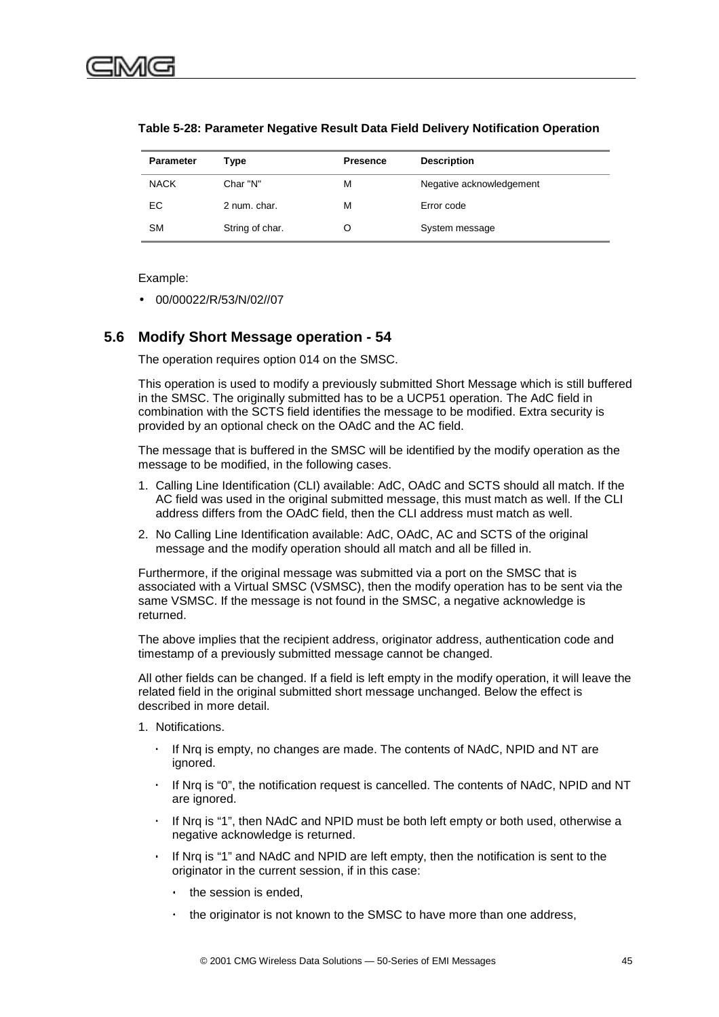| <b>Parameter</b> | Type            | <b>Presence</b> | <b>Description</b>       |
|------------------|-----------------|-----------------|--------------------------|
| <b>NACK</b>      | Char "N"        | М               | Negative acknowledgement |
| EC.              | 2 num. char.    | М               | Error code               |
| <b>SM</b>        | String of char. |                 | System message           |

#### **Table 5-28: Parameter Negative Result Data Field Delivery Notification Operation**

Example:

• 00/00022/R/53/N/02//07

### **5.6 Modify Short Message operation - 54**

The operation requires option 014 on the SMSC.

This operation is used to modify a previously submitted Short Message which is still buffered in the SMSC. The originally submitted has to be a UCP51 operation. The AdC field in combination with the SCTS field identifies the message to be modified. Extra security is provided by an optional check on the OAdC and the AC field.

The message that is buffered in the SMSC will be identified by the modify operation as the message to be modified, in the following cases.

- 1. Calling Line Identification (CLI) available: AdC, OAdC and SCTS should all match. If the AC field was used in the original submitted message, this must match as well. If the CLI address differs from the OAdC field, then the CLI address must match as well.
- 2. No Calling Line Identification available: AdC, OAdC, AC and SCTS of the original message and the modify operation should all match and all be filled in.

Furthermore, if the original message was submitted via a port on the SMSC that is associated with a Virtual SMSC (VSMSC), then the modify operation has to be sent via the same VSMSC. If the message is not found in the SMSC, a negative acknowledge is returned.

The above implies that the recipient address, originator address, authentication code and timestamp of a previously submitted message cannot be changed.

All other fields can be changed. If a field is left empty in the modify operation, it will leave the related field in the original submitted short message unchanged. Below the effect is described in more detail.

- 1. Notifications.
	- If Nrq is empty, no changes are made. The contents of NAdC, NPID and NT are ignored.
	- If Nrq is "0", the notification request is cancelled. The contents of NAdC, NPID and NT are ignored.
	- If Nrq is "1", then NAdC and NPID must be both left empty or both used, otherwise a negative acknowledge is returned.
	- If Nrq is "1" and NAdC and NPID are left empty, then the notification is sent to the originator in the current session, if in this case:
		- the session is ended.
		- the originator is not known to the SMSC to have more than one address,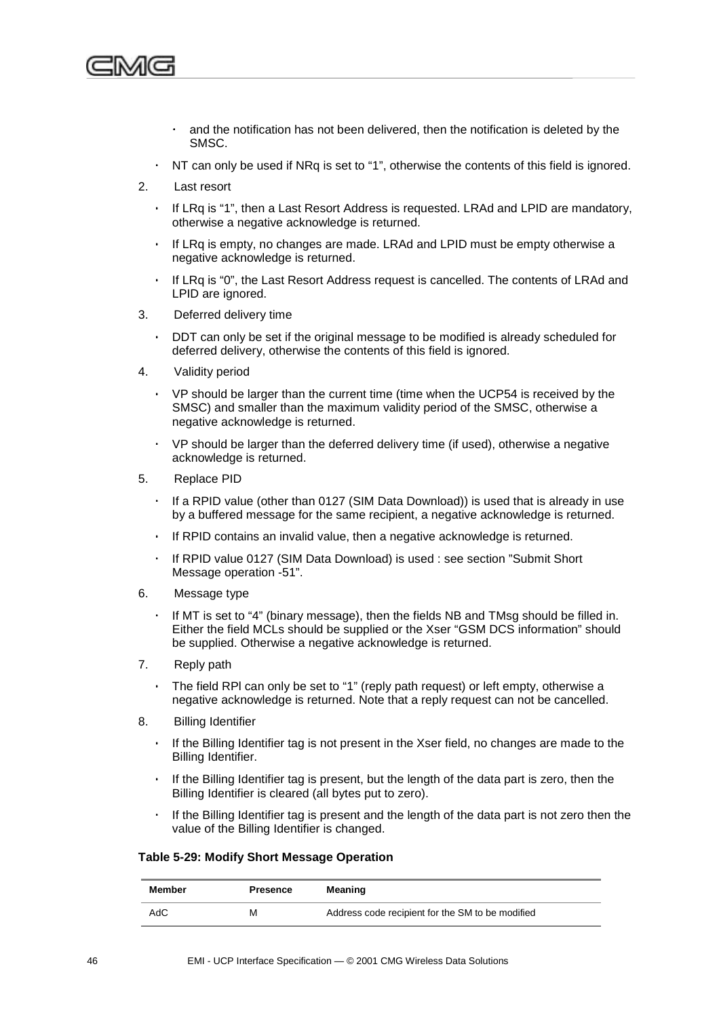

- and the notification has not been delivered, then the notification is deleted by the SMSC.
- ⋅ NT can only be used if NRq is set to "1", otherwise the contents of this field is ignored.
- 2. Last resort
	- If LRq is "1", then a Last Resort Address is requested. LRAd and LPID are mandatory, otherwise a negative acknowledge is returned.
	- If LRq is empty, no changes are made. LRAd and LPID must be empty otherwise a negative acknowledge is returned.
	- If LRq is "0", the Last Resort Address request is cancelled. The contents of LRAd and LPID are ignored.
- 3. Deferred delivery time
	- DDT can only be set if the original message to be modified is already scheduled for deferred delivery, otherwise the contents of this field is ignored.
- 4. Validity period
	- VP should be larger than the current time (time when the UCP54 is received by the SMSC) and smaller than the maximum validity period of the SMSC, otherwise a negative acknowledge is returned.
	- VP should be larger than the deferred delivery time (if used), otherwise a negative acknowledge is returned.
- 5. Replace PID
	- If a RPID value (other than 0127 (SIM Data Download)) is used that is already in use by a buffered message for the same recipient, a negative acknowledge is returned.
	- If RPID contains an invalid value, then a negative acknowledge is returned.
	- If RPID value 0127 (SIM Data Download) is used : see section ["Submit Short](#page-50-0)" [Message operation -51"](#page-50-0).
- 6. Message type
	- If MT is set to "4" (binary message), then the fields NB and TMsg should be filled in. Either the field MCLs should be supplied or the Xser "GSM DCS information" should be supplied. Otherwise a negative acknowledge is returned.
- 7. Reply path
	- The field RPI can only be set to "1" (reply path request) or left empty, otherwise a negative acknowledge is returned. Note that a reply request can not be cancelled.
- 8. Billing Identifier
	- If the Billing Identifier tag is not present in the Xser field, no changes are made to the Billing Identifier.
	- If the Billing Identifier tag is present, but the length of the data part is zero, then the Billing Identifier is cleared (all bytes put to zero).
	- ⋅ If the Billing Identifier tag is present and the length of the data part is not zero then the value of the Billing Identifier is changed.

#### **Table 5-29: Modify Short Message Operation**

| Member | <b>Presence</b> | Meaning                                          |
|--------|-----------------|--------------------------------------------------|
| AdC    | м               | Address code recipient for the SM to be modified |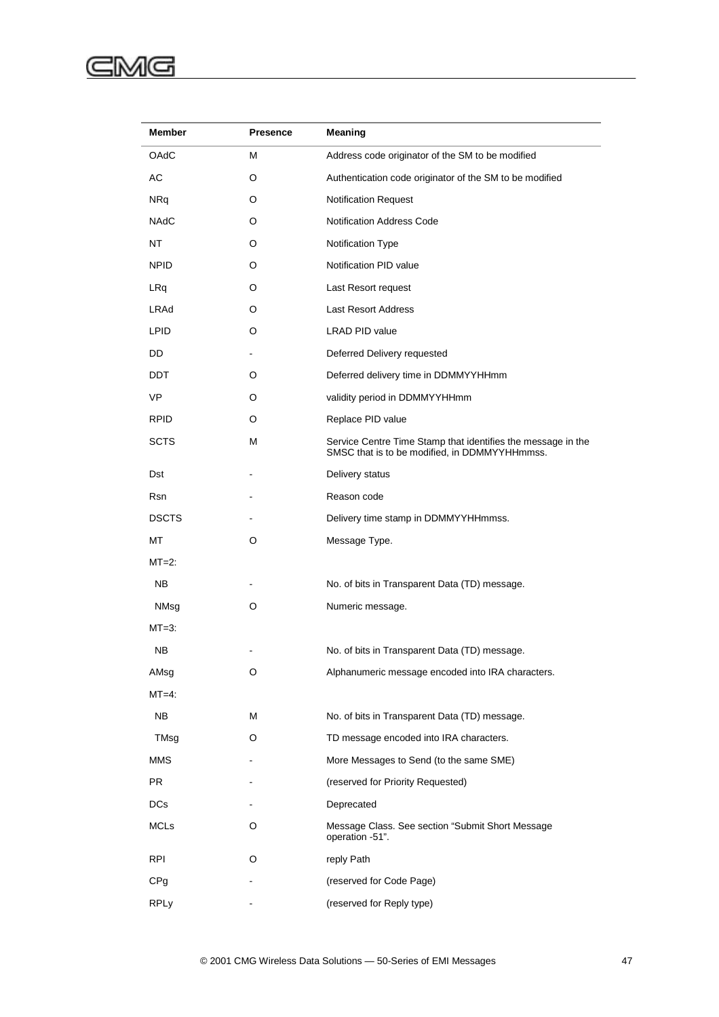# GMG

| Member          | <b>Presence</b> | Meaning                                                                                                       |  |
|-----------------|-----------------|---------------------------------------------------------------------------------------------------------------|--|
| OAdC            | М               | Address code originator of the SM to be modified                                                              |  |
| АC              | O               | Authentication code originator of the SM to be modified                                                       |  |
| <b>NRq</b>      | O               | Notification Request                                                                                          |  |
| <b>NAdC</b>     | O               | <b>Notification Address Code</b>                                                                              |  |
| NT              | O               | Notification Type                                                                                             |  |
| <b>NPID</b>     | O               | Notification PID value                                                                                        |  |
| LRq             | O               | Last Resort request                                                                                           |  |
| LRAd            | O               | <b>Last Resort Address</b>                                                                                    |  |
| <b>LPID</b>     | O               | LRAD PID value                                                                                                |  |
| DD              |                 | Deferred Delivery requested                                                                                   |  |
| <b>DDT</b>      | O               | Deferred delivery time in DDMMYYHHmm                                                                          |  |
| VP              | O               | validity period in DDMMYYHHmm                                                                                 |  |
| <b>RPID</b>     | O               | Replace PID value                                                                                             |  |
| <b>SCTS</b>     | М               | Service Centre Time Stamp that identifies the message in the<br>SMSC that is to be modified, in DDMMYYHHmmss. |  |
| Dst             |                 | Delivery status                                                                                               |  |
| Rsn             |                 | Reason code                                                                                                   |  |
| <b>DSCTS</b>    |                 | Delivery time stamp in DDMMYYHHmmss.                                                                          |  |
| МT              | O               | Message Type.                                                                                                 |  |
| $MT=2$ :        |                 |                                                                                                               |  |
| <b>NB</b>       |                 | No. of bits in Transparent Data (TD) message.                                                                 |  |
| NMsg            | O               | Numeric message.                                                                                              |  |
| $MT=3:$         |                 |                                                                                                               |  |
| NB              |                 | No. of bits in Transparent Data (TD) message.                                                                 |  |
| AMsg            | O               | Alphanumeric message encoded into IRA characters.                                                             |  |
| $MT=4$ :        |                 |                                                                                                               |  |
| <b>NB</b>       | м               | No. of bits in Transparent Data (TD) message.                                                                 |  |
| TMsg            | O               | TD message encoded into IRA characters.                                                                       |  |
| MMS             |                 | More Messages to Send (to the same SME)                                                                       |  |
| PR.             |                 | (reserved for Priority Requested)                                                                             |  |
| DCs             |                 | Deprecated                                                                                                    |  |
| <b>MCLs</b>     | O               | Message Class. See section "Submit Short Message<br>operation -51".                                           |  |
| <b>RPI</b>      | O               | reply Path                                                                                                    |  |
| CP <sub>g</sub> |                 | (reserved for Code Page)                                                                                      |  |
| <b>RPLy</b>     |                 | (reserved for Reply type)                                                                                     |  |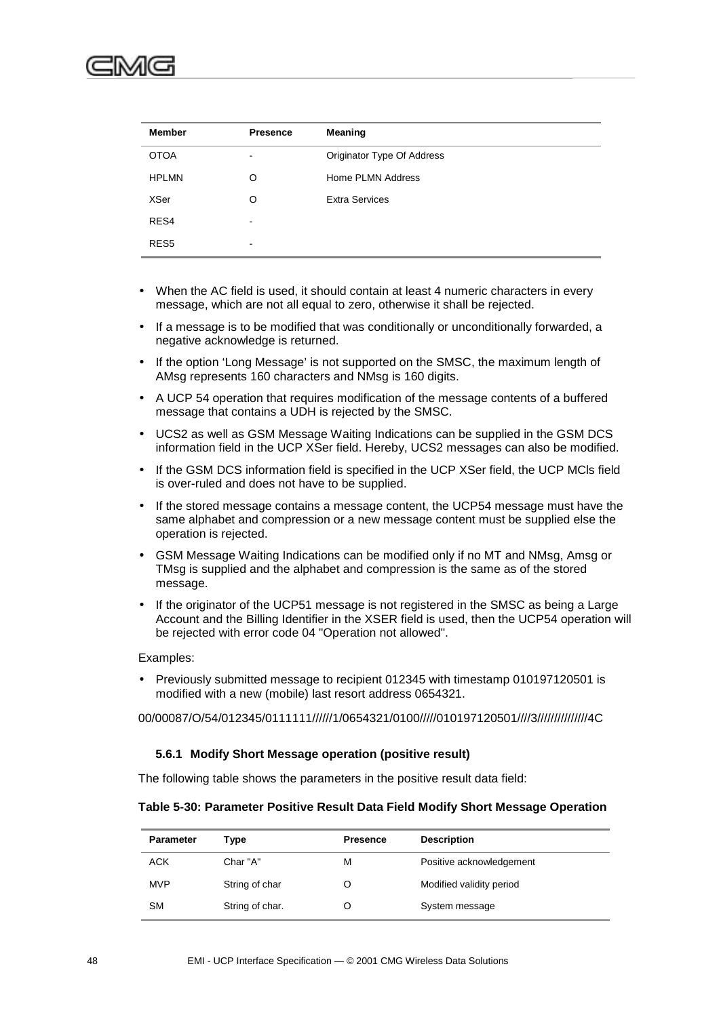| <b>Member</b>    | <b>Presence</b> | Meaning                    |
|------------------|-----------------|----------------------------|
| <b>OTOA</b>      | $\blacksquare$  | Originator Type Of Address |
| <b>HPLMN</b>     | O               | Home PLMN Address          |
| XSer             | Ω               | <b>Extra Services</b>      |
| RES4             | $\,$            |                            |
| RES <sub>5</sub> | $\,$            |                            |

- When the AC field is used, it should contain at least 4 numeric characters in every message, which are not all equal to zero, otherwise it shall be rejected.
- If a message is to be modified that was conditionally or unconditionally forwarded, a negative acknowledge is returned.
- If the option 'Long Message' is not supported on the SMSC, the maximum length of AMsg represents 160 characters and NMsg is 160 digits.
- A UCP 54 operation that requires modification of the message contents of a buffered message that contains a UDH is rejected by the SMSC.
- UCS2 as well as GSM Message Waiting Indications can be supplied in the GSM DCS information field in the UCP XSer field. Hereby, UCS2 messages can also be modified.
- If the GSM DCS information field is specified in the UCP XSer field, the UCP MCIs field is over-ruled and does not have to be supplied.
- If the stored message contains a message content, the UCP54 message must have the same alphabet and compression or a new message content must be supplied else the operation is rejected.
- GSM Message Waiting Indications can be modified only if no MT and NMsg, Amsg or TMsg is supplied and the alphabet and compression is the same as of the stored message.
- If the originator of the UCP51 message is not registered in the SMSC as being a Large Account and the Billing Identifier in the XSER field is used, then the UCP54 operation will be rejected with error code 04 "Operation not allowed".

#### Examples:

• Previously submitted message to recipient 012345 with timestamp 010197120501 is modified with a new (mobile) last resort address 0654321.

00/00087/O/54/012345/0111111//////1/0654321/0100/////010197120501////3///////////////4C

#### **5.6.1 Modify Short Message operation (positive result)**

The following table shows the parameters in the positive result data field:

#### **Table 5-30: Parameter Positive Result Data Field Modify Short Message Operation**

| <b>Parameter</b> | Type            | <b>Presence</b> | <b>Description</b>       |
|------------------|-----------------|-----------------|--------------------------|
| <b>ACK</b>       | Char "A"        | м               | Positive acknowledgement |
| <b>MVP</b>       | String of char  | O               | Modified validity period |
| <b>SM</b>        | String of char. |                 | System message           |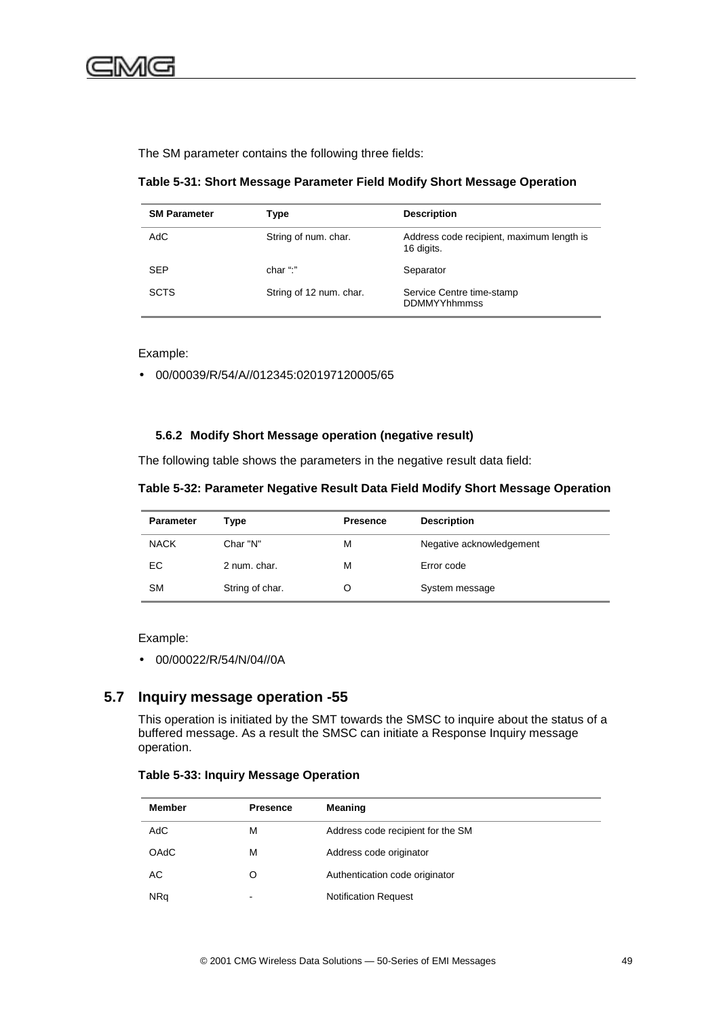The SM parameter contains the following three fields:

**Table 5-31: Short Message Parameter Field Modify Short Message Operation**

| <b>SM Parameter</b> | Type                    | <b>Description</b>                                      |
|---------------------|-------------------------|---------------------------------------------------------|
| AdC                 | String of num. char.    | Address code recipient, maximum length is<br>16 digits. |
| <b>SEP</b>          | char ":"                | Separator                                               |
| <b>SCTS</b>         | String of 12 num. char. | Service Centre time-stamp<br><b>DDMMYYhhmmss</b>        |

Example:

• 00/00039/R/54/A//012345:020197120005/65

#### **5.6.2 Modify Short Message operation (negative result)**

The following table shows the parameters in the negative result data field:

#### **Table 5-32: Parameter Negative Result Data Field Modify Short Message Operation**

| <b>Parameter</b> | Type            | <b>Presence</b> | <b>Description</b>       |
|------------------|-----------------|-----------------|--------------------------|
| <b>NACK</b>      | Char "N"        | М               | Negative acknowledgement |
| EС               | 2 num. char.    | м               | Error code               |
| <b>SM</b>        | String of char. |                 | System message           |

#### Example:

• 00/00022/R/54/N/04//0A

### **5.7 Inquiry message operation -55**

This operation is initiated by the SMT towards the SMSC to inquire about the status of a buffered message. As a result the SMSC can initiate a Response Inquiry message operation.

#### **Table 5-33: Inquiry Message Operation**

| <b>Member</b> | <b>Presence</b>          | Meaning                           |
|---------------|--------------------------|-----------------------------------|
| AdC           | м                        | Address code recipient for the SM |
| <b>OAdC</b>   | М                        | Address code originator           |
| АC            | O                        | Authentication code originator    |
| <b>NRq</b>    | $\overline{\phantom{a}}$ | <b>Notification Request</b>       |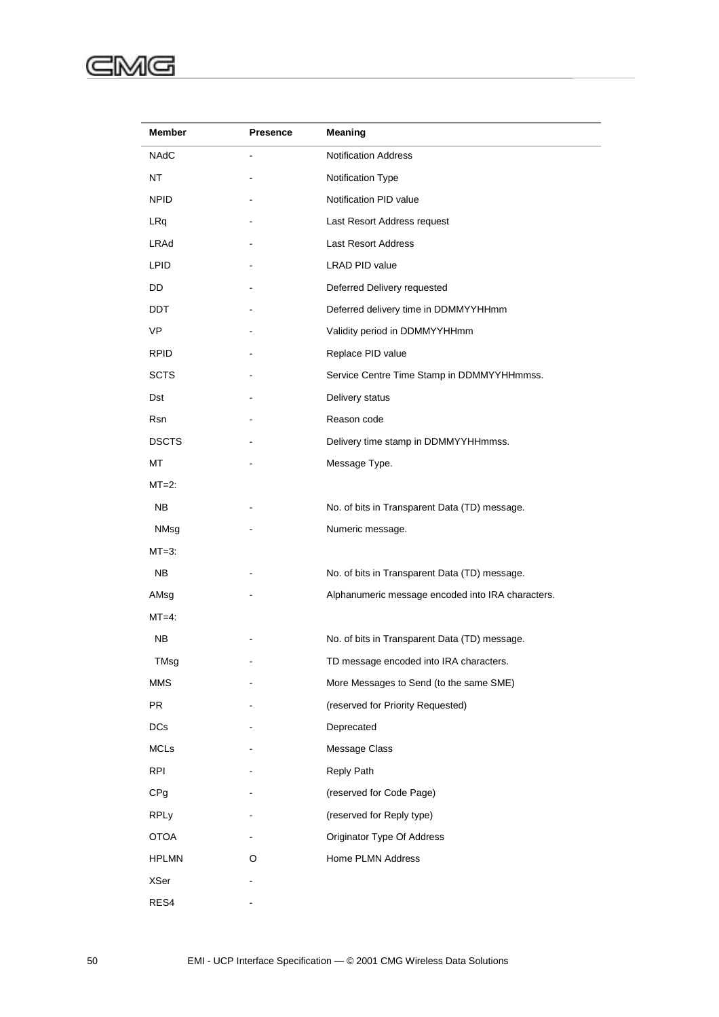#### ⋐ :MG

| Member          | <b>Presence</b> | Meaning                                           |
|-----------------|-----------------|---------------------------------------------------|
| NAdC            | $\blacksquare$  | <b>Notification Address</b>                       |
| NT              |                 | Notification Type                                 |
| <b>NPID</b>     |                 | Notification PID value                            |
| LRq             |                 | Last Resort Address request                       |
| LRAd            |                 | Last Resort Address                               |
| <b>LPID</b>     |                 | LRAD PID value                                    |
| DD              |                 | Deferred Delivery requested                       |
| DDT             |                 | Deferred delivery time in DDMMYYHHmm              |
| VP              |                 | Validity period in DDMMYYHHmm                     |
| <b>RPID</b>     |                 | Replace PID value                                 |
| <b>SCTS</b>     |                 | Service Centre Time Stamp in DDMMYYHHmmss.        |
| Dst             |                 | Delivery status                                   |
| Rsn             |                 | Reason code                                       |
| <b>DSCTS</b>    |                 | Delivery time stamp in DDMMYYHHmmss.              |
| MT              |                 | Message Type.                                     |
| $MT=2$ :        |                 |                                                   |
| NB.             |                 | No. of bits in Transparent Data (TD) message.     |
| NMsg            |                 | Numeric message.                                  |
| $MT=3$ :        |                 |                                                   |
| NB.             |                 | No. of bits in Transparent Data (TD) message.     |
| AMsg            |                 | Alphanumeric message encoded into IRA characters. |
| $MT=4$ :        |                 |                                                   |
| NΒ              |                 | No. of bits in Transparent Data (TD) message.     |
| TMsg            |                 | TD message encoded into IRA characters.           |
| <b>MMS</b>      |                 | More Messages to Send (to the same SME)           |
| <b>PR</b>       |                 | (reserved for Priority Requested)                 |
| <b>DCs</b>      |                 | Deprecated                                        |
| <b>MCLs</b>     |                 | Message Class                                     |
| <b>RPI</b>      |                 | Reply Path                                        |
| CP <sub>g</sub> |                 | (reserved for Code Page)                          |
| <b>RPLy</b>     |                 | (reserved for Reply type)                         |
| <b>OTOA</b>     |                 | Originator Type Of Address                        |
| <b>HPLMN</b>    | O               | Home PLMN Address                                 |
| XSer            |                 |                                                   |
| RES4            |                 |                                                   |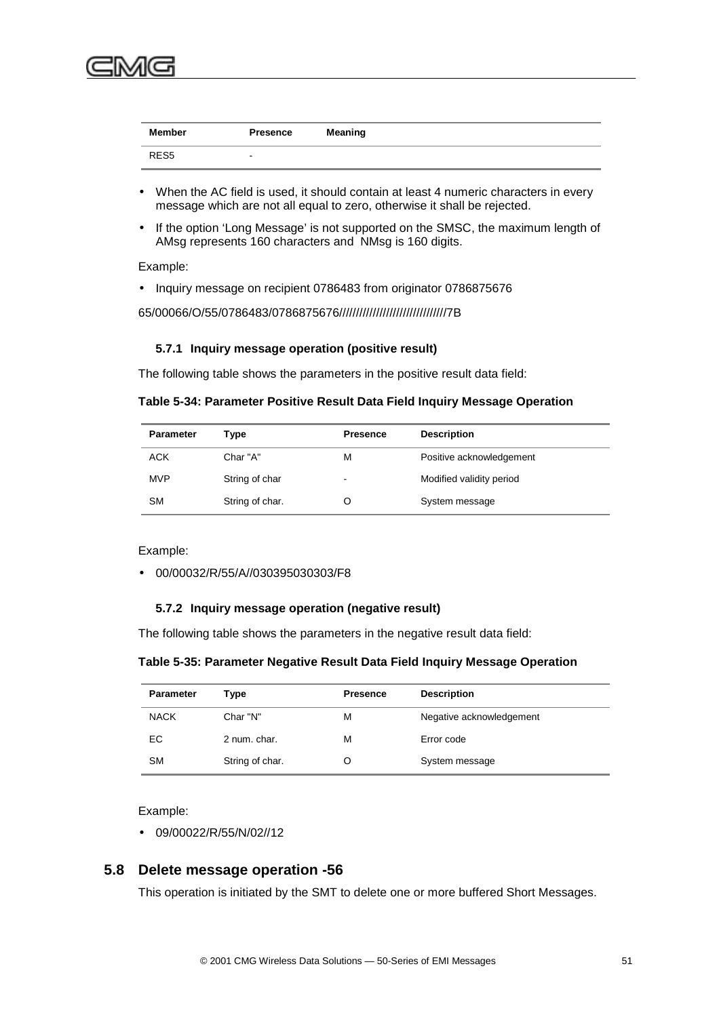

| Member           | Presence | Meaning |
|------------------|----------|---------|
| RES <sub>5</sub> |          |         |

- When the AC field is used, it should contain at least 4 numeric characters in every message which are not all equal to zero, otherwise it shall be rejected.
- If the option 'Long Message' is not supported on the SMSC, the maximum length of AMsg represents 160 characters and NMsg is 160 digits.

Example:

• Inquiry message on recipient 0786483 from originator 0786875676

65/00066/O/55/0786483/0786875676////////////////////////////////7B

#### **5.7.1 Inquiry message operation (positive result)**

The following table shows the parameters in the positive result data field:

**Table 5-34: Parameter Positive Result Data Field Inquiry Message Operation**

| <b>Parameter</b> | Type            | <b>Presence</b>          | <b>Description</b>       |
|------------------|-----------------|--------------------------|--------------------------|
| <b>ACK</b>       | Char "A"        | М                        | Positive acknowledgement |
| <b>MVP</b>       | String of char  | $\overline{\phantom{a}}$ | Modified validity period |
| <b>SM</b>        | String of char. |                          | System message           |

Example:

• 00/00032/R/55/A//030395030303/F8

#### **5.7.2 Inquiry message operation (negative result)**

The following table shows the parameters in the negative result data field:

#### **Table 5-35: Parameter Negative Result Data Field Inquiry Message Operation**

| <b>Parameter</b> | Type            | <b>Presence</b> | <b>Description</b>       |
|------------------|-----------------|-----------------|--------------------------|
| <b>NACK</b>      | Char "N"        | м               | Negative acknowledgement |
| EС               | 2 num. char.    | м               | Error code               |
| <b>SM</b>        | String of char. |                 | System message           |

Example:

• 09/00022/R/55/N/02//12

### **5.8 Delete message operation -56**

This operation is initiated by the SMT to delete one or more buffered Short Messages.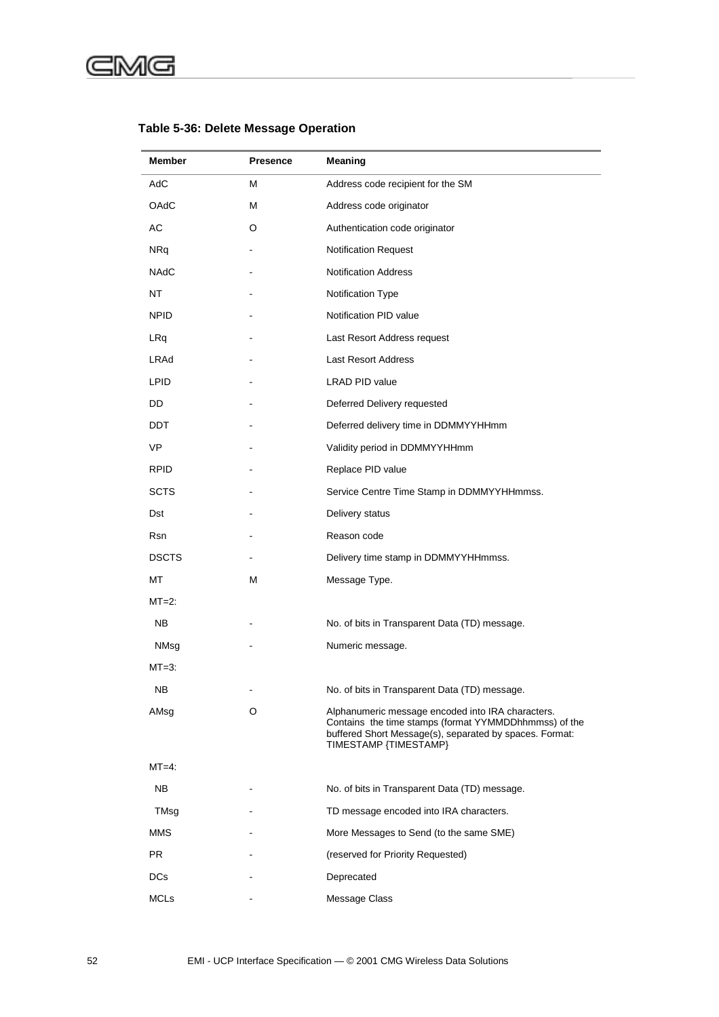#### G (c

| <b>Member</b> | <b>Presence</b> | Meaning                                                                                                                                                                                        |
|---------------|-----------------|------------------------------------------------------------------------------------------------------------------------------------------------------------------------------------------------|
| AdC           | м               | Address code recipient for the SM                                                                                                                                                              |
| OAdC          | м               | Address code originator                                                                                                                                                                        |
| AC            | O               | Authentication code originator                                                                                                                                                                 |
| <b>NRq</b>    |                 | Notification Request                                                                                                                                                                           |
| <b>NAdC</b>   |                 | <b>Notification Address</b>                                                                                                                                                                    |
| NT            |                 | Notification Type                                                                                                                                                                              |
| <b>NPID</b>   |                 | Notification PID value                                                                                                                                                                         |
| LRq           |                 | Last Resort Address request                                                                                                                                                                    |
| LRAd          |                 | Last Resort Address                                                                                                                                                                            |
| LPID.         |                 | LRAD PID value                                                                                                                                                                                 |
| DD            |                 | Deferred Delivery requested                                                                                                                                                                    |
| DDT.          |                 | Deferred delivery time in DDMMYYHHmm                                                                                                                                                           |
| <b>VP</b>     |                 | Validity period in DDMMYYHHmm                                                                                                                                                                  |
| <b>RPID</b>   |                 | Replace PID value                                                                                                                                                                              |
| <b>SCTS</b>   |                 | Service Centre Time Stamp in DDMMYYHHmmss.                                                                                                                                                     |
| Dst           |                 | Delivery status                                                                                                                                                                                |
| Rsn           |                 | Reason code                                                                                                                                                                                    |
| <b>DSCTS</b>  |                 | Delivery time stamp in DDMMYYHHmmss.                                                                                                                                                           |
| МT            | М               | Message Type.                                                                                                                                                                                  |
| $MT=2$ :      |                 |                                                                                                                                                                                                |
| NB.           |                 | No. of bits in Transparent Data (TD) message.                                                                                                                                                  |
| NMsg          |                 | Numeric message.                                                                                                                                                                               |
| $MT=3$ :      |                 |                                                                                                                                                                                                |
| NB.           |                 | No. of bits in Transparent Data (TD) message.                                                                                                                                                  |
| AMsg          | O               | Alphanumeric message encoded into IRA characters.<br>Contains the time stamps (format YYMMDDhhmmss) of the<br>buffered Short Message(s), separated by spaces. Format:<br>TIMESTAMP {TIMESTAMP} |
| $MT=4$ :      |                 |                                                                                                                                                                                                |
| NB.           |                 | No. of bits in Transparent Data (TD) message.                                                                                                                                                  |
| TMsg          |                 | TD message encoded into IRA characters.                                                                                                                                                        |
| <b>MMS</b>    |                 | More Messages to Send (to the same SME)                                                                                                                                                        |
| PR.           |                 | (reserved for Priority Requested)                                                                                                                                                              |
| <b>DCs</b>    |                 | Deprecated                                                                                                                                                                                     |
| <b>MCLs</b>   |                 | Message Class                                                                                                                                                                                  |

## **Table 5-36: Delete Message Operation**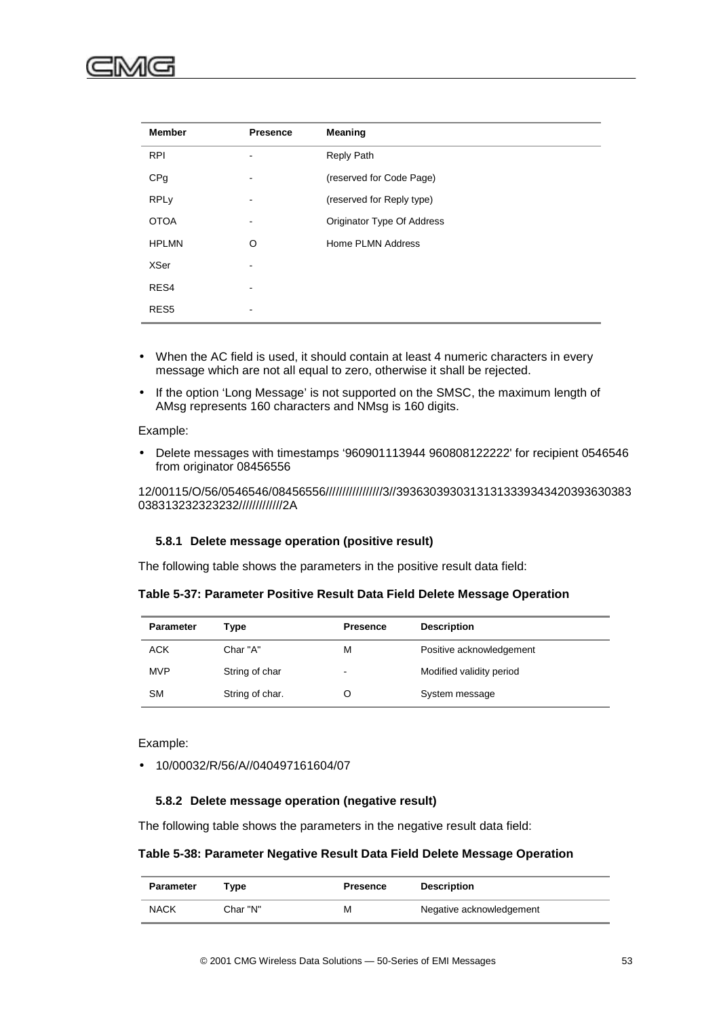

| <b>Member</b>    | <b>Presence</b> | Meaning                    |
|------------------|-----------------|----------------------------|
| <b>RPI</b>       |                 | Reply Path                 |
| CPg              |                 | (reserved for Code Page)   |
| <b>RPLy</b>      |                 | (reserved for Reply type)  |
| <b>OTOA</b>      |                 | Originator Type Of Address |
| <b>HPLMN</b>     | O               | Home PLMN Address          |
| <b>XSer</b>      |                 |                            |
| RES4             |                 |                            |
| RES <sub>5</sub> | -               |                            |

- When the AC field is used, it should contain at least 4 numeric characters in every message which are not all equal to zero, otherwise it shall be rejected.
- If the option 'Long Message' is not supported on the SMSC, the maximum length of AMsg represents 160 characters and NMsg is 160 digits.

#### Example:

• Delete messages with timestamps '960901113944 960808122222' for recipient 0546546 from originator 08456556

12/00115/O/56/0546546/08456556/////////////////3//39363039303131313339343420393630383 038313232323232/////////////2A

#### **5.8.1 Delete message operation (positive result)**

The following table shows the parameters in the positive result data field:

#### **Table 5-37: Parameter Positive Result Data Field Delete Message Operation**

| <b>Parameter</b> | Type            | <b>Presence</b> | <b>Description</b>       |
|------------------|-----------------|-----------------|--------------------------|
| <b>ACK</b>       | Char "A"        | М               | Positive acknowledgement |
| <b>MVP</b>       | String of char  | $\,$            | Modified validity period |
| <b>SM</b>        | String of char. |                 | System message           |

Example:

• 10/00032/R/56/A//040497161604/07

#### **5.8.2 Delete message operation (negative result)**

The following table shows the parameters in the negative result data field:

#### **Table 5-38: Parameter Negative Result Data Field Delete Message Operation**

| Parameter   | Tvpe     | Presence | <b>Description</b>       |
|-------------|----------|----------|--------------------------|
| <b>NACK</b> | Char "N" | M        | Negative acknowledgement |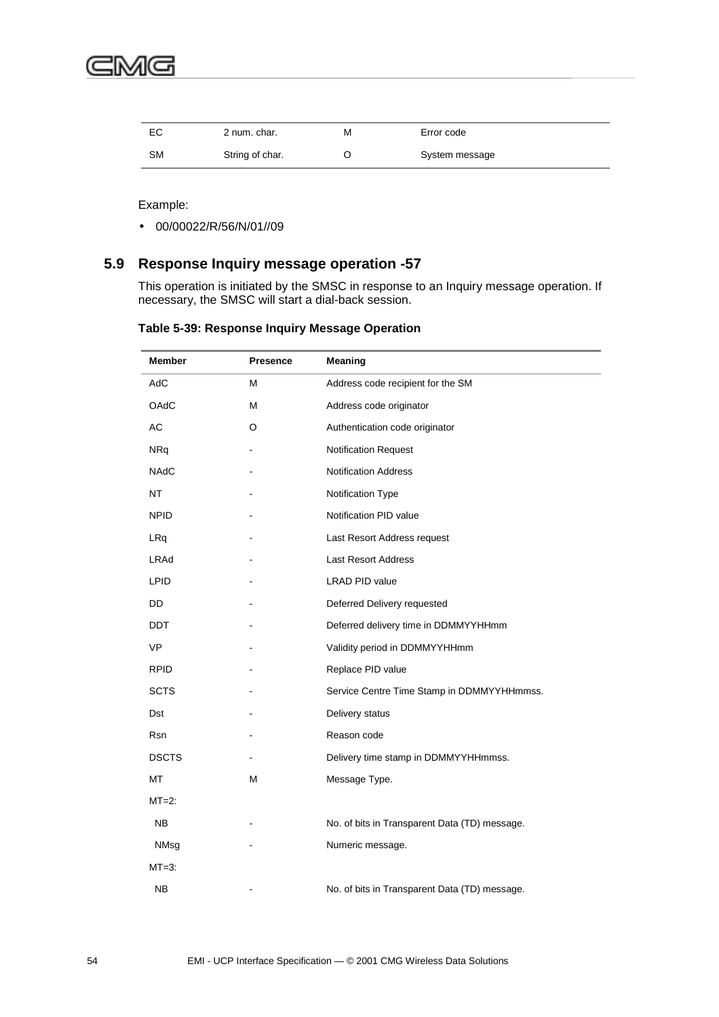

| EC | 2 num. char.    | М | Error code     |
|----|-----------------|---|----------------|
| SΜ | String of char. |   | System message |

Example:

• 00/00022/R/56/N/01//09

## **5.9 Response Inquiry message operation -57**

This operation is initiated by the SMSC in response to an Inquiry message operation. If necessary, the SMSC will start a dial-back session.

| Table 5-39: Response Inquiry Message Operation |
|------------------------------------------------|
|------------------------------------------------|

| <b>Member</b> | <b>Presence</b> | <b>Meaning</b>                                |
|---------------|-----------------|-----------------------------------------------|
| AdC           | M               | Address code recipient for the SM             |
| <b>OAdC</b>   | M               | Address code originator                       |
| AC            | O               | Authentication code originator                |
| <b>NRq</b>    |                 | Notification Request                          |
| <b>NAdC</b>   |                 | <b>Notification Address</b>                   |
| NT            |                 | Notification Type                             |
| <b>NPID</b>   |                 | Notification PID value                        |
| LRq           |                 | Last Resort Address request                   |
| LRAd          |                 | <b>Last Resort Address</b>                    |
| <b>LPID</b>   |                 | <b>LRAD PID value</b>                         |
| DD            |                 | Deferred Delivery requested                   |
| <b>DDT</b>    |                 | Deferred delivery time in DDMMYYHHmm          |
| VP            |                 | Validity period in DDMMYYHHmm                 |
| <b>RPID</b>   |                 | Replace PID value                             |
| <b>SCTS</b>   |                 | Service Centre Time Stamp in DDMMYYHHmmss.    |
| Dst           |                 | Delivery status                               |
| Rsn           |                 | Reason code                                   |
| <b>DSCTS</b>  |                 | Delivery time stamp in DDMMYYHHmmss.          |
| МT            | М               | Message Type.                                 |
| $MT=2$ :      |                 |                                               |
| <b>NB</b>     |                 | No. of bits in Transparent Data (TD) message. |
| NMsg          |                 | Numeric message.                              |
| $MT=3$ :      |                 |                                               |
| <b>NB</b>     |                 | No. of bits in Transparent Data (TD) message. |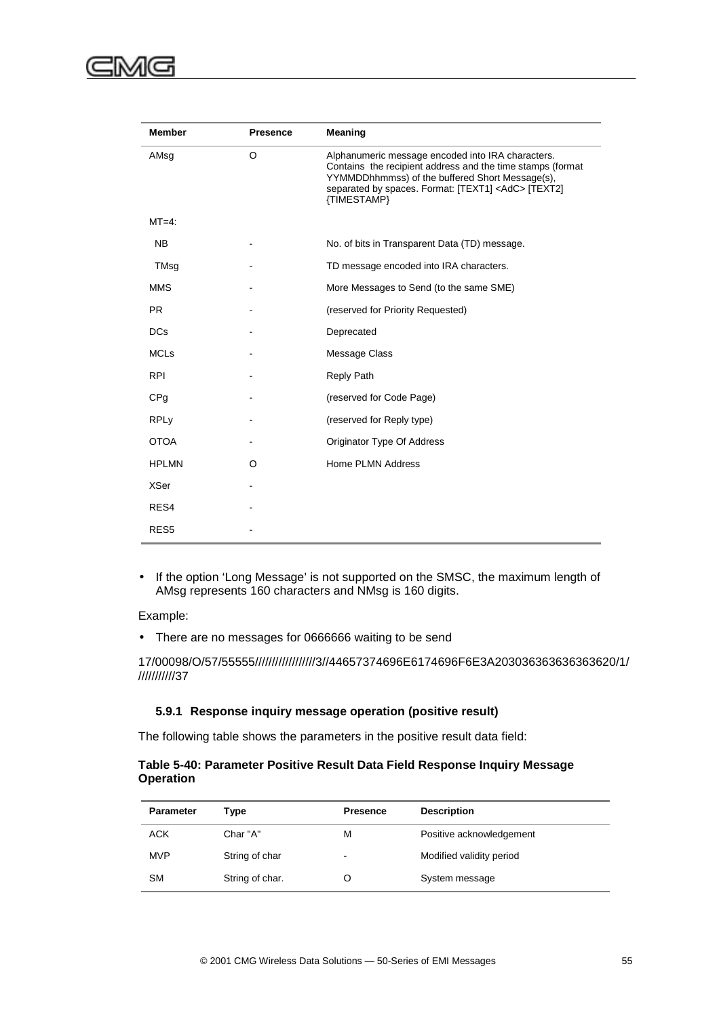| <b>Member</b>    | <b>Presence</b> | Meaning                                                                                                                                                                                                                                        |
|------------------|-----------------|------------------------------------------------------------------------------------------------------------------------------------------------------------------------------------------------------------------------------------------------|
| AMsg             | O               | Alphanumeric message encoded into IRA characters.<br>Contains the recipient address and the time stamps (format<br>YYMMDDhhmmss) of the buffered Short Message(s),<br>separated by spaces. Format: [TEXT1] <adc> [TEXT2]<br/>{TIMESTAMP}</adc> |
| $MT=4$ :         |                 |                                                                                                                                                                                                                                                |
| <b>NB</b>        |                 | No. of bits in Transparent Data (TD) message.                                                                                                                                                                                                  |
| TMsg             |                 | TD message encoded into IRA characters.                                                                                                                                                                                                        |
| <b>MMS</b>       |                 | More Messages to Send (to the same SME)                                                                                                                                                                                                        |
| <b>PR</b>        |                 | (reserved for Priority Requested)                                                                                                                                                                                                              |
| <b>DCs</b>       |                 | Deprecated                                                                                                                                                                                                                                     |
| <b>MCLs</b>      |                 | Message Class                                                                                                                                                                                                                                  |
| <b>RPI</b>       |                 | <b>Reply Path</b>                                                                                                                                                                                                                              |
| CP <sub>g</sub>  |                 | (reserved for Code Page)                                                                                                                                                                                                                       |
| <b>RPLy</b>      |                 | (reserved for Reply type)                                                                                                                                                                                                                      |
| <b>OTOA</b>      |                 | Originator Type Of Address                                                                                                                                                                                                                     |
| <b>HPLMN</b>     | O               | Home PLMN Address                                                                                                                                                                                                                              |
| <b>XSer</b>      |                 |                                                                                                                                                                                                                                                |
| RES4             |                 |                                                                                                                                                                                                                                                |
| RES <sub>5</sub> |                 |                                                                                                                                                                                                                                                |

• If the option 'Long Message' is not supported on the SMSC, the maximum length of AMsg represents 160 characters and NMsg is 160 digits.

Example:

• There are no messages for 0666666 waiting to be send

17/00098/O/57/55555//////////////////3//44657374696E6174696F6E3A203036363636363620/1/ ///////////37

#### **5.9.1 Response inquiry message operation (positive result)**

The following table shows the parameters in the positive result data field:

#### **Table 5-40: Parameter Positive Result Data Field Response Inquiry Message Operation**

| <b>Parameter</b> | Type            | <b>Presence</b>          | <b>Description</b>       |
|------------------|-----------------|--------------------------|--------------------------|
| <b>ACK</b>       | Char "A"        | м                        | Positive acknowledgement |
| <b>MVP</b>       | String of char  | $\overline{\phantom{a}}$ | Modified validity period |
| <b>SM</b>        | String of char. |                          | System message           |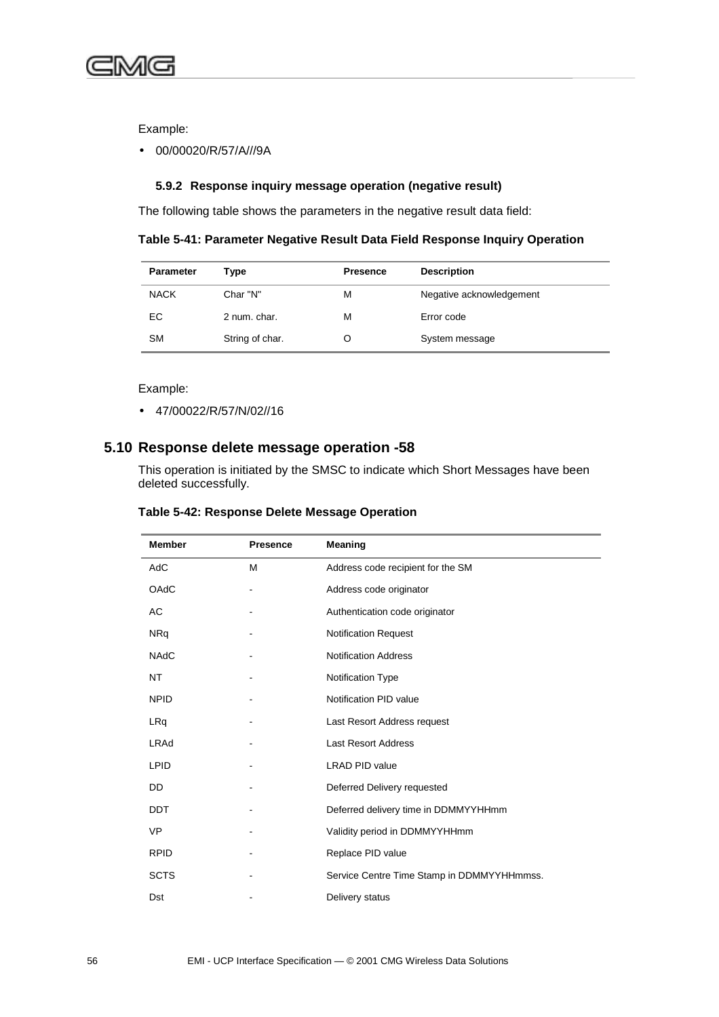

Example:

• 00/00020/R/57/A///9A

#### **5.9.2 Response inquiry message operation (negative result)**

The following table shows the parameters in the negative result data field:

#### **Table 5-41: Parameter Negative Result Data Field Response Inquiry Operation**

| <b>Parameter</b> | Type            | <b>Presence</b> | <b>Description</b>       |
|------------------|-----------------|-----------------|--------------------------|
| <b>NACK</b>      | Char "N"        | М               | Negative acknowledgement |
| EC               | 2 num. char.    | М               | Error code               |
| <b>SM</b>        | String of char. |                 | System message           |

Example:

• 47/00022/R/57/N/02//16

### **5.10 Response delete message operation -58**

This operation is initiated by the SMSC to indicate which Short Messages have been deleted successfully.

| Table 5-42: Response Delete Message Operation |  |  |  |
|-----------------------------------------------|--|--|--|
|-----------------------------------------------|--|--|--|

| <b>Member</b> | <b>Presence</b> | Meaning                                    |  |
|---------------|-----------------|--------------------------------------------|--|
| AdC           | M               | Address code recipient for the SM          |  |
| OAdC          |                 | Address code originator                    |  |
| AC            |                 | Authentication code originator             |  |
| <b>NRq</b>    |                 | <b>Notification Request</b>                |  |
| <b>NAdC</b>   |                 | <b>Notification Address</b>                |  |
| <b>NT</b>     |                 | Notification Type                          |  |
| <b>NPID</b>   |                 | Notification PID value                     |  |
| LRq           |                 | Last Resort Address request                |  |
| <b>LRAd</b>   |                 | <b>Last Resort Address</b>                 |  |
| <b>LPID</b>   |                 | <b>LRAD PID value</b>                      |  |
| DD            |                 | Deferred Delivery requested                |  |
| <b>DDT</b>    |                 | Deferred delivery time in DDMMYYHHmm       |  |
| <b>VP</b>     |                 | Validity period in DDMMYYHHmm              |  |
| <b>RPID</b>   |                 | Replace PID value                          |  |
| <b>SCTS</b>   |                 | Service Centre Time Stamp in DDMMYYHHmmss. |  |
| Dst           |                 | Delivery status                            |  |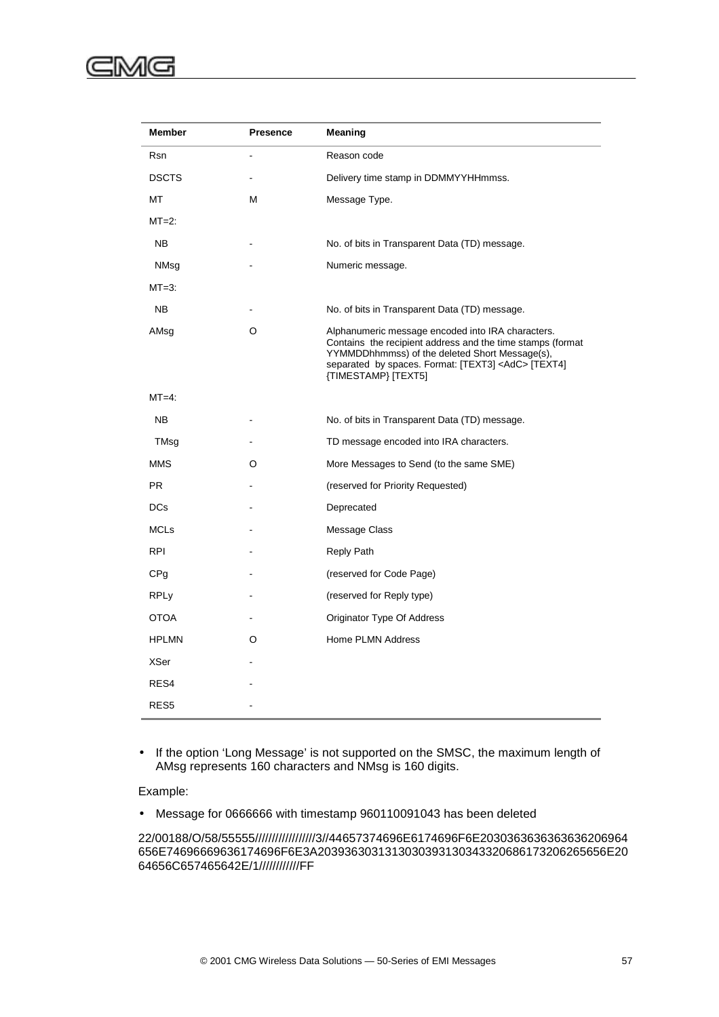| <b>Member</b>   | <b>Presence</b> | Meaning                                                                                                                                                                                                                                               |  |
|-----------------|-----------------|-------------------------------------------------------------------------------------------------------------------------------------------------------------------------------------------------------------------------------------------------------|--|
| <b>Rsn</b>      |                 | Reason code                                                                                                                                                                                                                                           |  |
| <b>DSCTS</b>    |                 | Delivery time stamp in DDMMYYHHmmss.                                                                                                                                                                                                                  |  |
| МT              | M               | Message Type.                                                                                                                                                                                                                                         |  |
| $MT=2$ :        |                 |                                                                                                                                                                                                                                                       |  |
| NB.             |                 | No. of bits in Transparent Data (TD) message.                                                                                                                                                                                                         |  |
| NMsg            |                 | Numeric message.                                                                                                                                                                                                                                      |  |
| $MT=3$ :        |                 |                                                                                                                                                                                                                                                       |  |
| <b>NB</b>       |                 | No. of bits in Transparent Data (TD) message.                                                                                                                                                                                                         |  |
| AMsg            | O               | Alphanumeric message encoded into IRA characters.<br>Contains the recipient address and the time stamps (format<br>YYMMDDhhmmss) of the deleted Short Message(s),<br>separated by spaces. Format: [TEXT3] <adc> [TEXT4]<br/>{TIMESTAMP} [TEXT5]</adc> |  |
| $MT=4$ :        |                 |                                                                                                                                                                                                                                                       |  |
| NB              |                 | No. of bits in Transparent Data (TD) message.                                                                                                                                                                                                         |  |
| TMsg            |                 | TD message encoded into IRA characters.                                                                                                                                                                                                               |  |
| <b>MMS</b>      | O               | More Messages to Send (to the same SME)                                                                                                                                                                                                               |  |
| <b>PR</b>       |                 | (reserved for Priority Requested)                                                                                                                                                                                                                     |  |
| DCs             |                 | Deprecated                                                                                                                                                                                                                                            |  |
| <b>MCLs</b>     |                 | Message Class                                                                                                                                                                                                                                         |  |
| <b>RPI</b>      |                 | <b>Reply Path</b>                                                                                                                                                                                                                                     |  |
| CP <sub>g</sub> |                 | (reserved for Code Page)                                                                                                                                                                                                                              |  |
| <b>RPLy</b>     |                 | (reserved for Reply type)                                                                                                                                                                                                                             |  |
| <b>OTOA</b>     |                 | Originator Type Of Address                                                                                                                                                                                                                            |  |
| <b>HPLMN</b>    | O               | Home PLMN Address                                                                                                                                                                                                                                     |  |
| <b>XSer</b>     |                 |                                                                                                                                                                                                                                                       |  |
| RES4            |                 |                                                                                                                                                                                                                                                       |  |
| RES5            |                 |                                                                                                                                                                                                                                                       |  |

• If the option 'Long Message' is not supported on the SMSC, the maximum length of AMsg represents 160 characters and NMsg is 160 digits.

Example:

• Message for 0666666 with timestamp 960110091043 has been deleted

22/00188/O/58/55555//////////////////3//44657374696E6174696F6E2030363636363636206964 656E74696669636174696F6E3A2039363031313030393130343320686173206265656E20 64656C657465642E/1////////////FF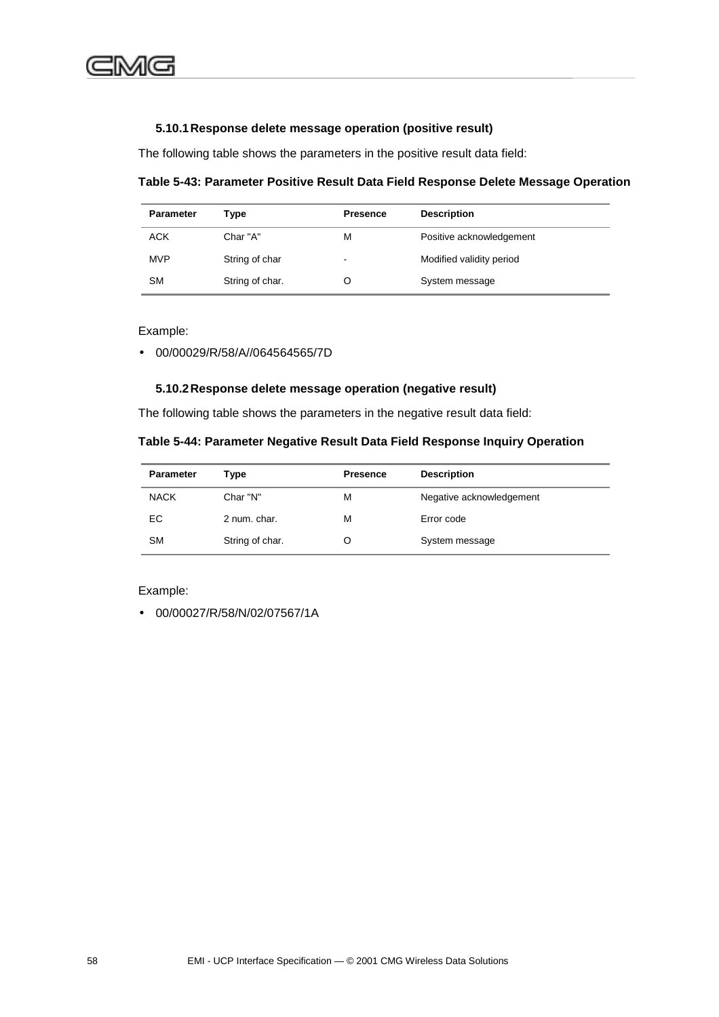#### **5.10.1 Response delete message operation (positive result)**

The following table shows the parameters in the positive result data field:

**Table 5-43: Parameter Positive Result Data Field Response Delete Message Operation**

| <b>Parameter</b> | Type            | <b>Presence</b> | <b>Description</b>       |
|------------------|-----------------|-----------------|--------------------------|
| <b>ACK</b>       | Char "A"        | M               | Positive acknowledgement |
| <b>MVP</b>       | String of char  | $\blacksquare$  | Modified validity period |
| SM               | String of char. |                 | System message           |

Example:

• 00/00029/R/58/A//064564565/7D

#### **5.10.2 Response delete message operation (negative result)**

The following table shows the parameters in the negative result data field:

| Table 5-44: Parameter Negative Result Data Field Response Inquiry Operation |  |  |
|-----------------------------------------------------------------------------|--|--|
|                                                                             |  |  |

| <b>Parameter</b> | Type            | <b>Presence</b> | <b>Description</b>       |
|------------------|-----------------|-----------------|--------------------------|
| <b>NACK</b>      | Char "N"        | м               | Negative acknowledgement |
| EC               | 2 num. char.    | м               | Error code               |
| <b>SM</b>        | String of char. |                 | System message           |

Example:

• 00/00027/R/58/N/02/07567/1A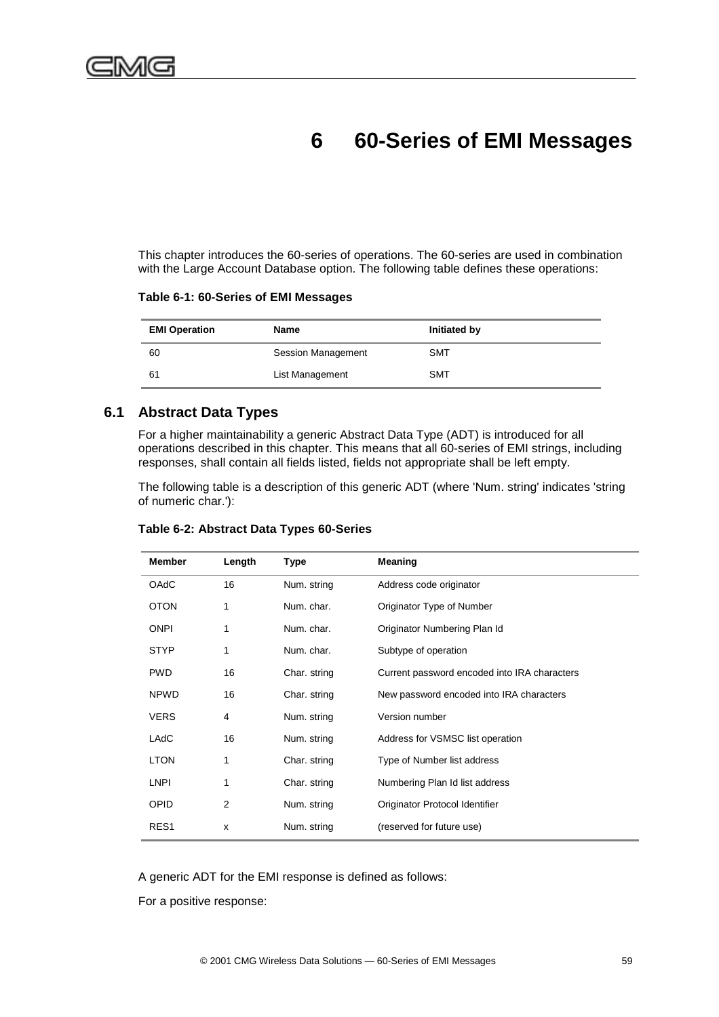# **6 60-Series of EMI Messages**

This chapter introduces the 60-series of operations. The 60-series are used in combination with the Large Account Database option. The following table defines these operations:

|  |  |  |  | Table 6-1: 60-Series of EMI Messages |
|--|--|--|--|--------------------------------------|
|--|--|--|--|--------------------------------------|

| <b>EMI Operation</b> | Name                      | Initiated by |
|----------------------|---------------------------|--------------|
| 60                   | <b>Session Management</b> | <b>SMT</b>   |
| 61                   | List Management           | <b>SMT</b>   |

## **6.1 Abstract Data Types**

For a higher maintainability a generic Abstract Data Type (ADT) is introduced for all operations described in this chapter. This means that all 60-series of EMI strings, including responses, shall contain all fields listed, fields not appropriate shall be left empty.

The following table is a description of this generic ADT (where 'Num. string' indicates 'string of numeric char.'):

| <b>Member</b>    | Length | Type         | Meaning                                      |
|------------------|--------|--------------|----------------------------------------------|
| <b>OAdC</b>      | 16     | Num. string  | Address code originator                      |
| <b>OTON</b>      | 1      | Num. char.   | Originator Type of Number                    |
| <b>ONPI</b>      | 1      | Num. char.   | Originator Numbering Plan Id                 |
| <b>STYP</b>      | 1      | Num. char.   | Subtype of operation                         |
| <b>PWD</b>       | 16     | Char. string | Current password encoded into IRA characters |
| <b>NPWD</b>      | 16     | Char. string | New password encoded into IRA characters     |
| <b>VERS</b>      | 4      | Num. string  | Version number                               |
| LAdC             | 16     | Num. string  | Address for VSMSC list operation             |
| <b>LTON</b>      | 1      | Char. string | Type of Number list address                  |
| <b>LNPI</b>      | 1      | Char. string | Numbering Plan Id list address               |
| OPID             | 2      | Num. string  | Originator Protocol Identifier               |
| RES <sub>1</sub> | X      | Num. string  | (reserved for future use)                    |

### **Table 6-2: Abstract Data Types 60-Series**

A generic ADT for the EMI response is defined as follows:

For a positive response: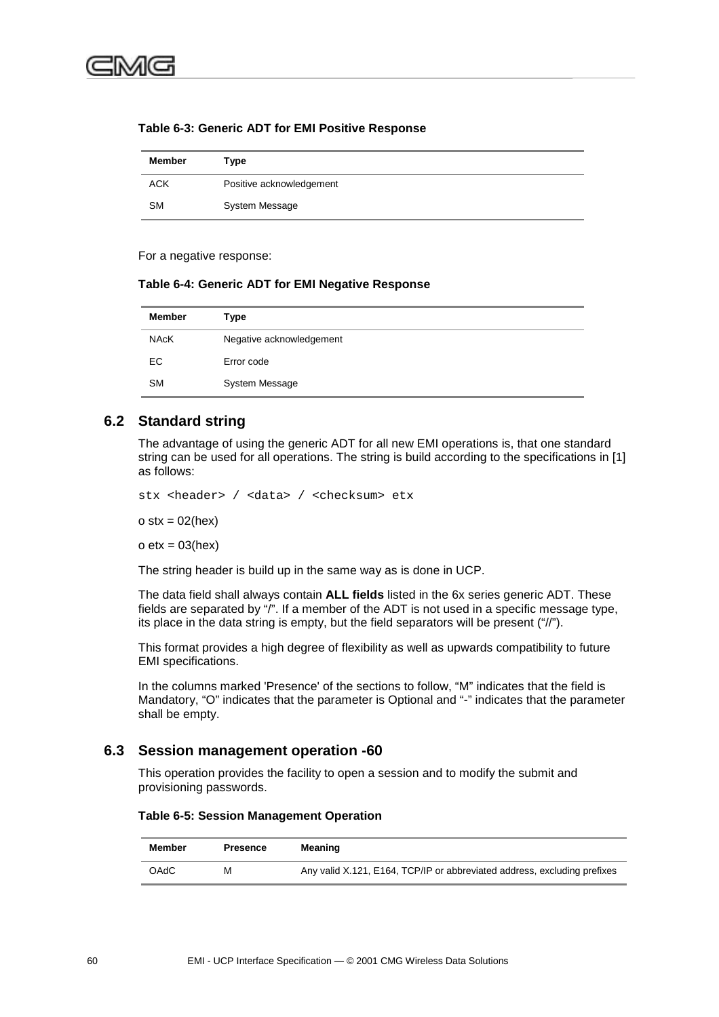| <b>Member</b> | Type                     |
|---------------|--------------------------|
| <b>ACK</b>    | Positive acknowledgement |
| <b>SM</b>     | <b>System Message</b>    |

### **Table 6-3: Generic ADT for EMI Positive Response**

For a negative response:

### **Table 6-4: Generic ADT for EMI Negative Response**

| <b>Member</b> | Type                     |
|---------------|--------------------------|
| <b>NAcK</b>   | Negative acknowledgement |
| EC.           | Error code               |
| <b>SM</b>     | System Message           |

## **6.2 Standard string**

The advantage of using the generic ADT for all new EMI operations is, that one standard string can be used for all operations. The string is build according to the specifications in [1] as follows:

stx <header> / <data> / <checksum> etx

 $o$  stx = 02(hex)

 $o$  etx = 03(hex)

The string header is build up in the same way as is done in UCP.

The data field shall always contain **ALL fields** listed in the 6x series generic ADT. These fields are separated by "/". If a member of the ADT is not used in a specific message type, its place in the data string is empty, but the field separators will be present ("//").

This format provides a high degree of flexibility as well as upwards compatibility to future EMI specifications.

In the columns marked 'Presence' of the sections to follow, "M" indicates that the field is Mandatory, "O" indicates that the parameter is Optional and "-" indicates that the parameter shall be empty.

## **6.3 Session management operation -60**

This operation provides the facility to open a session and to modify the submit and provisioning passwords.

### **Table 6-5: Session Management Operation**

| Member      | Presence | Meaning                                                                  |
|-------------|----------|--------------------------------------------------------------------------|
| <b>OAdC</b> | м        | Any valid X.121, E164, TCP/IP or abbreviated address, excluding prefixes |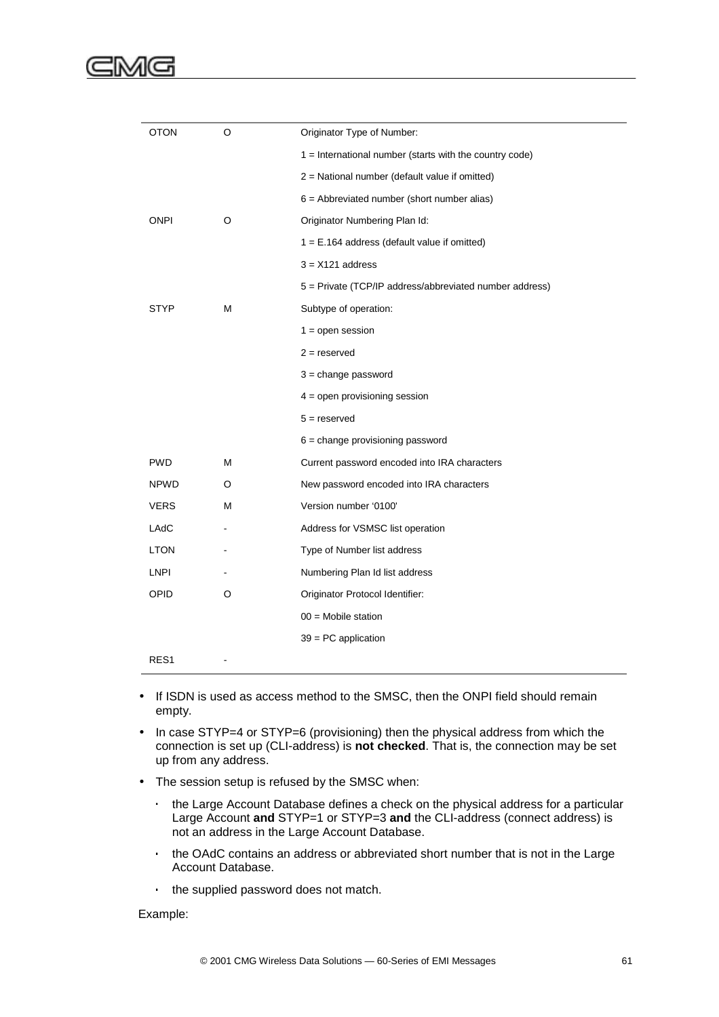| <b>OTON</b>      | O | Originator Type of Number:                              |
|------------------|---|---------------------------------------------------------|
|                  |   | 1 = International number (starts with the country code) |
|                  |   | 2 = National number (default value if omitted)          |
|                  |   | $6 =$ Abbreviated number (short number alias)           |
| <b>ONPI</b>      | O | Originator Numbering Plan Id:                           |
|                  |   | $1 = E.164$ address (default value if omitted)          |
|                  |   | $3 = X121$ address                                      |
|                  |   | 5 = Private (TCP/IP address/abbreviated number address) |
| STYP             | M | Subtype of operation:                                   |
|                  |   | $1 =$ open session                                      |
|                  |   | $2 =$ reserved                                          |
|                  |   | $3 = change$ password                                   |
|                  |   | $4 =$ open provisioning session                         |
|                  |   | $5 =$ reserved                                          |
|                  |   | $6$ = change provisioning password                      |
| <b>PWD</b>       | М | Current password encoded into IRA characters            |
| <b>NPWD</b>      | O | New password encoded into IRA characters                |
| <b>VERS</b>      | M | Version number '0100'                                   |
| LAdC             |   | Address for VSMSC list operation                        |
| <b>LTON</b>      |   | Type of Number list address                             |
| <b>LNPI</b>      |   | Numbering Plan Id list address                          |
| OPID             | O | Originator Protocol Identifier:                         |
|                  |   | $00 =$ Mobile station                                   |
|                  |   | $39 = PC$ application                                   |
| RES <sub>1</sub> |   |                                                         |

- If ISDN is used as access method to the SMSC, then the ONPI field should remain empty.
- In case STYP=4 or STYP=6 (provisioning) then the physical address from which the connection is set up (CLI-address) is **not checked**. That is, the connection may be set up from any address.
- The session setup is refused by the SMSC when:
	- ⋅ the Large Account Database defines a check on the physical address for a particular Large Account **and** STYP=1 or STYP=3 **and** the CLI-address (connect address) is not an address in the Large Account Database.
	- the OAdC contains an address or abbreviated short number that is not in the Large Account Database.
	- ⋅ the supplied password does not match.

### Example: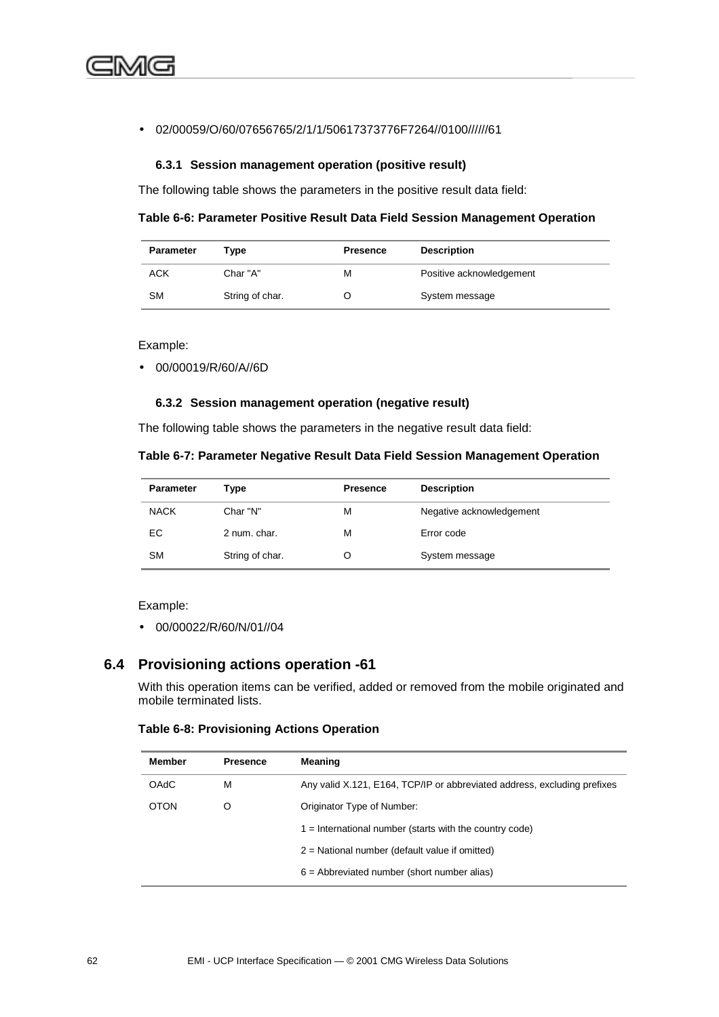### • 02/00059/O/60/07656765/2/1/1/50617373776F7264//0100//////61

### **6.3.1 Session management operation (positive result)**

The following table shows the parameters in the positive result data field:

**Table 6-6: Parameter Positive Result Data Field Session Management Operation**

| <b>Parameter</b> | Type            | <b>Presence</b> | <b>Description</b>       |
|------------------|-----------------|-----------------|--------------------------|
| ACK              | Char "A"        | м               | Positive acknowledgement |
| <b>SM</b>        | String of char. |                 | System message           |

Example:

• 00/00019/R/60/A//6D

### **6.3.2 Session management operation (negative result)**

The following table shows the parameters in the negative result data field:

|  | Table 6-7: Parameter Negative Result Data Field Session Management Operation |  |  |  |  |  |
|--|------------------------------------------------------------------------------|--|--|--|--|--|
|--|------------------------------------------------------------------------------|--|--|--|--|--|

| <b>Parameter</b> | Type            | <b>Presence</b> | <b>Description</b>       |
|------------------|-----------------|-----------------|--------------------------|
| <b>NACK</b>      | Char "N"        | М               | Negative acknowledgement |
| EC               | 2 num. char.    | м               | Error code               |
| <b>SM</b>        | String of char. |                 | System message           |

Example:

• 00/00022/R/60/N/01//04

### **6.4 Provisioning actions operation -61**

With this operation items can be verified, added or removed from the mobile originated and mobile terminated lists.

### **Table 6-8: Provisioning Actions Operation**

| <b>Member</b> | <b>Presence</b> | Meaning                                                                  |  |
|---------------|-----------------|--------------------------------------------------------------------------|--|
| <b>OAdC</b>   | М               | Any valid X.121, E164, TCP/IP or abbreviated address, excluding prefixes |  |
| <b>OTON</b>   | O               | Originator Type of Number:                                               |  |
|               |                 | $1 =$ International number (starts with the country code)                |  |
|               |                 | $2$ = National number (default value if omitted)                         |  |
|               |                 | $6$ = Abbreviated number (short number alias)                            |  |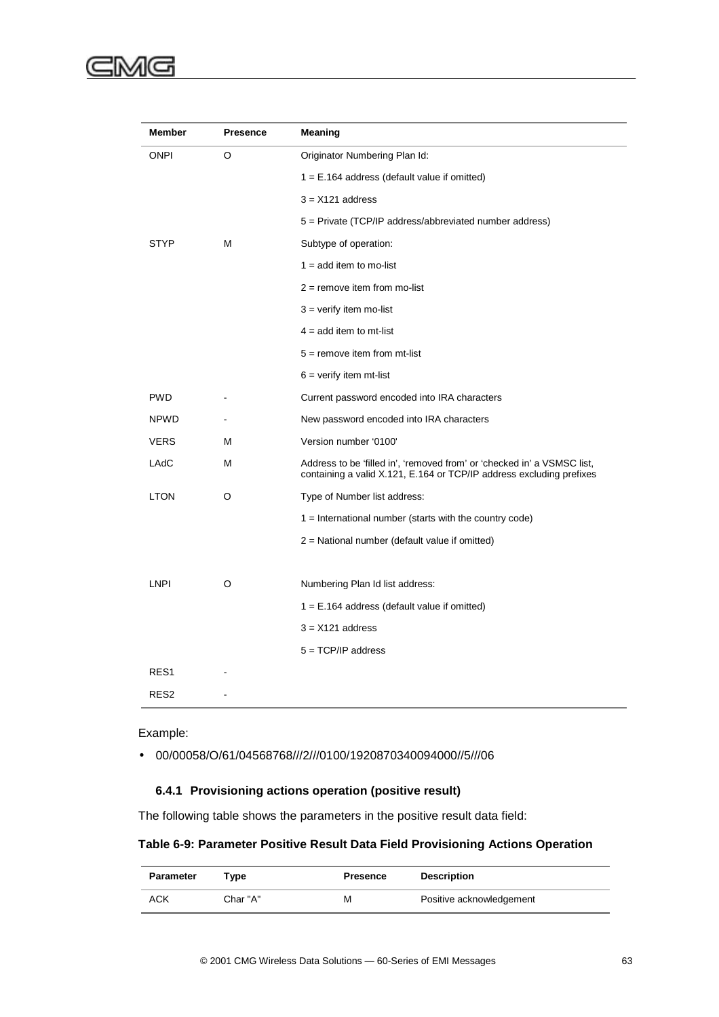# C)

| Member           | <b>Presence</b> | Meaning                                                                                                                                         |
|------------------|-----------------|-------------------------------------------------------------------------------------------------------------------------------------------------|
| ONPI             | O               | Originator Numbering Plan Id:                                                                                                                   |
|                  |                 | $1 = E.164$ address (default value if omitted)                                                                                                  |
|                  |                 | $3 = X121$ address                                                                                                                              |
|                  |                 | 5 = Private (TCP/IP address/abbreviated number address)                                                                                         |
| STYP             | M               | Subtype of operation:                                                                                                                           |
|                  |                 | $1 = add item to mo-list$                                                                                                                       |
|                  |                 | $2$ = remove item from mo-list                                                                                                                  |
|                  |                 | $3 =$ verify item mo-list                                                                                                                       |
|                  |                 | $4 = add item to mt-list$                                                                                                                       |
|                  |                 | $5 =$ remove item from mt-list                                                                                                                  |
|                  |                 | $6 =$ verify item mt-list                                                                                                                       |
| <b>PWD</b>       |                 | Current password encoded into IRA characters                                                                                                    |
| NPWD             |                 | New password encoded into IRA characters                                                                                                        |
| <b>VERS</b>      | м               | Version number '0100'                                                                                                                           |
| LAdC             | M               | Address to be 'filled in', 'removed from' or 'checked in' a VSMSC list,<br>containing a valid X.121, E.164 or TCP/IP address excluding prefixes |
| <b>LTON</b>      | O               | Type of Number list address:                                                                                                                    |
|                  |                 | $1 =$ International number (starts with the country code)                                                                                       |
|                  |                 | 2 = National number (default value if omitted)                                                                                                  |
| LNPI             | O               | Numbering Plan Id list address:                                                                                                                 |
|                  |                 | $1 = E.164$ address (default value if omitted)                                                                                                  |
|                  |                 | $3 = X121$ address                                                                                                                              |
|                  |                 | $5 = TCP/IP$ address                                                                                                                            |
| RES1             |                 |                                                                                                                                                 |
| RES <sub>2</sub> |                 |                                                                                                                                                 |

Example:

• 00/00058/O/61/04568768///2///0100/1920870340094000//5///06

### **6.4.1 Provisioning actions operation (positive result)**

The following table shows the parameters in the positive result data field:

## **Table 6-9: Parameter Positive Result Data Field Provisioning Actions Operation**

| Parameter | Tvpe     | <b>Presence</b> | <b>Description</b>       |
|-----------|----------|-----------------|--------------------------|
| ACK       | Char "A" | М               | Positive acknowledgement |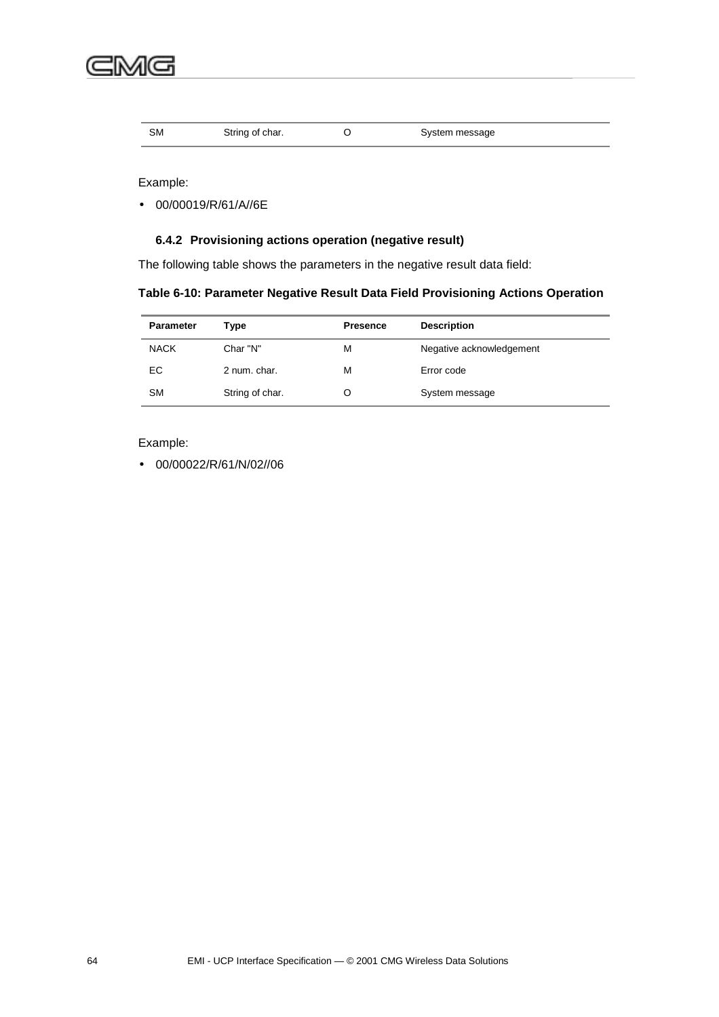| SM | String of char. | System message |  |
|----|-----------------|----------------|--|
|    |                 |                |  |

Example:

• 00/00019/R/61/A//6E

# **6.4.2 Provisioning actions operation (negative result)**

The following table shows the parameters in the negative result data field:

| <b>Parameter</b> | Type            | <b>Presence</b> | <b>Description</b>       |
|------------------|-----------------|-----------------|--------------------------|
| <b>NACK</b>      | Char "N"        | М               | Negative acknowledgement |
| EC.              | 2 num. char.    | м               | Error code               |
| <b>SM</b>        | String of char. |                 | System message           |

### Example:

• 00/00022/R/61/N/02//06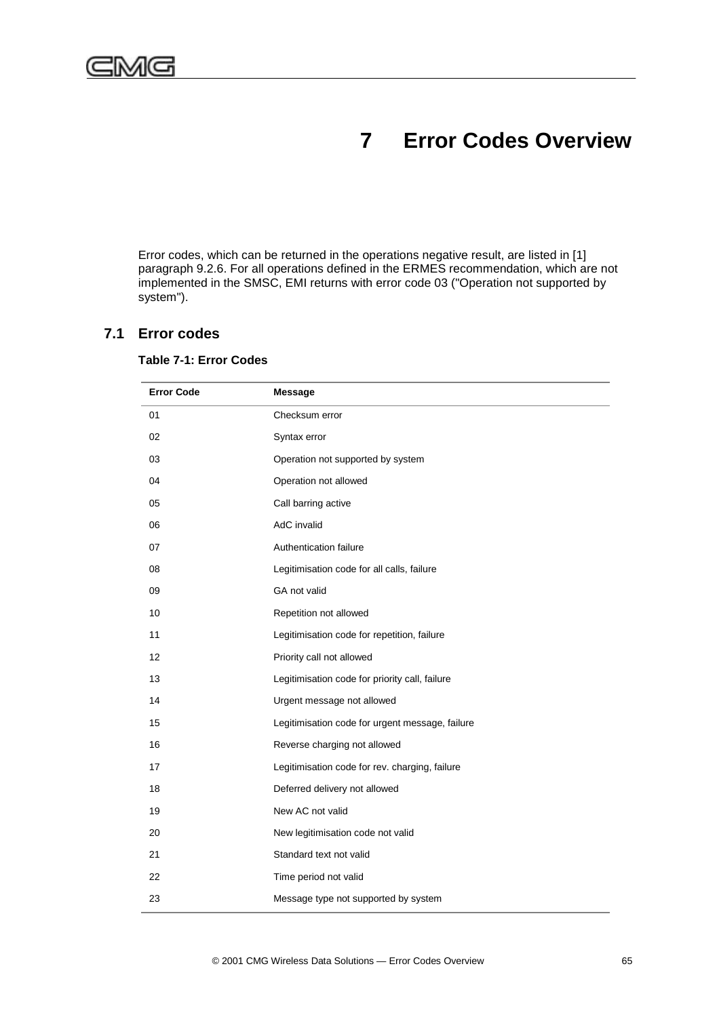# **7 Error Codes Overview**

Error codes, which can be returned in the operations negative result, are listed in [1] paragraph 9.2.6. For all operations defined in the ERMES recommendation, which are not implemented in the SMSC, EMI returns with error code 03 ("Operation not supported by system").

## **7.1 Error codes**

| <b>Error Code</b> | <b>Message</b>                                  |
|-------------------|-------------------------------------------------|
| 01                | Checksum error                                  |
| 02                | Syntax error                                    |
| 03                | Operation not supported by system               |
| 04                | Operation not allowed                           |
| 05                | Call barring active                             |
| 06                | AdC invalid                                     |
| 07                | Authentication failure                          |
| 08                | Legitimisation code for all calls, failure      |
| 09                | GA not valid                                    |
| 10                | Repetition not allowed                          |
| 11                | Legitimisation code for repetition, failure     |
| 12                | Priority call not allowed                       |
| 13                | Legitimisation code for priority call, failure  |
| 14                | Urgent message not allowed                      |
| 15                | Legitimisation code for urgent message, failure |
| 16                | Reverse charging not allowed                    |
| 17                | Legitimisation code for rev. charging, failure  |
| 18                | Deferred delivery not allowed                   |
| 19                | New AC not valid                                |
| 20                | New legitimisation code not valid               |
| 21                | Standard text not valid                         |
| 22                | Time period not valid                           |
| 23                | Message type not supported by system            |

### **Table 7-1: Error Codes**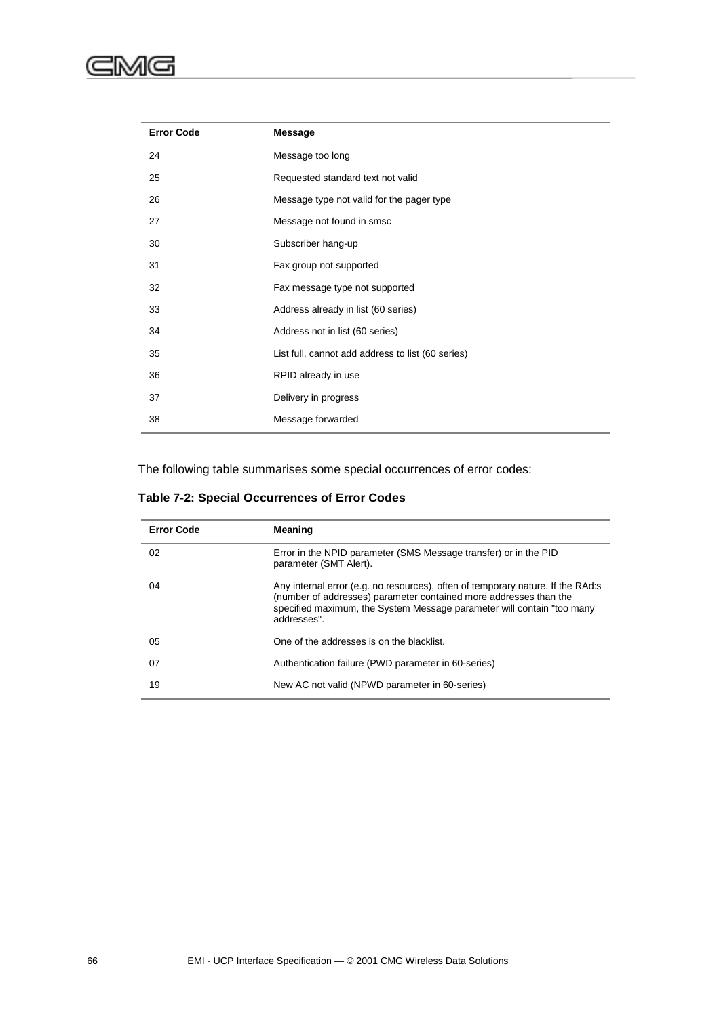| <b>Error Code</b> | <b>Message</b>                                    |
|-------------------|---------------------------------------------------|
| 24                | Message too long                                  |
| 25                | Requested standard text not valid                 |
| 26                | Message type not valid for the pager type         |
| 27                | Message not found in smsc                         |
| 30                | Subscriber hang-up                                |
| 31                | Fax group not supported                           |
| 32                | Fax message type not supported                    |
| 33                | Address already in list (60 series)               |
| 34                | Address not in list (60 series)                   |
| 35                | List full, cannot add address to list (60 series) |
| 36                | RPID already in use                               |
| 37                | Delivery in progress                              |
| 38                | Message forwarded                                 |

The following table summarises some special occurrences of error codes:

### **Table 7-2: Special Occurrences of Error Codes**

| <b>Error Code</b> | Meaning                                                                                                                                                                                                                                      |
|-------------------|----------------------------------------------------------------------------------------------------------------------------------------------------------------------------------------------------------------------------------------------|
| 02                | Error in the NPID parameter (SMS Message transfer) or in the PID<br>parameter (SMT Alert).                                                                                                                                                   |
| 04                | Any internal error (e.g. no resources), often of temporary nature. If the RAd:s<br>(number of addresses) parameter contained more addresses than the<br>specified maximum, the System Message parameter will contain "too many<br>addresses" |
| 05                | One of the addresses is on the blacklist.                                                                                                                                                                                                    |
| 07                | Authentication failure (PWD parameter in 60-series)                                                                                                                                                                                          |
| 19                | New AC not valid (NPWD parameter in 60-series)                                                                                                                                                                                               |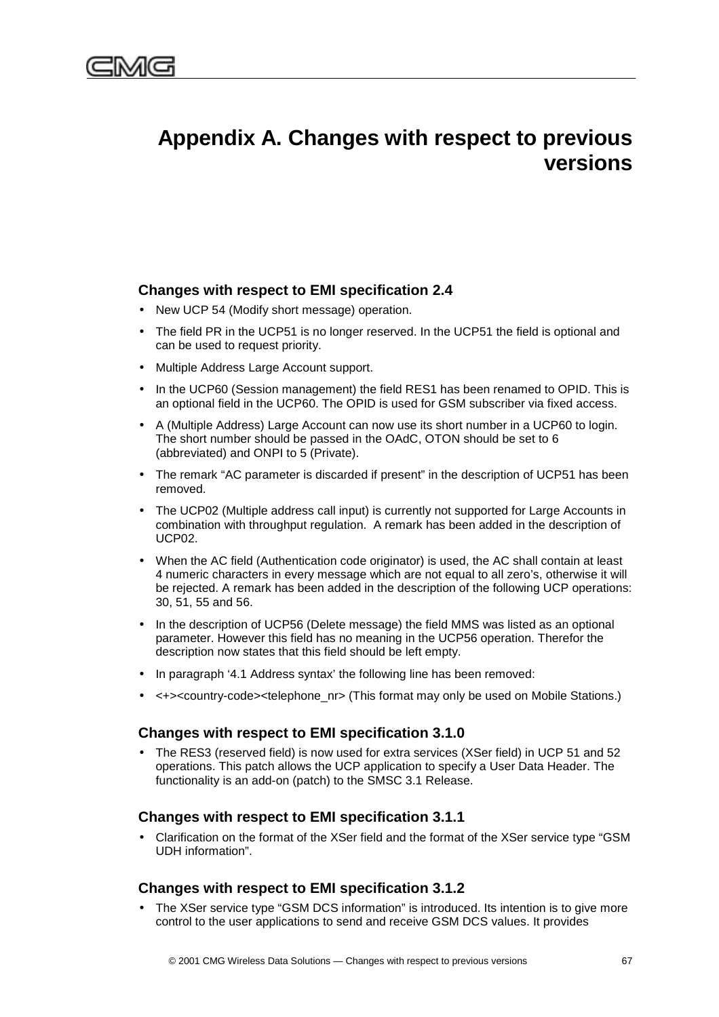# **Appendix A. Changes with respect to previous versions**

# **Changes with respect to EMI specification 2.4**

- New UCP 54 (Modify short message) operation.
- The field PR in the UCP51 is no longer reserved. In the UCP51 the field is optional and can be used to request priority.
- Multiple Address Large Account support.
- In the UCP60 (Session management) the field RES1 has been renamed to OPID. This is an optional field in the UCP60. The OPID is used for GSM subscriber via fixed access.
- A (Multiple Address) Large Account can now use its short number in a UCP60 to login. The short number should be passed in the OAdC, OTON should be set to 6 (abbreviated) and ONPI to 5 (Private).
- The remark "AC parameter is discarded if present" in the description of UCP51 has been removed.
- The UCP02 (Multiple address call input) is currently not supported for Large Accounts in combination with throughput regulation. A remark has been added in the description of UCP02.
- When the AC field (Authentication code originator) is used, the AC shall contain at least 4 numeric characters in every message which are not equal to all zero's, otherwise it will be rejected. A remark has been added in the description of the following UCP operations: 30, 51, 55 and 56.
- In the description of UCP56 (Delete message) the field MMS was listed as an optional parameter. However this field has no meaning in the UCP56 operation. Therefor the description now states that this field should be left empty.
- In paragraph '4.1 Address syntax' the following line has been removed:
- <+><country-code><telephone\_nr> (This format may only be used on Mobile Stations.)

# **Changes with respect to EMI specification 3.1.0**

• The RES3 (reserved field) is now used for extra services (XSer field) in UCP 51 and 52 operations. This patch allows the UCP application to specify a User Data Header. The functionality is an add-on (patch) to the SMSC 3.1 Release.

## **Changes with respect to EMI specification 3.1.1**

• Clarification on the format of the XSer field and the format of the XSer service type "GSM UDH information".

## **Changes with respect to EMI specification 3.1.2**

• The XSer service type "GSM DCS information" is introduced. Its intention is to give more control to the user applications to send and receive GSM DCS values. It provides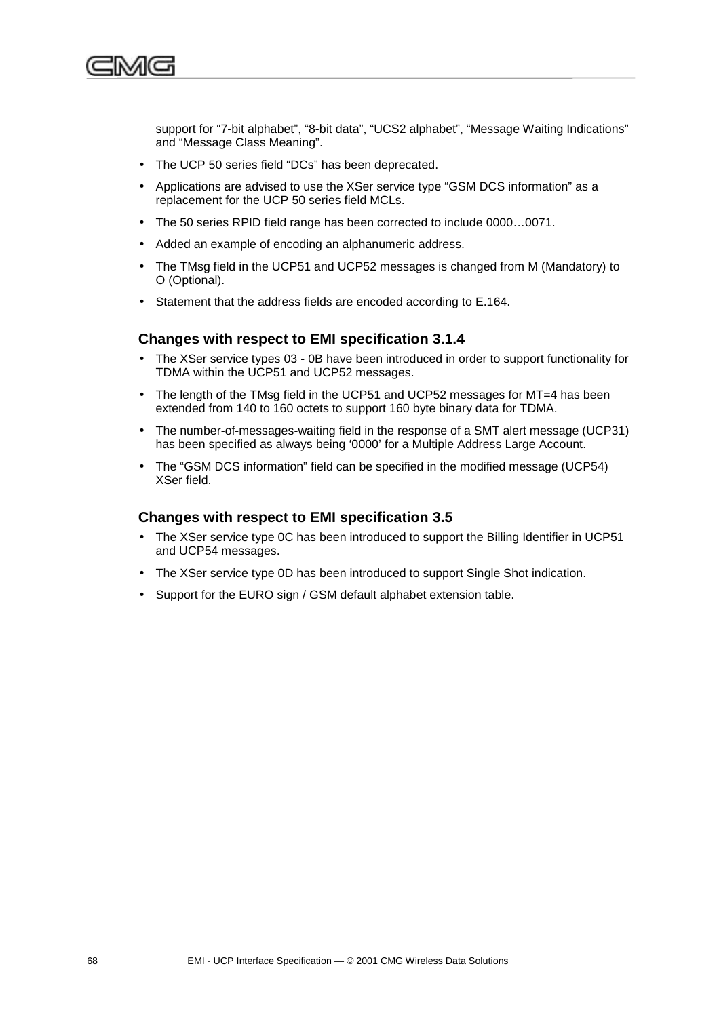

support for "7-bit alphabet", "8-bit data", "UCS2 alphabet", "Message Waiting Indications" and "Message Class Meaning".

- The UCP 50 series field "DCs" has been deprecated.
- Applications are advised to use the XSer service type "GSM DCS information" as a replacement for the UCP 50 series field MCLs.
- The 50 series RPID field range has been corrected to include 0000…0071.
- Added an example of encoding an alphanumeric address.
- The TMsg field in the UCP51 and UCP52 messages is changed from M (Mandatory) to O (Optional).
- Statement that the address fields are encoded according to E.164.

# **Changes with respect to EMI specification 3.1.4**

- The XSer service types 03 0B have been introduced in order to support functionality for TDMA within the UCP51 and UCP52 messages.
- The length of the TMsg field in the UCP51 and UCP52 messages for MT=4 has been extended from 140 to 160 octets to support 160 byte binary data for TDMA.
- The number-of-messages-waiting field in the response of a SMT alert message (UCP31) has been specified as always being '0000' for a Multiple Address Large Account.
- The "GSM DCS information" field can be specified in the modified message (UCP54) XSer field.

## **Changes with respect to EMI specification 3.5**

- The XSer service type 0C has been introduced to support the Billing Identifier in UCP51 and UCP54 messages.
- The XSer service type 0D has been introduced to support Single Shot indication.
- Support for the EURO sign / GSM default alphabet extension table.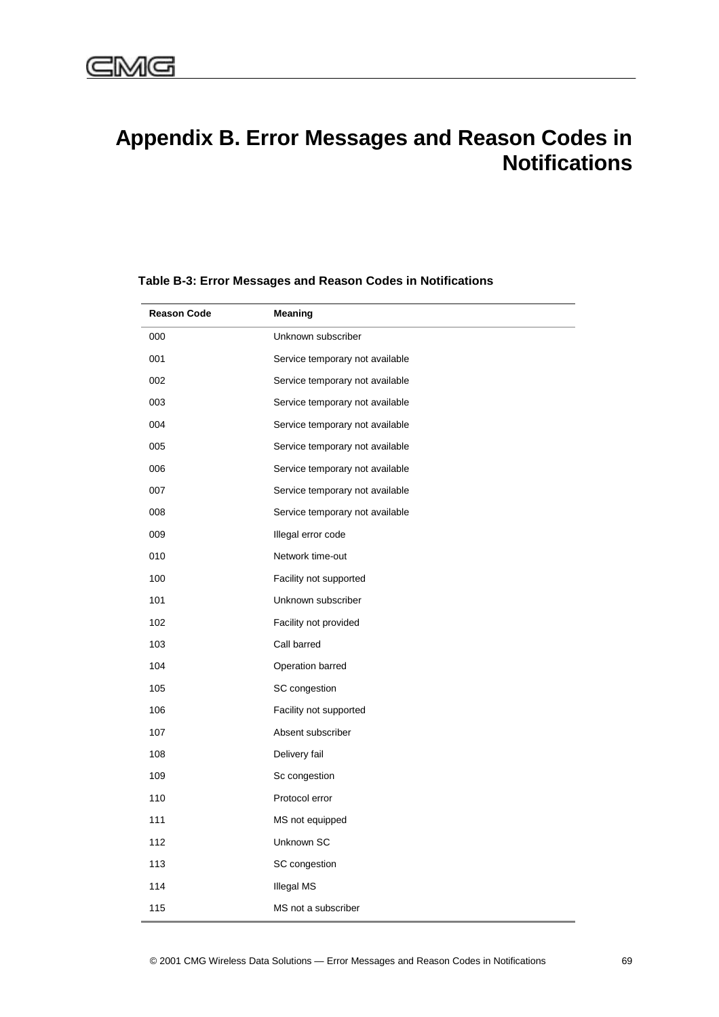# **Appendix B. Error Messages and Reason Codes in Notifications**

| <b>Reason Code</b> | Meaning                         |
|--------------------|---------------------------------|
| 000                | Unknown subscriber              |
| 001                | Service temporary not available |
| 002                | Service temporary not available |
| 003                | Service temporary not available |
| 004                | Service temporary not available |
| 005                | Service temporary not available |
| 006                | Service temporary not available |
| 007                | Service temporary not available |
| 008                | Service temporary not available |
| 009                | Illegal error code              |
| 010                | Network time-out                |
| 100                | Facility not supported          |
| 101                | Unknown subscriber              |
| 102                | Facility not provided           |
| 103                | Call barred                     |
| 104                | Operation barred                |
| 105                | SC congestion                   |
| 106                | Facility not supported          |
| 107                | Absent subscriber               |
| 108                | Delivery fail                   |
| 109                | Sc congestion                   |
| 110                | Protocol error                  |
| 111                | MS not equipped                 |
| 112                | Unknown SC                      |
| 113                | SC congestion                   |
| 114                | <b>Illegal MS</b>               |
| 115                | MS not a subscriber             |

### **Table B-3: Error Messages and Reason Codes in Notifications**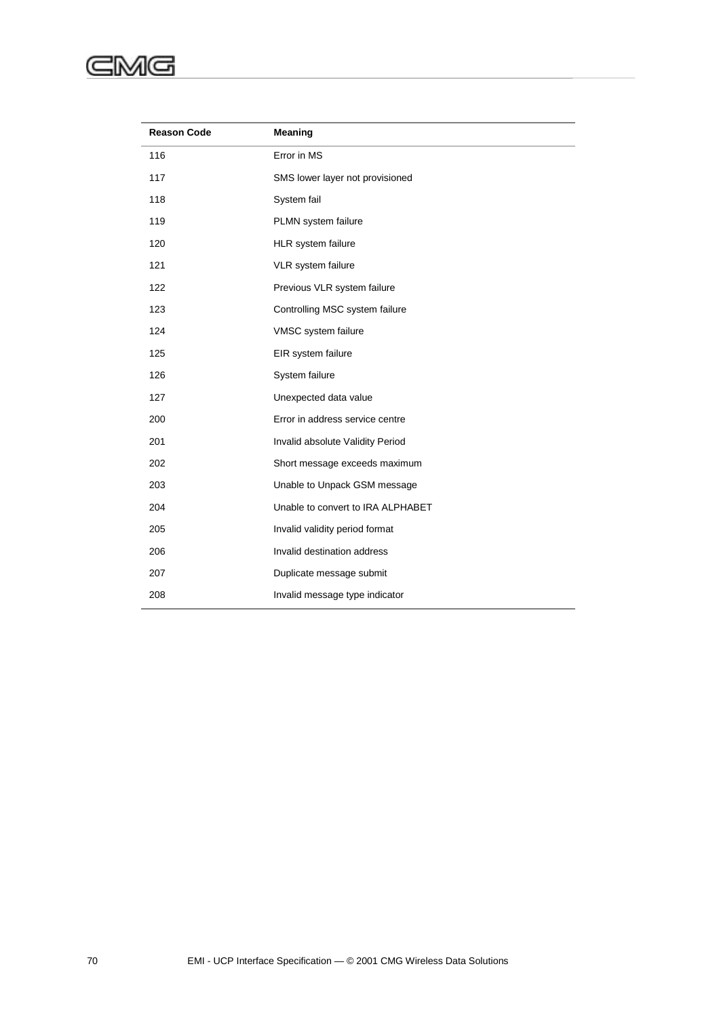### ⋐ :MG

| <b>Reason Code</b> | <b>Meaning</b>                    |
|--------------------|-----------------------------------|
| 116                | Error in MS                       |
| 117                | SMS lower layer not provisioned   |
| 118                | System fail                       |
| 119                | PLMN system failure               |
| 120                | HLR system failure                |
| 121                | VLR system failure                |
| 122                | Previous VLR system failure       |
| 123                | Controlling MSC system failure    |
| 124                | VMSC system failure               |
| 125                | EIR system failure                |
| 126                | System failure                    |
| 127                | Unexpected data value             |
| 200                | Error in address service centre   |
| 201                | Invalid absolute Validity Period  |
| 202                | Short message exceeds maximum     |
| 203                | Unable to Unpack GSM message      |
| 204                | Unable to convert to IRA ALPHABET |
| 205                | Invalid validity period format    |
| 206                | Invalid destination address       |
| 207                | Duplicate message submit          |
| 208                | Invalid message type indicator    |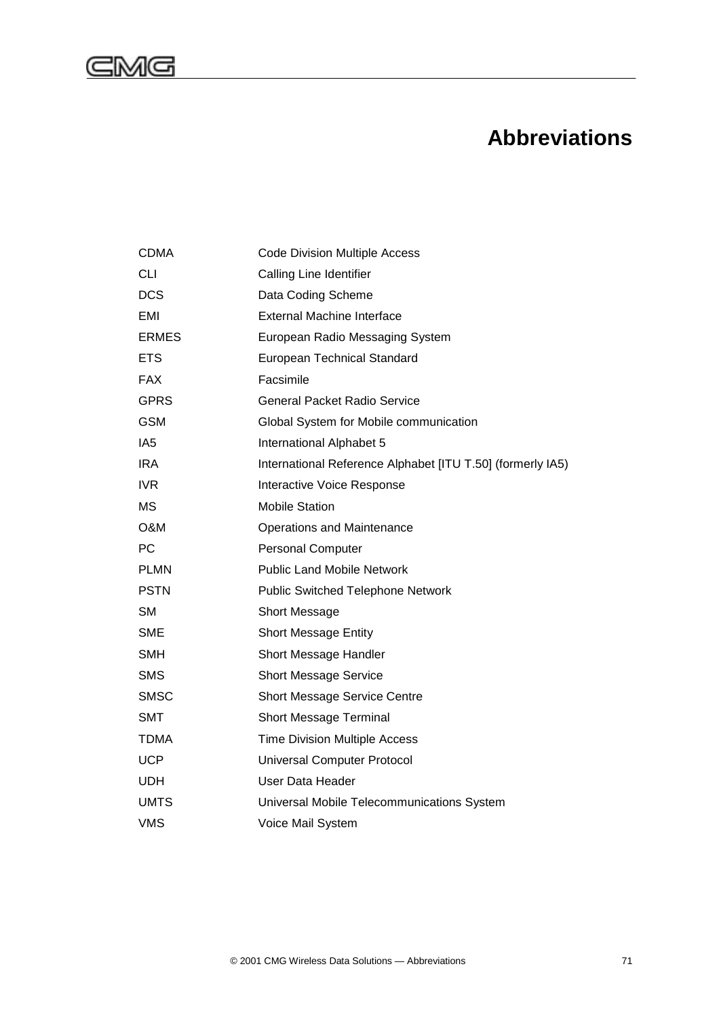

# **Abbreviations**

| <b>CDMA</b>  | <b>Code Division Multiple Access</b>                       |
|--------------|------------------------------------------------------------|
| <b>CLI</b>   | Calling Line Identifier                                    |
| <b>DCS</b>   | Data Coding Scheme                                         |
| EMI          | <b>External Machine Interface</b>                          |
| <b>ERMES</b> | European Radio Messaging System                            |
| <b>ETS</b>   | European Technical Standard                                |
| <b>FAX</b>   | Facsimile                                                  |
| <b>GPRS</b>  | General Packet Radio Service                               |
| <b>GSM</b>   | Global System for Mobile communication                     |
| IA5          | International Alphabet 5                                   |
| <b>IRA</b>   | International Reference Alphabet [ITU T.50] (formerly IA5) |
| IVR.         | Interactive Voice Response                                 |
| <b>MS</b>    | <b>Mobile Station</b>                                      |
| O&M          | <b>Operations and Maintenance</b>                          |
| PC           | <b>Personal Computer</b>                                   |
| <b>PLMN</b>  | <b>Public Land Mobile Network</b>                          |
| <b>PSTN</b>  | <b>Public Switched Telephone Network</b>                   |
| <b>SM</b>    | Short Message                                              |
| SME          | <b>Short Message Entity</b>                                |
| SMH          | Short Message Handler                                      |
| <b>SMS</b>   | <b>Short Message Service</b>                               |
| <b>SMSC</b>  | <b>Short Message Service Centre</b>                        |
| <b>SMT</b>   | Short Message Terminal                                     |
| <b>TDMA</b>  | <b>Time Division Multiple Access</b>                       |
| <b>UCP</b>   | <b>Universal Computer Protocol</b>                         |
| <b>UDH</b>   | User Data Header                                           |
| <b>UMTS</b>  | Universal Mobile Telecommunications System                 |
| <b>VMS</b>   | Voice Mail System                                          |
|              |                                                            |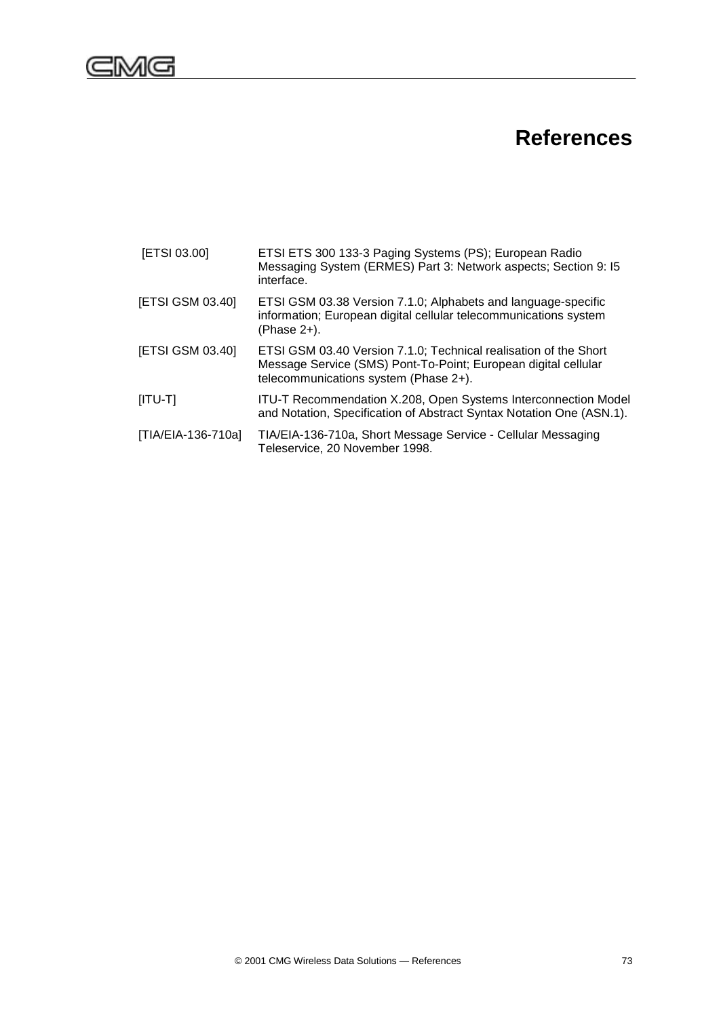

# **References**

| [ETSI 03.00]       | ETSI ETS 300 133-3 Paging Systems (PS); European Radio<br>Messaging System (ERMES) Part 3: Network aspects; Section 9: 15<br>interface.                                     |
|--------------------|-----------------------------------------------------------------------------------------------------------------------------------------------------------------------------|
| [ETSI GSM 03.40]   | ETSI GSM 03.38 Version 7.1.0; Alphabets and language-specific<br>information; European digital cellular telecommunications system<br>(Phase 2+).                            |
| [ETSI GSM 03.40]   | ETSI GSM 03.40 Version 7.1.0; Technical realisation of the Short<br>Message Service (SMS) Pont-To-Point; European digital cellular<br>telecommunications system (Phase 2+). |
| $[ITU-T]$          | ITU-T Recommendation X.208, Open Systems Interconnection Model<br>and Notation, Specification of Abstract Syntax Notation One (ASN.1).                                      |
| [TIA/EIA-136-710a] | TIA/EIA-136-710a, Short Message Service - Cellular Messaging<br>Teleservice, 20 November 1998.                                                                              |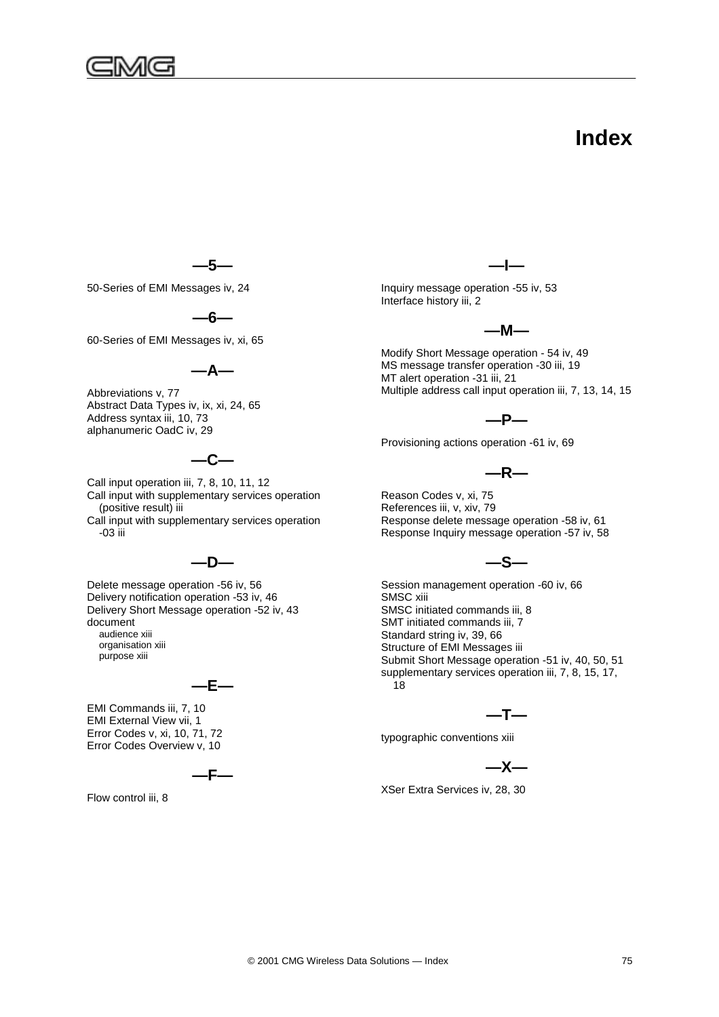

# **Index**

**—5—**

50-Series of EMI Messages iv, 24

**—6—**

60-Series of EMI Messages iv, xi, 65

**—A—**

Abbreviations v, 77 Abstract Data Types iv, ix, xi, 24, 65 Address syntax iii, 10, 73 alphanumeric OadC iv, 29

# **—C—**

Call input operation iii, 7, 8, 10, 11, 12 Call input with supplementary services operation (positive result) iii Call input with supplementary services operation -03 iii

## **—D—**

Delete message operation -56 iv, 56 Delivery notification operation -53 iv, 46 Delivery Short Message operation -52 iv, 43 document audience xiii organisation xiii purpose xiii

$$
-\mathsf{E}-
$$

EMI Commands iii, 7, 10 EMI External View vii, 1 Error Codes v, xi, 10, 71, 72 Error Codes Overview v, 10

**—F—**

Flow control iii, 8

**—I—**

Inquiry message operation -55 iv, 53 Interface history iii, 2



Modify Short Message operation - 54 iv, 49 MS message transfer operation -30 iii, 19 MT alert operation -31 iii, 21 Multiple address call input operation iii, 7, 13, 14, 15

## **—P—**

Provisioning actions operation -61 iv, 69

**—R—**

Reason Codes v, xi, 75 References iii, v, xiv, 79 Response delete message operation -58 iv, 61 Response Inquiry message operation -57 iv, 58

## **—S—**

Session management operation -60 iv, 66 SMSC xiii SMSC initiated commands iii, 8 SMT initiated commands iii, 7 Standard string iv, 39, 66 Structure of EMI Messages iii Submit Short Message operation -51 iv, 40, 50, 51 supplementary services operation iii, 7, 8, 15, 17, 18

**—T—**

typographic conventions xiii

**—X—**

XSer Extra Services iv, 28, 30